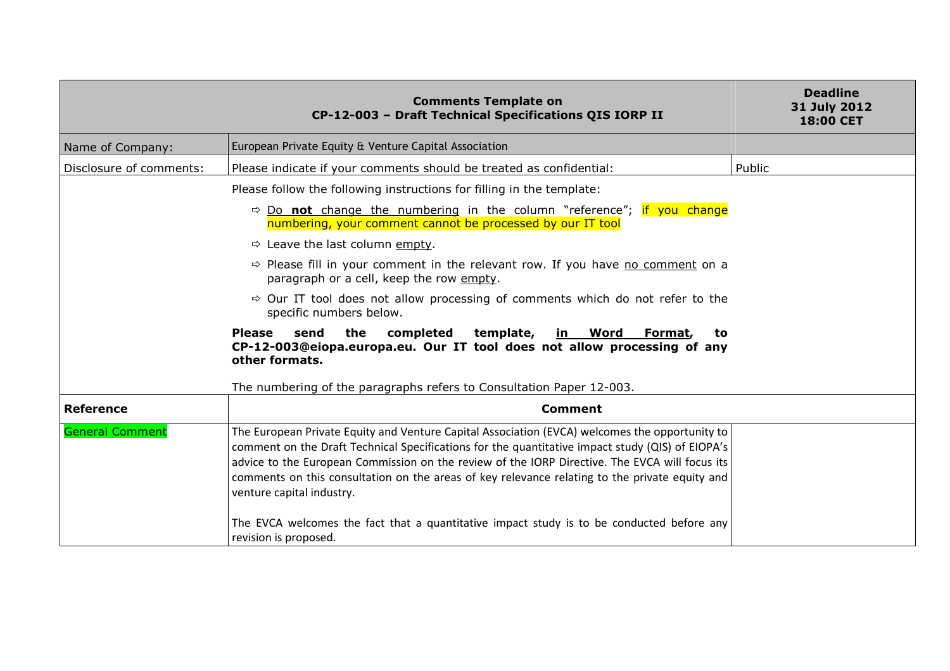|                         | <b>Comments Template on</b><br>CP-12-003 - Draft Technical Specifications QIS IORP II                                                                                                                                                                                                                                                                                                                                                                                                                                            | <b>Deadline</b><br>31 July 2012<br><b>18:00 CET</b> |
|-------------------------|----------------------------------------------------------------------------------------------------------------------------------------------------------------------------------------------------------------------------------------------------------------------------------------------------------------------------------------------------------------------------------------------------------------------------------------------------------------------------------------------------------------------------------|-----------------------------------------------------|
| Name of Company:        | European Private Equity & Venture Capital Association                                                                                                                                                                                                                                                                                                                                                                                                                                                                            |                                                     |
| Disclosure of comments: | Please indicate if your comments should be treated as confidential:                                                                                                                                                                                                                                                                                                                                                                                                                                                              | Public                                              |
|                         | Please follow the following instructions for filling in the template:                                                                                                                                                                                                                                                                                                                                                                                                                                                            |                                                     |
|                         | $\Rightarrow$ Do not change the numbering in the column "reference"; if you change<br>numbering, your comment cannot be processed by our IT tool                                                                                                                                                                                                                                                                                                                                                                                 |                                                     |
|                         | $\Rightarrow$ Leave the last column empty.                                                                                                                                                                                                                                                                                                                                                                                                                                                                                       |                                                     |
|                         | $\Rightarrow$ Please fill in your comment in the relevant row. If you have no comment on a<br>paragraph or a cell, keep the row empty.                                                                                                                                                                                                                                                                                                                                                                                           |                                                     |
|                         | $\Rightarrow$ Our IT tool does not allow processing of comments which do not refer to the<br>specific numbers below.                                                                                                                                                                                                                                                                                                                                                                                                             |                                                     |
|                         | <b>Please</b><br>the<br>completed<br>template,<br><u>in Word</u><br>send<br>Format,<br>to<br>CP-12-003@eiopa.europa.eu. Our IT tool does not allow processing of any<br>other formats.                                                                                                                                                                                                                                                                                                                                           |                                                     |
|                         | The numbering of the paragraphs refers to Consultation Paper 12-003.                                                                                                                                                                                                                                                                                                                                                                                                                                                             |                                                     |
| Reference               | <b>Comment</b>                                                                                                                                                                                                                                                                                                                                                                                                                                                                                                                   |                                                     |
| <b>General Comment</b>  | The European Private Equity and Venture Capital Association (EVCA) welcomes the opportunity to<br>comment on the Draft Technical Specifications for the quantitative impact study (QIS) of EIOPA's<br>advice to the European Commission on the review of the IORP Directive. The EVCA will focus its<br>comments on this consultation on the areas of key relevance relating to the private equity and<br>venture capital industry.<br>The EVCA welcomes the fact that a quantitative impact study is to be conducted before any |                                                     |
|                         | revision is proposed.                                                                                                                                                                                                                                                                                                                                                                                                                                                                                                            |                                                     |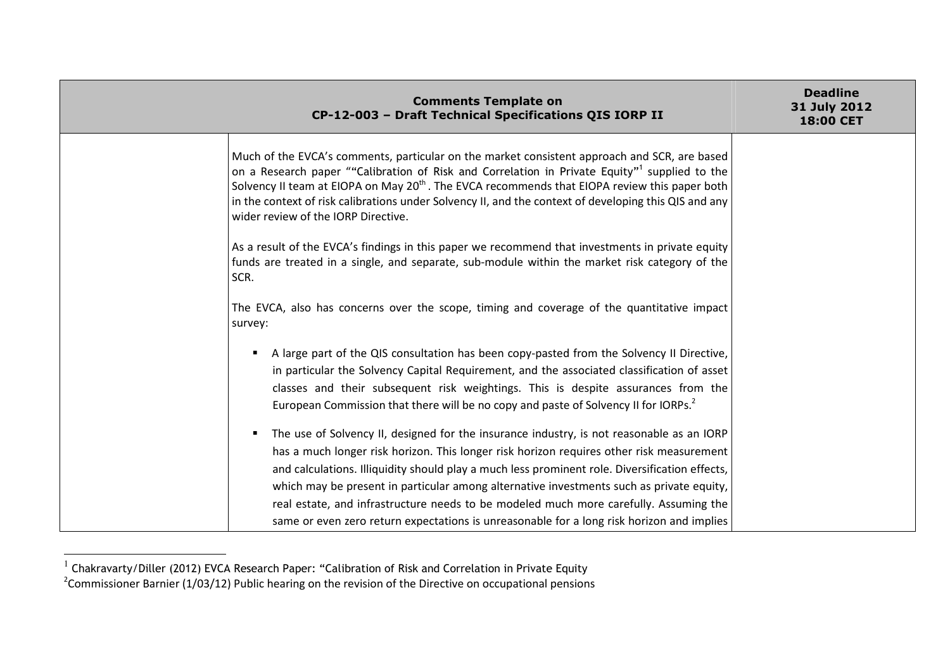| <b>Comments Template on</b><br>CP-12-003 - Draft Technical Specifications QIS IORP II |                                                                                                                                                                                                                                                                                                                                                                                                                                                                                                                                                                           | <b>Deadline</b><br>31 July 2012<br>18:00 CET |
|---------------------------------------------------------------------------------------|---------------------------------------------------------------------------------------------------------------------------------------------------------------------------------------------------------------------------------------------------------------------------------------------------------------------------------------------------------------------------------------------------------------------------------------------------------------------------------------------------------------------------------------------------------------------------|----------------------------------------------|
|                                                                                       | Much of the EVCA's comments, particular on the market consistent approach and SCR, are based<br>on a Research paper ""Calibration of Risk and Correlation in Private Equity" <sup>1</sup> supplied to the<br>Solvency II team at EIOPA on May 20 <sup>th</sup> . The EVCA recommends that EIOPA review this paper both<br>in the context of risk calibrations under Solvency II, and the context of developing this QIS and any<br>wider review of the IORP Directive.                                                                                                    |                                              |
|                                                                                       | As a result of the EVCA's findings in this paper we recommend that investments in private equity<br>funds are treated in a single, and separate, sub-module within the market risk category of the<br>SCR.                                                                                                                                                                                                                                                                                                                                                                |                                              |
|                                                                                       | The EVCA, also has concerns over the scope, timing and coverage of the quantitative impact<br>survey:                                                                                                                                                                                                                                                                                                                                                                                                                                                                     |                                              |
|                                                                                       | A large part of the QIS consultation has been copy-pasted from the Solvency II Directive,<br>in particular the Solvency Capital Requirement, and the associated classification of asset<br>classes and their subsequent risk weightings. This is despite assurances from the<br>European Commission that there will be no copy and paste of Solvency II for IORPs. <sup>2</sup>                                                                                                                                                                                           |                                              |
|                                                                                       | The use of Solvency II, designed for the insurance industry, is not reasonable as an IORP<br>has a much longer risk horizon. This longer risk horizon requires other risk measurement<br>and calculations. Illiquidity should play a much less prominent role. Diversification effects,<br>which may be present in particular among alternative investments such as private equity,<br>real estate, and infrastructure needs to be modeled much more carefully. Assuming the<br>same or even zero return expectations is unreasonable for a long risk horizon and implies |                                              |

<sup>&</sup>lt;sup>1</sup> Chakravarty/Diller (2012) EVCA Research Paper: "Calibration of Risk and Correlation in Private Equity<br><sup>2</sup>Commissioner Barnier (1/03/12) Public hearing on the revision of the Directive on occupational pensions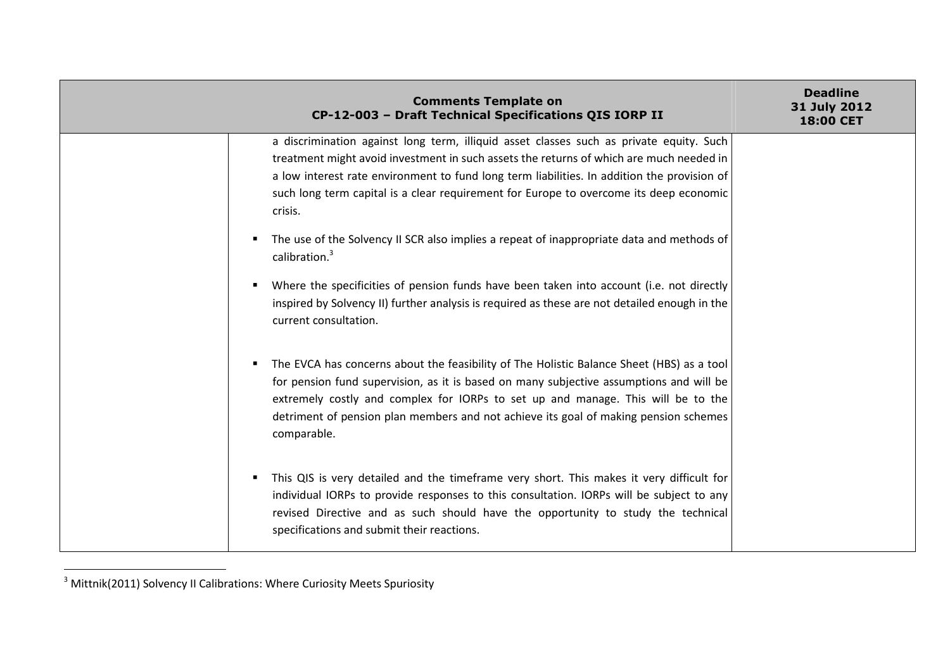|         | <b>Comments Template on</b><br>CP-12-003 - Draft Technical Specifications QIS IORP II                                                                                                                                                                                                                                                                                                                                                                                    | <b>Deadline</b><br>31 July 2012<br>18:00 CET |
|---------|--------------------------------------------------------------------------------------------------------------------------------------------------------------------------------------------------------------------------------------------------------------------------------------------------------------------------------------------------------------------------------------------------------------------------------------------------------------------------|----------------------------------------------|
| crisis. | a discrimination against long term, illiquid asset classes such as private equity. Such<br>treatment might avoid investment in such assets the returns of which are much needed in<br>a low interest rate environment to fund long term liabilities. In addition the provision of<br>such long term capital is a clear requirement for Europe to overcome its deep economic<br>The use of the Solvency II SCR also implies a repeat of inappropriate data and methods of |                                              |
| ٠       | calibration. <sup>3</sup><br>Where the specificities of pension funds have been taken into account (i.e. not directly<br>inspired by Solvency II) further analysis is required as these are not detailed enough in the<br>current consultation.                                                                                                                                                                                                                          |                                              |
| п.      | The EVCA has concerns about the feasibility of The Holistic Balance Sheet (HBS) as a tool<br>for pension fund supervision, as it is based on many subjective assumptions and will be<br>extremely costly and complex for IORPs to set up and manage. This will be to the<br>detriment of pension plan members and not achieve its goal of making pension schemes<br>comparable.                                                                                          |                                              |
|         | This QIS is very detailed and the timeframe very short. This makes it very difficult for<br>individual IORPs to provide responses to this consultation. IORPs will be subject to any<br>revised Directive and as such should have the opportunity to study the technical<br>specifications and submit their reactions.                                                                                                                                                   |                                              |

<sup>3&</sup>lt;br>3 Mittnik(2011) Solvency II Calibrations: Where Curiosity Meets Spuriosity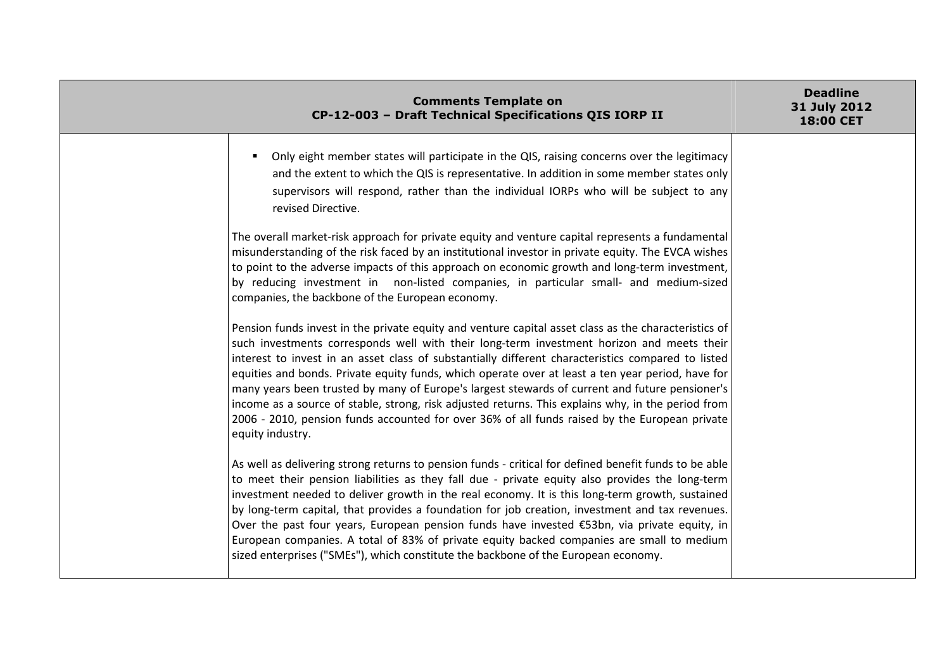| <b>Comments Template on</b><br>CP-12-003 - Draft Technical Specifications QIS IORP II                                                                                                                                                                                                                                                                                                                                                                                                                                                                                                                                                                                                                                                     | <b>Deadline</b><br>31 July 2012<br><b>18:00 CET</b> |
|-------------------------------------------------------------------------------------------------------------------------------------------------------------------------------------------------------------------------------------------------------------------------------------------------------------------------------------------------------------------------------------------------------------------------------------------------------------------------------------------------------------------------------------------------------------------------------------------------------------------------------------------------------------------------------------------------------------------------------------------|-----------------------------------------------------|
| Only eight member states will participate in the QIS, raising concerns over the legitimacy<br>and the extent to which the QIS is representative. In addition in some member states only<br>supervisors will respond, rather than the individual IORPs who will be subject to any<br>revised Directive.                                                                                                                                                                                                                                                                                                                                                                                                                                    |                                                     |
| The overall market-risk approach for private equity and venture capital represents a fundamental<br>misunderstanding of the risk faced by an institutional investor in private equity. The EVCA wishes<br>to point to the adverse impacts of this approach on economic growth and long-term investment,<br>by reducing investment in non-listed companies, in particular small- and medium-sized<br>companies, the backbone of the European economy.                                                                                                                                                                                                                                                                                      |                                                     |
| Pension funds invest in the private equity and venture capital asset class as the characteristics of<br>such investments corresponds well with their long-term investment horizon and meets their<br>interest to invest in an asset class of substantially different characteristics compared to listed<br>equities and bonds. Private equity funds, which operate over at least a ten year period, have for<br>many years been trusted by many of Europe's largest stewards of current and future pensioner's<br>income as a source of stable, strong, risk adjusted returns. This explains why, in the period from<br>2006 - 2010, pension funds accounted for over 36% of all funds raised by the European private<br>equity industry. |                                                     |
| As well as delivering strong returns to pension funds - critical for defined benefit funds to be able<br>to meet their pension liabilities as they fall due - private equity also provides the long-term<br>investment needed to deliver growth in the real economy. It is this long-term growth, sustained<br>by long-term capital, that provides a foundation for job creation, investment and tax revenues.<br>Over the past four years, European pension funds have invested €53bn, via private equity, in<br>European companies. A total of 83% of private equity backed companies are small to medium<br>sized enterprises ("SMEs"), which constitute the backbone of the European economy.                                         |                                                     |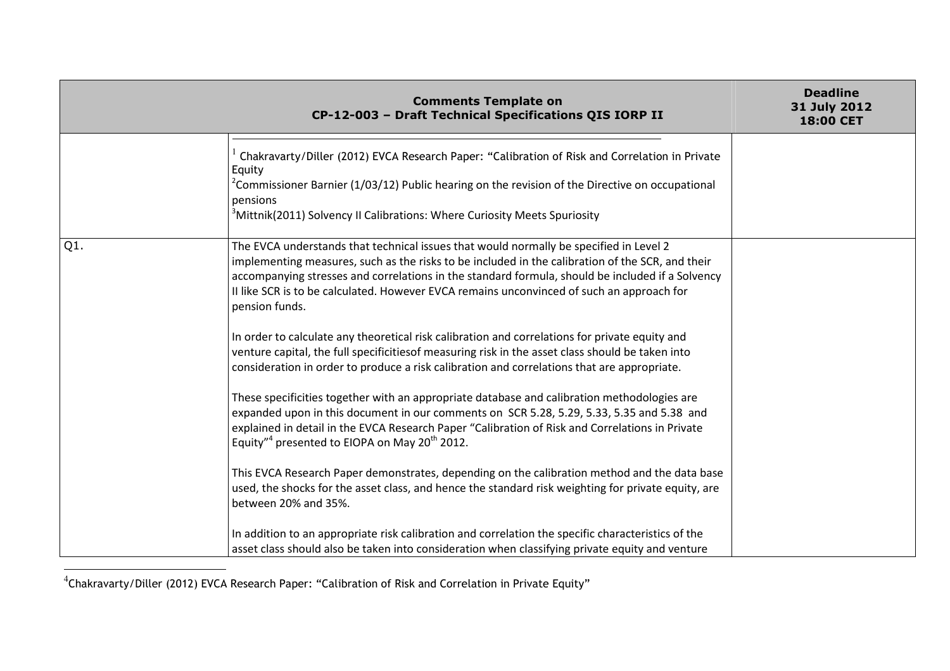|     | <b>Comments Template on</b><br>CP-12-003 - Draft Technical Specifications QIS IORP II                                                                                                                                                                                                                                                                                                                                                                                                                                                                                                                                                                                                                                                                                                                                                                                                                                                                                                                                                                                                                                                                                                                                                                                                                                     | <b>Deadline</b><br>31 July 2012<br>18:00 CET |
|-----|---------------------------------------------------------------------------------------------------------------------------------------------------------------------------------------------------------------------------------------------------------------------------------------------------------------------------------------------------------------------------------------------------------------------------------------------------------------------------------------------------------------------------------------------------------------------------------------------------------------------------------------------------------------------------------------------------------------------------------------------------------------------------------------------------------------------------------------------------------------------------------------------------------------------------------------------------------------------------------------------------------------------------------------------------------------------------------------------------------------------------------------------------------------------------------------------------------------------------------------------------------------------------------------------------------------------------|----------------------------------------------|
|     | Chakravarty/Diller (2012) EVCA Research Paper: "Calibration of Risk and Correlation in Private<br>Equity<br>$^2$ Commissioner Barnier (1/03/12) Public hearing on the revision of the Directive on occupational<br>pensions<br><sup>3</sup> Mittnik(2011) Solvency II Calibrations: Where Curiosity Meets Spuriosity                                                                                                                                                                                                                                                                                                                                                                                                                                                                                                                                                                                                                                                                                                                                                                                                                                                                                                                                                                                                      |                                              |
| Q1. | The EVCA understands that technical issues that would normally be specified in Level 2<br>implementing measures, such as the risks to be included in the calibration of the SCR, and their<br>accompanying stresses and correlations in the standard formula, should be included if a Solvency<br>II like SCR is to be calculated. However EVCA remains unconvinced of such an approach for<br>pension funds.<br>In order to calculate any theoretical risk calibration and correlations for private equity and<br>venture capital, the full specificitiesof measuring risk in the asset class should be taken into<br>consideration in order to produce a risk calibration and correlations that are appropriate.<br>These specificities together with an appropriate database and calibration methodologies are<br>expanded upon in this document in our comments on SCR 5.28, 5.29, 5.33, 5.35 and 5.38 and<br>explained in detail in the EVCA Research Paper "Calibration of Risk and Correlations in Private<br>Equity" <sup>4</sup> presented to EIOPA on May 20 <sup>th</sup> 2012.<br>This EVCA Research Paper demonstrates, depending on the calibration method and the data base<br>used, the shocks for the asset class, and hence the standard risk weighting for private equity, are<br>between 20% and 35%. |                                              |
|     | In addition to an appropriate risk calibration and correlation the specific characteristics of the<br>asset class should also be taken into consideration when classifying private equity and venture                                                                                                                                                                                                                                                                                                                                                                                                                                                                                                                                                                                                                                                                                                                                                                                                                                                                                                                                                                                                                                                                                                                     |                                              |

<sup>4</sup>Chakravarty/Diller (2012) EVCA Research Paper: "Calibration of Risk and Correlation in Private Equity"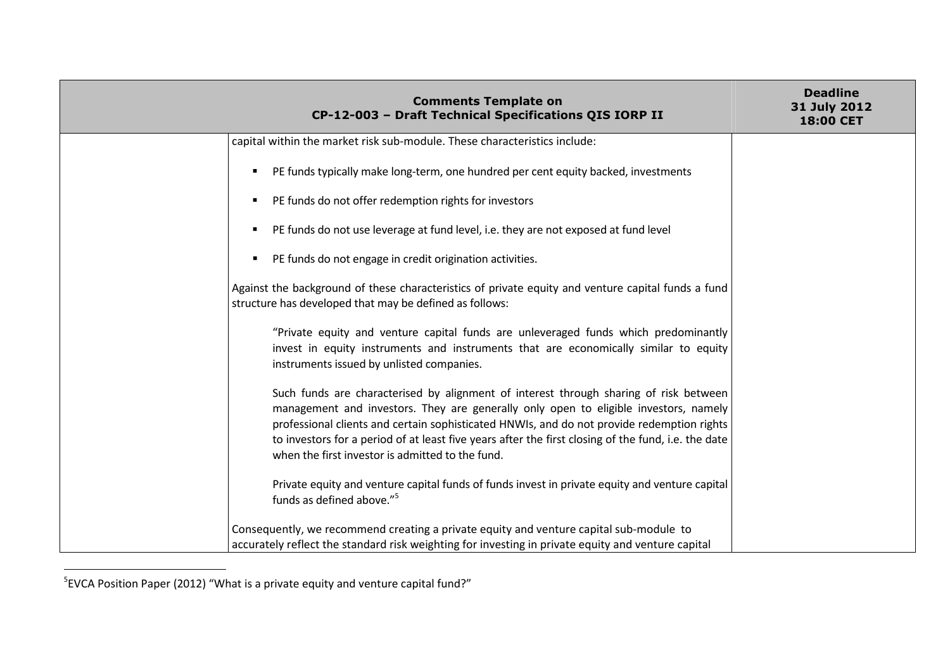| <b>Comments Template on</b><br>CP-12-003 - Draft Technical Specifications QIS IORP II                                                                                                                                                                                                                                                                                                                                                  | <b>Deadline</b><br>31 July 2012<br>18:00 CET |
|----------------------------------------------------------------------------------------------------------------------------------------------------------------------------------------------------------------------------------------------------------------------------------------------------------------------------------------------------------------------------------------------------------------------------------------|----------------------------------------------|
| capital within the market risk sub-module. These characteristics include:                                                                                                                                                                                                                                                                                                                                                              |                                              |
| PE funds typically make long-term, one hundred per cent equity backed, investments<br>п.                                                                                                                                                                                                                                                                                                                                               |                                              |
| PE funds do not offer redemption rights for investors<br>٠                                                                                                                                                                                                                                                                                                                                                                             |                                              |
| PE funds do not use leverage at fund level, i.e. they are not exposed at fund level                                                                                                                                                                                                                                                                                                                                                    |                                              |
| PE funds do not engage in credit origination activities.                                                                                                                                                                                                                                                                                                                                                                               |                                              |
| Against the background of these characteristics of private equity and venture capital funds a fund<br>structure has developed that may be defined as follows:                                                                                                                                                                                                                                                                          |                                              |
| "Private equity and venture capital funds are unleveraged funds which predominantly<br>invest in equity instruments and instruments that are economically similar to equity<br>instruments issued by unlisted companies.                                                                                                                                                                                                               |                                              |
| Such funds are characterised by alignment of interest through sharing of risk between<br>management and investors. They are generally only open to eligible investors, namely<br>professional clients and certain sophisticated HNWIs, and do not provide redemption rights<br>to investors for a period of at least five years after the first closing of the fund, i.e. the date<br>when the first investor is admitted to the fund. |                                              |
| Private equity and venture capital funds of funds invest in private equity and venture capital<br>funds as defined above." <sup>5</sup>                                                                                                                                                                                                                                                                                                |                                              |
| Consequently, we recommend creating a private equity and venture capital sub-module to<br>accurately reflect the standard risk weighting for investing in private equity and venture capital                                                                                                                                                                                                                                           |                                              |

 $5$ EVCA Position Paper (2012) "What is a private equity and venture capital fund?"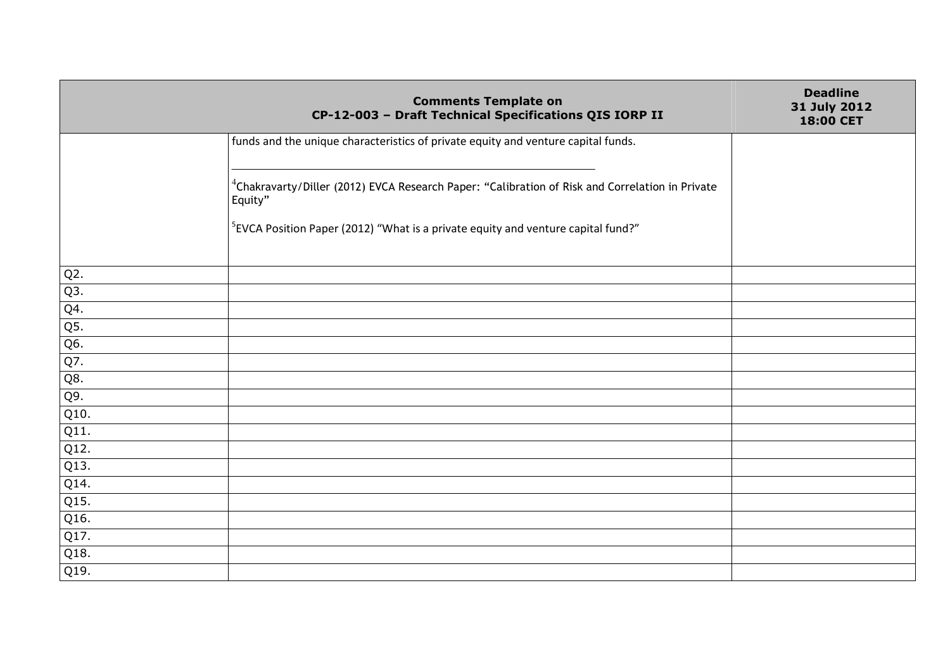|                  | <b>Comments Template on</b><br>CP-12-003 - Draft Technical Specifications QIS IORP II                                  | <b>Deadline</b><br>31 July 2012<br>18:00 CET |
|------------------|------------------------------------------------------------------------------------------------------------------------|----------------------------------------------|
|                  | funds and the unique characteristics of private equity and venture capital funds.                                      |                                              |
|                  | <sup>4</sup> Chakravarty/Diller (2012) EVCA Research Paper: "Calibration of Risk and Correlation in Private<br>Equity" |                                              |
|                  | <sup>5</sup> EVCA Position Paper (2012) "What is a private equity and venture capital fund?"                           |                                              |
| Q <sub>2</sub> . |                                                                                                                        |                                              |
| Q3.              |                                                                                                                        |                                              |
| Q4.              |                                                                                                                        |                                              |
| Q5.              |                                                                                                                        |                                              |
| Q6.              |                                                                                                                        |                                              |
| Q7.              |                                                                                                                        |                                              |
| Q8.              |                                                                                                                        |                                              |
| Q9.              |                                                                                                                        |                                              |
| Q10.             |                                                                                                                        |                                              |
| Q11.             |                                                                                                                        |                                              |
| Q12.             |                                                                                                                        |                                              |
| Q13.             |                                                                                                                        |                                              |
| Q14.             |                                                                                                                        |                                              |
| Q15.             |                                                                                                                        |                                              |
| Q16.             |                                                                                                                        |                                              |
| Q17.             |                                                                                                                        |                                              |
| Q18.             |                                                                                                                        |                                              |
| Q19.             |                                                                                                                        |                                              |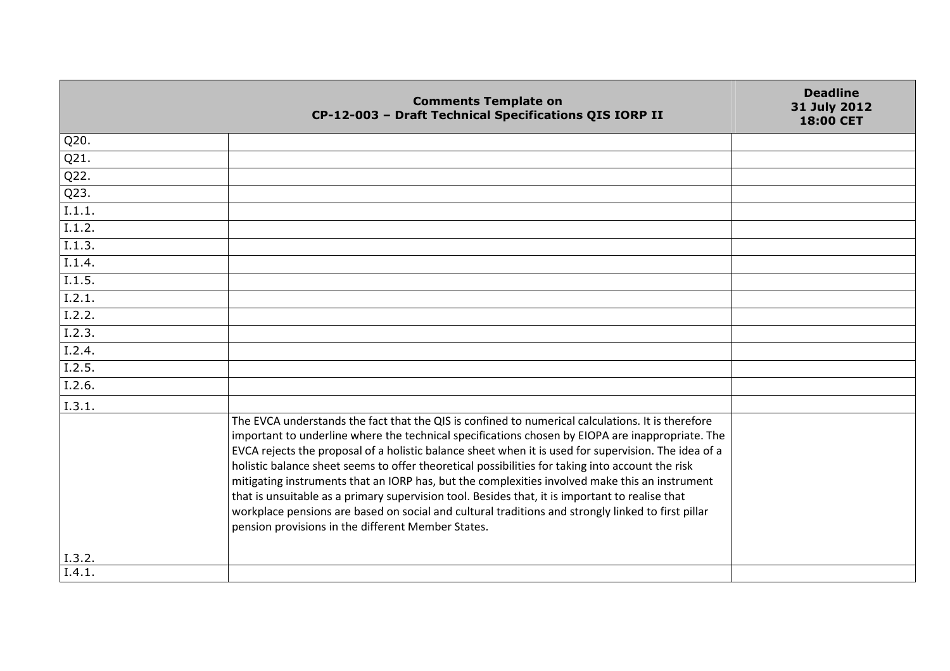| <b>Deadline</b><br><b>Comments Template on</b><br>31 July 2012<br>CP-12-003 - Draft Technical Specifications QIS IORP II<br><b>18:00 CET</b>                                                                                                                                                                                                                                                                                                                                                                                                                                                                                                                                                                                                                                                 |  |
|----------------------------------------------------------------------------------------------------------------------------------------------------------------------------------------------------------------------------------------------------------------------------------------------------------------------------------------------------------------------------------------------------------------------------------------------------------------------------------------------------------------------------------------------------------------------------------------------------------------------------------------------------------------------------------------------------------------------------------------------------------------------------------------------|--|
| Q20.                                                                                                                                                                                                                                                                                                                                                                                                                                                                                                                                                                                                                                                                                                                                                                                         |  |
| Q21.                                                                                                                                                                                                                                                                                                                                                                                                                                                                                                                                                                                                                                                                                                                                                                                         |  |
| Q22.                                                                                                                                                                                                                                                                                                                                                                                                                                                                                                                                                                                                                                                                                                                                                                                         |  |
| Q23.                                                                                                                                                                                                                                                                                                                                                                                                                                                                                                                                                                                                                                                                                                                                                                                         |  |
| I.1.1.                                                                                                                                                                                                                                                                                                                                                                                                                                                                                                                                                                                                                                                                                                                                                                                       |  |
| 1.1.2.                                                                                                                                                                                                                                                                                                                                                                                                                                                                                                                                                                                                                                                                                                                                                                                       |  |
| I.1.3.                                                                                                                                                                                                                                                                                                                                                                                                                                                                                                                                                                                                                                                                                                                                                                                       |  |
| I.1.4.                                                                                                                                                                                                                                                                                                                                                                                                                                                                                                                                                                                                                                                                                                                                                                                       |  |
| I.1.5.                                                                                                                                                                                                                                                                                                                                                                                                                                                                                                                                                                                                                                                                                                                                                                                       |  |
| I.2.1.                                                                                                                                                                                                                                                                                                                                                                                                                                                                                                                                                                                                                                                                                                                                                                                       |  |
| I.2.2.                                                                                                                                                                                                                                                                                                                                                                                                                                                                                                                                                                                                                                                                                                                                                                                       |  |
| 1.2.3.                                                                                                                                                                                                                                                                                                                                                                                                                                                                                                                                                                                                                                                                                                                                                                                       |  |
| I.2.4.                                                                                                                                                                                                                                                                                                                                                                                                                                                                                                                                                                                                                                                                                                                                                                                       |  |
| I.2.5.                                                                                                                                                                                                                                                                                                                                                                                                                                                                                                                                                                                                                                                                                                                                                                                       |  |
| I.2.6.                                                                                                                                                                                                                                                                                                                                                                                                                                                                                                                                                                                                                                                                                                                                                                                       |  |
| I.3.1.                                                                                                                                                                                                                                                                                                                                                                                                                                                                                                                                                                                                                                                                                                                                                                                       |  |
| The EVCA understands the fact that the QIS is confined to numerical calculations. It is therefore<br>important to underline where the technical specifications chosen by EIOPA are inappropriate. The<br>EVCA rejects the proposal of a holistic balance sheet when it is used for supervision. The idea of a<br>holistic balance sheet seems to offer theoretical possibilities for taking into account the risk<br>mitigating instruments that an IORP has, but the complexities involved make this an instrument<br>that is unsuitable as a primary supervision tool. Besides that, it is important to realise that<br>workplace pensions are based on social and cultural traditions and strongly linked to first pillar<br>pension provisions in the different Member States.<br>I.3.2. |  |
| I.4.1.                                                                                                                                                                                                                                                                                                                                                                                                                                                                                                                                                                                                                                                                                                                                                                                       |  |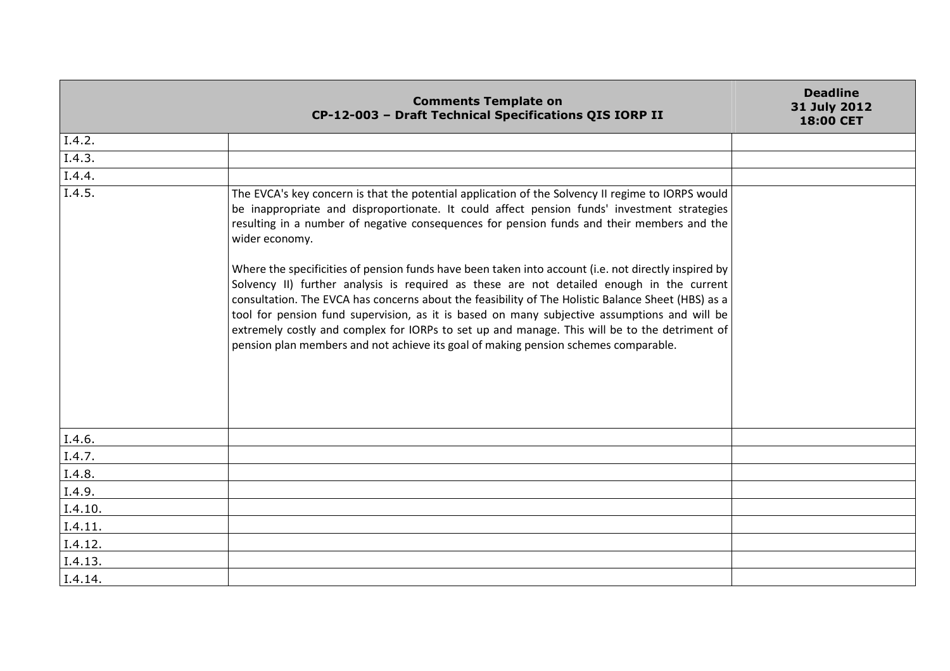|         | <b>Comments Template on</b><br>CP-12-003 - Draft Technical Specifications QIS IORP II                                                                                                                                                                                                                                                                                                                                                                                                                                                                                                                                                                                                                                                                                                                                                                                                                               | <b>Deadline</b><br>31 July 2012<br>18:00 CET |
|---------|---------------------------------------------------------------------------------------------------------------------------------------------------------------------------------------------------------------------------------------------------------------------------------------------------------------------------------------------------------------------------------------------------------------------------------------------------------------------------------------------------------------------------------------------------------------------------------------------------------------------------------------------------------------------------------------------------------------------------------------------------------------------------------------------------------------------------------------------------------------------------------------------------------------------|----------------------------------------------|
| I.4.2.  |                                                                                                                                                                                                                                                                                                                                                                                                                                                                                                                                                                                                                                                                                                                                                                                                                                                                                                                     |                                              |
| I.4.3.  |                                                                                                                                                                                                                                                                                                                                                                                                                                                                                                                                                                                                                                                                                                                                                                                                                                                                                                                     |                                              |
| I.4.4.  |                                                                                                                                                                                                                                                                                                                                                                                                                                                                                                                                                                                                                                                                                                                                                                                                                                                                                                                     |                                              |
| I.4.5.  | The EVCA's key concern is that the potential application of the Solvency II regime to IORPS would<br>be inappropriate and disproportionate. It could affect pension funds' investment strategies<br>resulting in a number of negative consequences for pension funds and their members and the<br>wider economy.<br>Where the specificities of pension funds have been taken into account (i.e. not directly inspired by<br>Solvency II) further analysis is required as these are not detailed enough in the current<br>consultation. The EVCA has concerns about the feasibility of The Holistic Balance Sheet (HBS) as a<br>tool for pension fund supervision, as it is based on many subjective assumptions and will be<br>extremely costly and complex for IORPs to set up and manage. This will be to the detriment of<br>pension plan members and not achieve its goal of making pension schemes comparable. |                                              |
| I.4.6.  |                                                                                                                                                                                                                                                                                                                                                                                                                                                                                                                                                                                                                                                                                                                                                                                                                                                                                                                     |                                              |
| I.4.7.  |                                                                                                                                                                                                                                                                                                                                                                                                                                                                                                                                                                                                                                                                                                                                                                                                                                                                                                                     |                                              |
| I.4.8.  |                                                                                                                                                                                                                                                                                                                                                                                                                                                                                                                                                                                                                                                                                                                                                                                                                                                                                                                     |                                              |
| I.4.9.  |                                                                                                                                                                                                                                                                                                                                                                                                                                                                                                                                                                                                                                                                                                                                                                                                                                                                                                                     |                                              |
| I.4.10. |                                                                                                                                                                                                                                                                                                                                                                                                                                                                                                                                                                                                                                                                                                                                                                                                                                                                                                                     |                                              |
| I.4.11. |                                                                                                                                                                                                                                                                                                                                                                                                                                                                                                                                                                                                                                                                                                                                                                                                                                                                                                                     |                                              |
| I.4.12. |                                                                                                                                                                                                                                                                                                                                                                                                                                                                                                                                                                                                                                                                                                                                                                                                                                                                                                                     |                                              |
| I.4.13. |                                                                                                                                                                                                                                                                                                                                                                                                                                                                                                                                                                                                                                                                                                                                                                                                                                                                                                                     |                                              |
| I.4.14. |                                                                                                                                                                                                                                                                                                                                                                                                                                                                                                                                                                                                                                                                                                                                                                                                                                                                                                                     |                                              |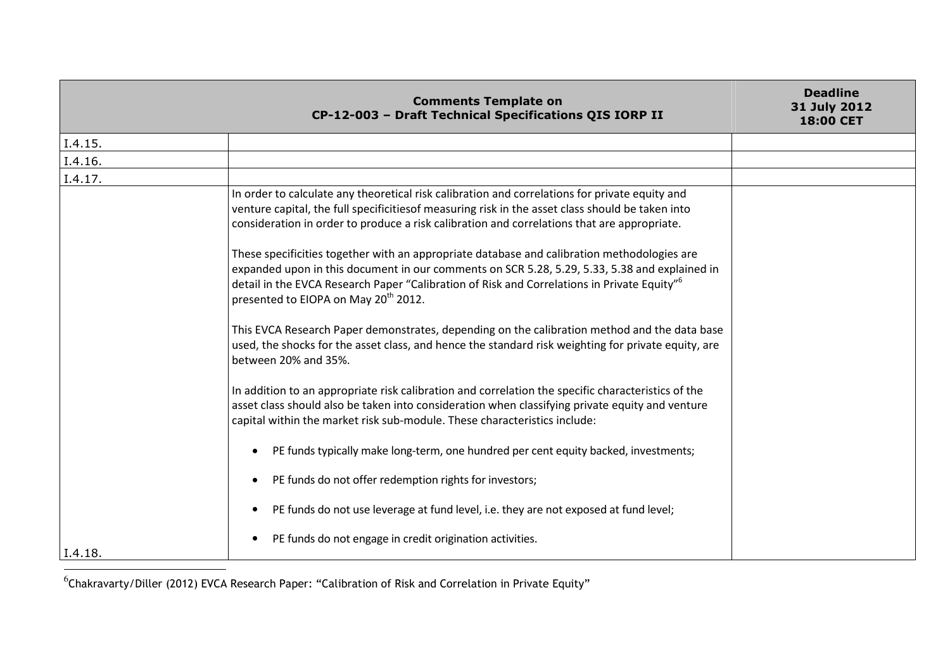|         | <b>Comments Template on</b><br>CP-12-003 - Draft Technical Specifications QIS IORP II                                                                                                                                                                                                                                                                                                                                                                                                                                                                                                                                                                                                                                                                                                                                                                                                                                                                                                                                                                                                                                                                                                                                                                                                                                                                                                                                                                                                                                | <b>Deadline</b><br>31 July 2012<br>18:00 CET |
|---------|----------------------------------------------------------------------------------------------------------------------------------------------------------------------------------------------------------------------------------------------------------------------------------------------------------------------------------------------------------------------------------------------------------------------------------------------------------------------------------------------------------------------------------------------------------------------------------------------------------------------------------------------------------------------------------------------------------------------------------------------------------------------------------------------------------------------------------------------------------------------------------------------------------------------------------------------------------------------------------------------------------------------------------------------------------------------------------------------------------------------------------------------------------------------------------------------------------------------------------------------------------------------------------------------------------------------------------------------------------------------------------------------------------------------------------------------------------------------------------------------------------------------|----------------------------------------------|
| I.4.15. |                                                                                                                                                                                                                                                                                                                                                                                                                                                                                                                                                                                                                                                                                                                                                                                                                                                                                                                                                                                                                                                                                                                                                                                                                                                                                                                                                                                                                                                                                                                      |                                              |
| I.4.16. |                                                                                                                                                                                                                                                                                                                                                                                                                                                                                                                                                                                                                                                                                                                                                                                                                                                                                                                                                                                                                                                                                                                                                                                                                                                                                                                                                                                                                                                                                                                      |                                              |
| I.4.17. |                                                                                                                                                                                                                                                                                                                                                                                                                                                                                                                                                                                                                                                                                                                                                                                                                                                                                                                                                                                                                                                                                                                                                                                                                                                                                                                                                                                                                                                                                                                      |                                              |
| I.4.18. | In order to calculate any theoretical risk calibration and correlations for private equity and<br>venture capital, the full specificitiesof measuring risk in the asset class should be taken into<br>consideration in order to produce a risk calibration and correlations that are appropriate.<br>These specificities together with an appropriate database and calibration methodologies are<br>expanded upon in this document in our comments on SCR 5.28, 5.29, 5.33, 5.38 and explained in<br>detail in the EVCA Research Paper "Calibration of Risk and Correlations in Private Equity" <sup>6</sup><br>presented to EIOPA on May 20 <sup>th</sup> 2012.<br>This EVCA Research Paper demonstrates, depending on the calibration method and the data base<br>used, the shocks for the asset class, and hence the standard risk weighting for private equity, are<br>between 20% and 35%.<br>In addition to an appropriate risk calibration and correlation the specific characteristics of the<br>asset class should also be taken into consideration when classifying private equity and venture<br>capital within the market risk sub-module. These characteristics include:<br>PE funds typically make long-term, one hundred per cent equity backed, investments;<br>PE funds do not offer redemption rights for investors;<br>$\bullet$<br>PE funds do not use leverage at fund level, i.e. they are not exposed at fund level;<br>PE funds do not engage in credit origination activities.<br>$\bullet$ |                                              |

 $^6$ Chakravarty/Diller (2012) EVCA Research Paper: "Calibration of Risk and Correlation in Private Equity"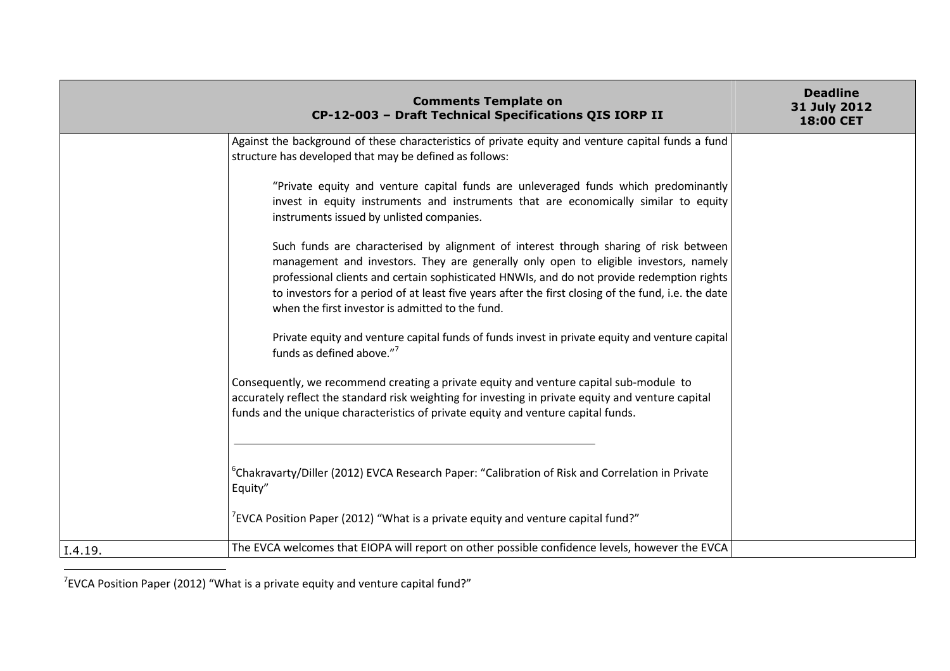|         | <b>Comments Template on</b><br>CP-12-003 - Draft Technical Specifications QIS IORP II                                                                                                                                                                                                                                                                                                                                                  | <b>Deadline</b><br>31 July 2012<br>18:00 CET |
|---------|----------------------------------------------------------------------------------------------------------------------------------------------------------------------------------------------------------------------------------------------------------------------------------------------------------------------------------------------------------------------------------------------------------------------------------------|----------------------------------------------|
|         | Against the background of these characteristics of private equity and venture capital funds a fund<br>structure has developed that may be defined as follows:                                                                                                                                                                                                                                                                          |                                              |
|         | "Private equity and venture capital funds are unleveraged funds which predominantly<br>invest in equity instruments and instruments that are economically similar to equity<br>instruments issued by unlisted companies.                                                                                                                                                                                                               |                                              |
|         | Such funds are characterised by alignment of interest through sharing of risk between<br>management and investors. They are generally only open to eligible investors, namely<br>professional clients and certain sophisticated HNWIs, and do not provide redemption rights<br>to investors for a period of at least five years after the first closing of the fund, i.e. the date<br>when the first investor is admitted to the fund. |                                              |
|         | Private equity and venture capital funds of funds invest in private equity and venture capital<br>funds as defined above." <sup>7</sup>                                                                                                                                                                                                                                                                                                |                                              |
|         | Consequently, we recommend creating a private equity and venture capital sub-module to<br>accurately reflect the standard risk weighting for investing in private equity and venture capital<br>funds and the unique characteristics of private equity and venture capital funds.                                                                                                                                                      |                                              |
|         | <sup>6</sup> Chakravarty/Diller (2012) EVCA Research Paper: "Calibration of Risk and Correlation in Private<br>Equity"<br>$\degree$ EVCA Position Paper (2012) "What is a private equity and venture capital fund?"                                                                                                                                                                                                                    |                                              |
| I.4.19. | The EVCA welcomes that EIOPA will report on other possible confidence levels, however the EVCA                                                                                                                                                                                                                                                                                                                                         |                                              |

 $7$ EVCA Position Paper (2012) "What is a private equity and venture capital fund?"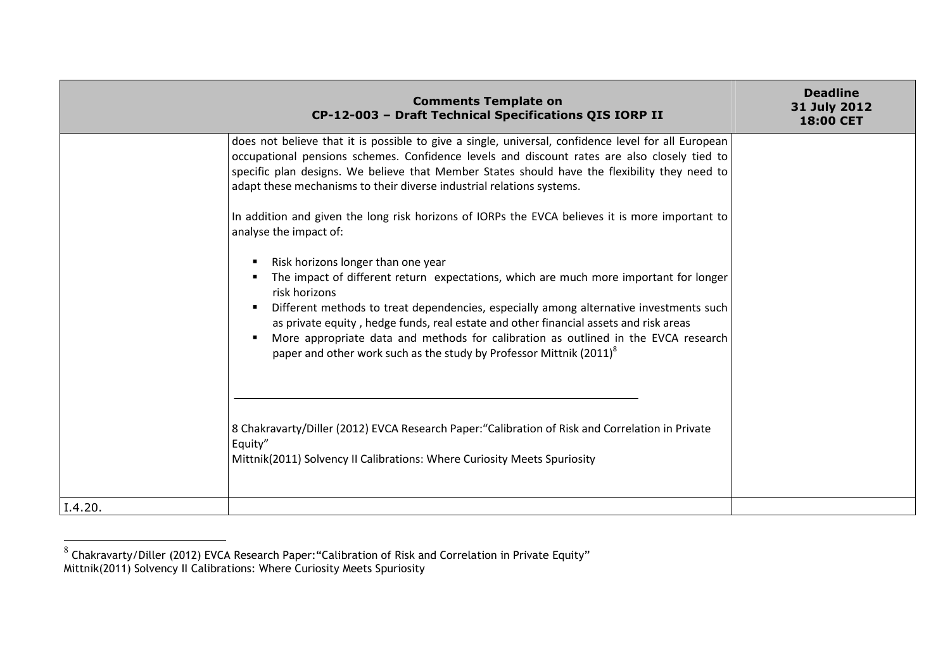| <b>Comments Template on</b><br>CP-12-003 - Draft Technical Specifications QIS IORP II                                                                                                                                                                                                                                                                                                                                                                                                                    | <b>Deadline</b><br>31 July 2012<br>18:00 CET |
|----------------------------------------------------------------------------------------------------------------------------------------------------------------------------------------------------------------------------------------------------------------------------------------------------------------------------------------------------------------------------------------------------------------------------------------------------------------------------------------------------------|----------------------------------------------|
| does not believe that it is possible to give a single, universal, confidence level for all European<br>occupational pensions schemes. Confidence levels and discount rates are also closely tied to<br>specific plan designs. We believe that Member States should have the flexibility they need to<br>adapt these mechanisms to their diverse industrial relations systems.                                                                                                                            |                                              |
| In addition and given the long risk horizons of IORPs the EVCA believes it is more important to<br>analyse the impact of:                                                                                                                                                                                                                                                                                                                                                                                |                                              |
| Risk horizons longer than one year<br>The impact of different return expectations, which are much more important for longer<br>risk horizons<br>Different methods to treat dependencies, especially among alternative investments such<br>as private equity, hedge funds, real estate and other financial assets and risk areas<br>More appropriate data and methods for calibration as outlined in the EVCA research<br>paper and other work such as the study by Professor Mittnik (2011) <sup>8</sup> |                                              |
| 8 Chakravarty/Diller (2012) EVCA Research Paper: "Calibration of Risk and Correlation in Private<br>Equity"<br>Mittnik(2011) Solvency II Calibrations: Where Curiosity Meets Spuriosity                                                                                                                                                                                                                                                                                                                  |                                              |
| I.4.20.                                                                                                                                                                                                                                                                                                                                                                                                                                                                                                  |                                              |

<sup>&</sup>lt;sup>8</sup> Chakravarty/Diller (2012) EVCA Research Paper:"Calibration of Risk and Correlation in Private Equity"<br>Mittnik(2011) Solvency II Calibrations: Where Curiosity Meets Spuriosity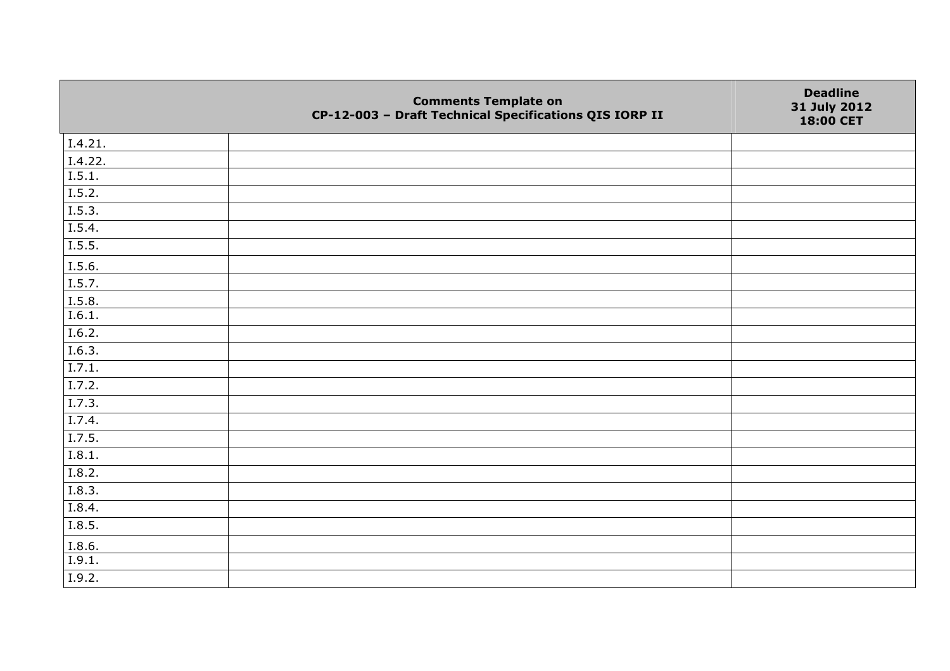|         | <b>Comments Template on</b><br>CP-12-003 - Draft Technical Specifications QIS IORP II | <b>Deadline</b><br>31 July 2012<br>18:00 CET |
|---------|---------------------------------------------------------------------------------------|----------------------------------------------|
| I.4.21. |                                                                                       |                                              |
| I.4.22. |                                                                                       |                                              |
| I.5.1.  |                                                                                       |                                              |
| I.5.2.  |                                                                                       |                                              |
| I.5.3.  |                                                                                       |                                              |
| I.5.4.  |                                                                                       |                                              |
| I.5.5.  |                                                                                       |                                              |
| I.5.6.  |                                                                                       |                                              |
| I.5.7.  |                                                                                       |                                              |
| I.5.8.  |                                                                                       |                                              |
| I.6.1.  |                                                                                       |                                              |
| I.6.2.  |                                                                                       |                                              |
| I.6.3.  |                                                                                       |                                              |
| I.7.1.  |                                                                                       |                                              |
| I.7.2.  |                                                                                       |                                              |
| I.7.3.  |                                                                                       |                                              |
| I.7.4.  |                                                                                       |                                              |
| I.7.5.  |                                                                                       |                                              |
| I.8.1.  |                                                                                       |                                              |
| 1.8.2.  |                                                                                       |                                              |
| I.8.3.  |                                                                                       |                                              |
| I.8.4.  |                                                                                       |                                              |
| I.8.5.  |                                                                                       |                                              |
| I.8.6.  |                                                                                       |                                              |
| I.9.1.  |                                                                                       |                                              |
| I.9.2.  |                                                                                       |                                              |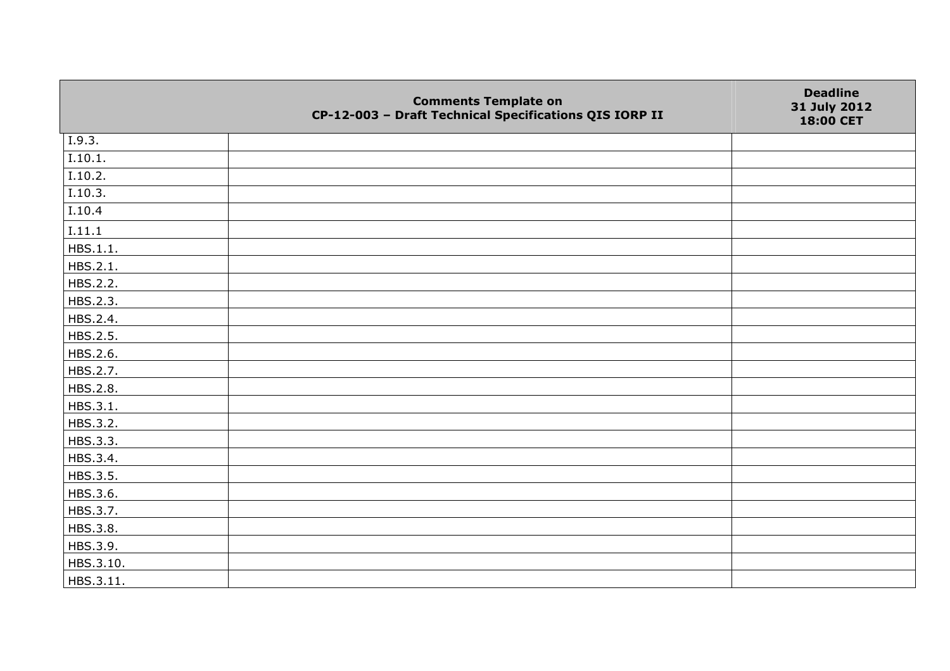|                     | <b>Comments Template on</b><br>CP-12-003 - Draft Technical Specifications QIS IORP II | <b>Deadline</b><br>31 July 2012<br>18:00 CET |
|---------------------|---------------------------------------------------------------------------------------|----------------------------------------------|
| 1.9.3.              |                                                                                       |                                              |
| I.10.1.             |                                                                                       |                                              |
| I.10.2.             |                                                                                       |                                              |
| I.10.3.             |                                                                                       |                                              |
| $\overline{I.10.4}$ |                                                                                       |                                              |
| I.11.1              |                                                                                       |                                              |
| HBS.1.1.            |                                                                                       |                                              |
| HBS.2.1.            |                                                                                       |                                              |
| HBS.2.2.            |                                                                                       |                                              |
| HBS.2.3.            |                                                                                       |                                              |
| HBS.2.4.            |                                                                                       |                                              |
| HBS.2.5.            |                                                                                       |                                              |
| HBS.2.6.            |                                                                                       |                                              |
| HBS.2.7.            |                                                                                       |                                              |
| HBS.2.8.            |                                                                                       |                                              |
| HBS.3.1.            |                                                                                       |                                              |
| HBS.3.2.            |                                                                                       |                                              |
| HBS.3.3.            |                                                                                       |                                              |
| HBS.3.4.            |                                                                                       |                                              |
| HBS.3.5.            |                                                                                       |                                              |
| HBS.3.6.            |                                                                                       |                                              |
| HBS.3.7.            |                                                                                       |                                              |
| HBS.3.8.            |                                                                                       |                                              |
| HBS.3.9.            |                                                                                       |                                              |
| HBS.3.10.           |                                                                                       |                                              |
| HBS.3.11.           |                                                                                       |                                              |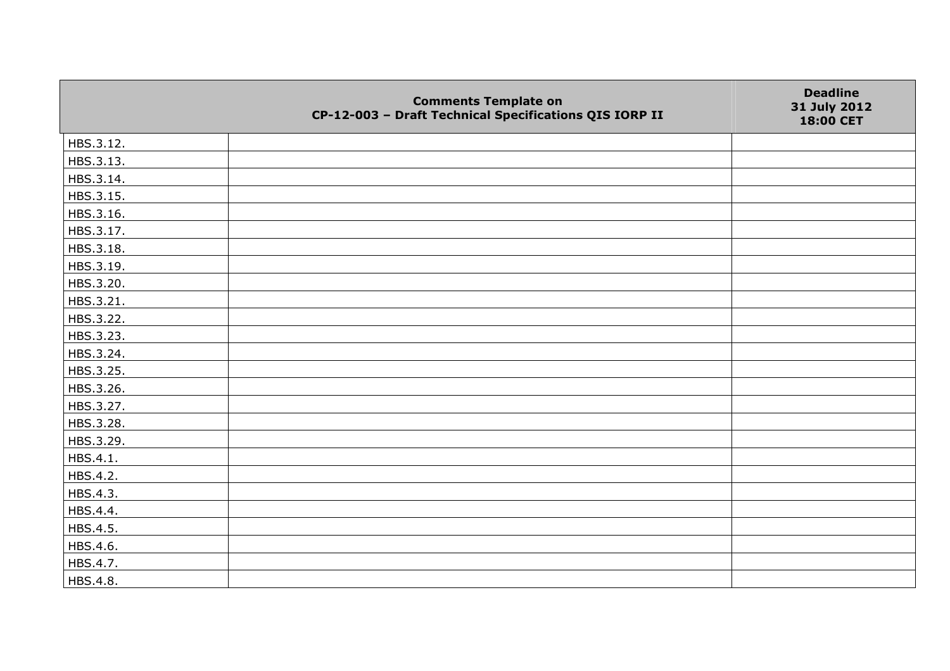|           | <b>Comments Template on</b><br>CP-12-003 - Draft Technical Specifications QIS IORP II | <b>Deadline</b><br>31 July 2012<br>18:00 CET |
|-----------|---------------------------------------------------------------------------------------|----------------------------------------------|
| HBS.3.12. |                                                                                       |                                              |
| HBS.3.13. |                                                                                       |                                              |
| HBS.3.14. |                                                                                       |                                              |
| HBS.3.15. |                                                                                       |                                              |
| HBS.3.16. |                                                                                       |                                              |
| HBS.3.17. |                                                                                       |                                              |
| HBS.3.18. |                                                                                       |                                              |
| HBS.3.19. |                                                                                       |                                              |
| HBS.3.20. |                                                                                       |                                              |
| HBS.3.21. |                                                                                       |                                              |
| HBS.3.22. |                                                                                       |                                              |
| HBS.3.23. |                                                                                       |                                              |
| HBS.3.24. |                                                                                       |                                              |
| HBS.3.25. |                                                                                       |                                              |
| HBS.3.26. |                                                                                       |                                              |
| HBS.3.27. |                                                                                       |                                              |
| HBS.3.28. |                                                                                       |                                              |
| HBS.3.29. |                                                                                       |                                              |
| HBS.4.1.  |                                                                                       |                                              |
| HBS.4.2.  |                                                                                       |                                              |
| HBS.4.3.  |                                                                                       |                                              |
| HBS.4.4.  |                                                                                       |                                              |
| HBS.4.5.  |                                                                                       |                                              |
| HBS.4.6.  |                                                                                       |                                              |
| HBS.4.7.  |                                                                                       |                                              |
| HBS.4.8.  |                                                                                       |                                              |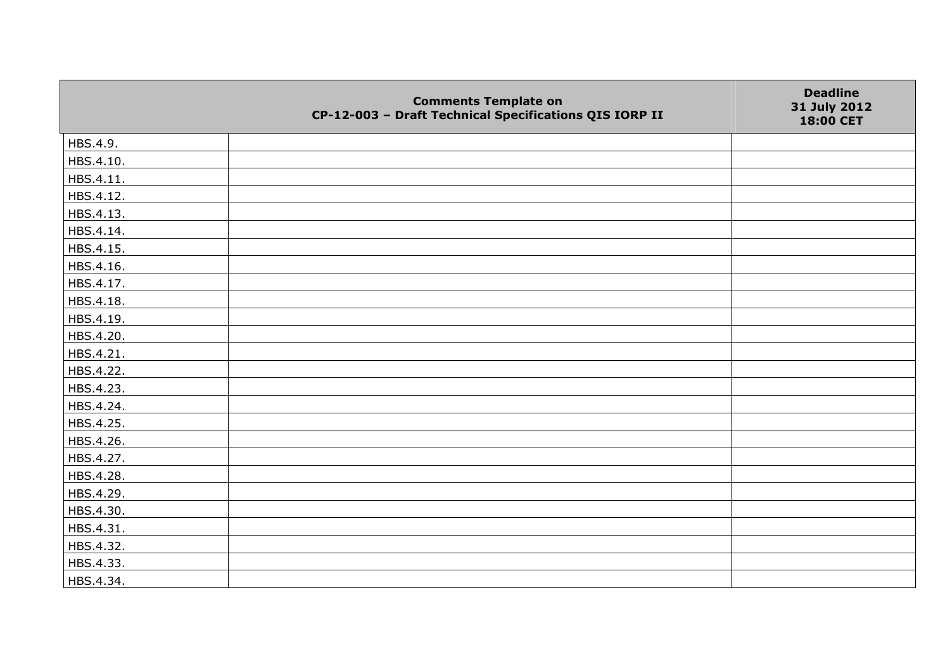|           | <b>Comments Template on</b><br>CP-12-003 - Draft Technical Specifications QIS IORP II | <b>Deadline</b><br>31 July 2012<br>18:00 CET |
|-----------|---------------------------------------------------------------------------------------|----------------------------------------------|
| HBS.4.9.  |                                                                                       |                                              |
| HBS.4.10. |                                                                                       |                                              |
| HBS.4.11. |                                                                                       |                                              |
| HBS.4.12. |                                                                                       |                                              |
| HBS.4.13. |                                                                                       |                                              |
| HBS.4.14. |                                                                                       |                                              |
| HBS.4.15. |                                                                                       |                                              |
| HBS.4.16. |                                                                                       |                                              |
| HBS.4.17. |                                                                                       |                                              |
| HBS.4.18. |                                                                                       |                                              |
| HBS.4.19. |                                                                                       |                                              |
| HBS.4.20. |                                                                                       |                                              |
| HBS.4.21. |                                                                                       |                                              |
| HBS.4.22. |                                                                                       |                                              |
| HBS.4.23. |                                                                                       |                                              |
| HBS.4.24. |                                                                                       |                                              |
| HBS.4.25. |                                                                                       |                                              |
| HBS.4.26. |                                                                                       |                                              |
| HBS.4.27. |                                                                                       |                                              |
| HBS.4.28. |                                                                                       |                                              |
| HBS.4.29. |                                                                                       |                                              |
| HBS.4.30. |                                                                                       |                                              |
| HBS.4.31. |                                                                                       |                                              |
| HBS.4.32. |                                                                                       |                                              |
| HBS.4.33. |                                                                                       |                                              |
| HBS.4.34. |                                                                                       |                                              |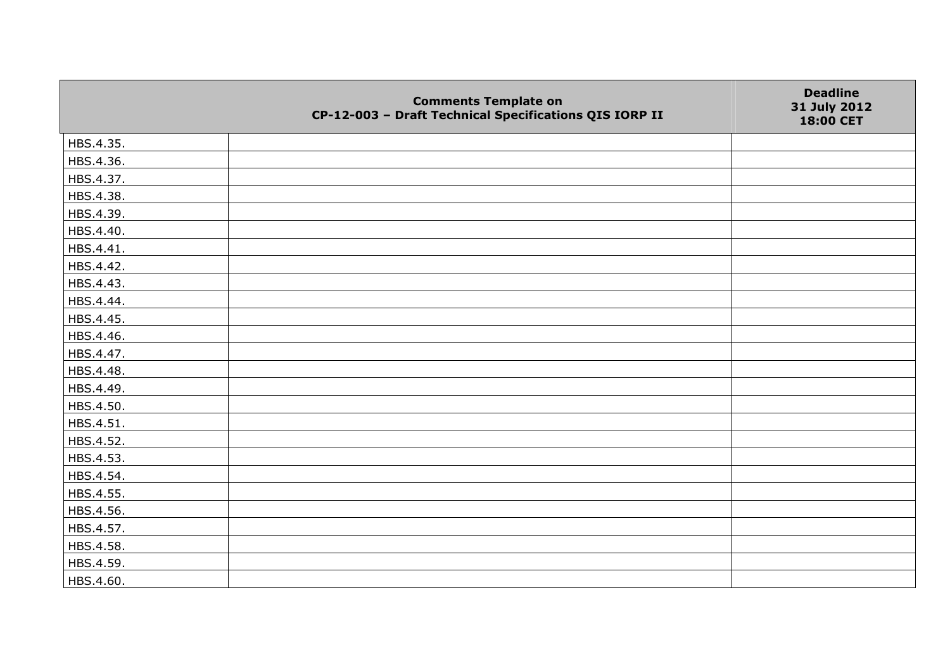|           | <b>Comments Template on</b><br>CP-12-003 - Draft Technical Specifications QIS IORP II | <b>Deadline</b><br>31 July 2012<br>18:00 CET |
|-----------|---------------------------------------------------------------------------------------|----------------------------------------------|
| HBS.4.35. |                                                                                       |                                              |
| HBS.4.36. |                                                                                       |                                              |
| HBS.4.37. |                                                                                       |                                              |
| HBS.4.38. |                                                                                       |                                              |
| HBS.4.39. |                                                                                       |                                              |
| HBS.4.40. |                                                                                       |                                              |
| HBS.4.41. |                                                                                       |                                              |
| HBS.4.42. |                                                                                       |                                              |
| HBS.4.43. |                                                                                       |                                              |
| HBS.4.44. |                                                                                       |                                              |
| HBS.4.45. |                                                                                       |                                              |
| HBS.4.46. |                                                                                       |                                              |
| HBS.4.47. |                                                                                       |                                              |
| HBS.4.48. |                                                                                       |                                              |
| HBS.4.49. |                                                                                       |                                              |
| HBS.4.50. |                                                                                       |                                              |
| HBS.4.51. |                                                                                       |                                              |
| HBS.4.52. |                                                                                       |                                              |
| HBS.4.53. |                                                                                       |                                              |
| HBS.4.54. |                                                                                       |                                              |
| HBS.4.55. |                                                                                       |                                              |
| HBS.4.56. |                                                                                       |                                              |
| HBS.4.57. |                                                                                       |                                              |
| HBS.4.58. |                                                                                       |                                              |
| HBS.4.59. |                                                                                       |                                              |
| HBS.4.60. |                                                                                       |                                              |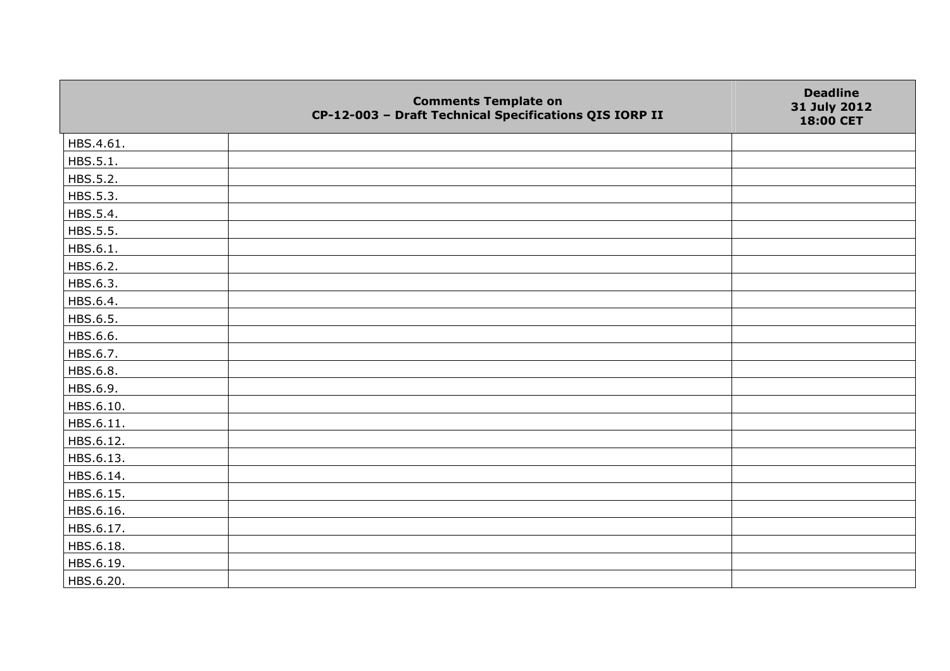|           | <b>Comments Template on</b><br>CP-12-003 - Draft Technical Specifications QIS IORP II | <b>Deadline</b><br>31 July 2012<br>18:00 CET |
|-----------|---------------------------------------------------------------------------------------|----------------------------------------------|
| HBS.4.61. |                                                                                       |                                              |
| HBS.5.1.  |                                                                                       |                                              |
| HBS.5.2.  |                                                                                       |                                              |
| HBS.5.3.  |                                                                                       |                                              |
| HBS.5.4.  |                                                                                       |                                              |
| HBS.5.5.  |                                                                                       |                                              |
| HBS.6.1.  |                                                                                       |                                              |
| HBS.6.2.  |                                                                                       |                                              |
| HBS.6.3.  |                                                                                       |                                              |
| HBS.6.4.  |                                                                                       |                                              |
| HBS.6.5.  |                                                                                       |                                              |
| HBS.6.6.  |                                                                                       |                                              |
| HBS.6.7.  |                                                                                       |                                              |
| HBS.6.8.  |                                                                                       |                                              |
| HBS.6.9.  |                                                                                       |                                              |
| HBS.6.10. |                                                                                       |                                              |
| HBS.6.11. |                                                                                       |                                              |
| HBS.6.12. |                                                                                       |                                              |
| HBS.6.13. |                                                                                       |                                              |
| HBS.6.14. |                                                                                       |                                              |
| HBS.6.15. |                                                                                       |                                              |
| HBS.6.16. |                                                                                       |                                              |
| HBS.6.17. |                                                                                       |                                              |
| HBS.6.18. |                                                                                       |                                              |
| HBS.6.19. |                                                                                       |                                              |
| HBS.6.20. |                                                                                       |                                              |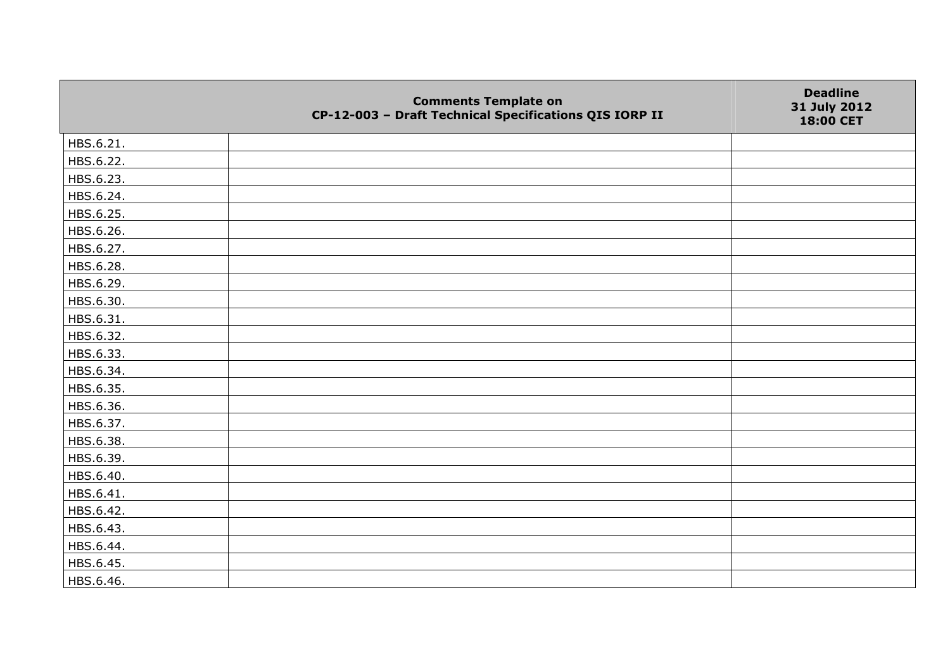|           | <b>Comments Template on</b><br>CP-12-003 - Draft Technical Specifications QIS IORP II | <b>Deadline</b><br>31 July 2012<br>18:00 CET |
|-----------|---------------------------------------------------------------------------------------|----------------------------------------------|
| HBS.6.21. |                                                                                       |                                              |
| HBS.6.22. |                                                                                       |                                              |
| HBS.6.23. |                                                                                       |                                              |
| HBS.6.24. |                                                                                       |                                              |
| HBS.6.25. |                                                                                       |                                              |
| HBS.6.26. |                                                                                       |                                              |
| HBS.6.27. |                                                                                       |                                              |
| HBS.6.28. |                                                                                       |                                              |
| HBS.6.29. |                                                                                       |                                              |
| HBS.6.30. |                                                                                       |                                              |
| HBS.6.31. |                                                                                       |                                              |
| HBS.6.32. |                                                                                       |                                              |
| HBS.6.33. |                                                                                       |                                              |
| HBS.6.34. |                                                                                       |                                              |
| HBS.6.35. |                                                                                       |                                              |
| HBS.6.36. |                                                                                       |                                              |
| HBS.6.37. |                                                                                       |                                              |
| HBS.6.38. |                                                                                       |                                              |
| HBS.6.39. |                                                                                       |                                              |
| HBS.6.40. |                                                                                       |                                              |
| HBS.6.41. |                                                                                       |                                              |
| HBS.6.42. |                                                                                       |                                              |
| HBS.6.43. |                                                                                       |                                              |
| HBS.6.44. |                                                                                       |                                              |
| HBS.6.45. |                                                                                       |                                              |
| HBS.6.46. |                                                                                       |                                              |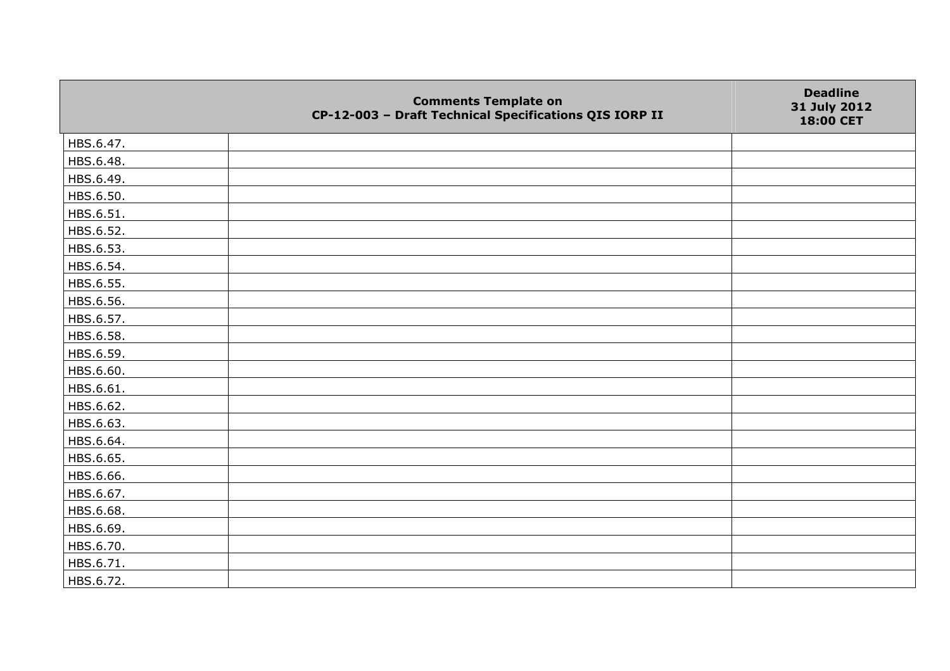|           | <b>Comments Template on</b><br>CP-12-003 - Draft Technical Specifications QIS IORP II | <b>Deadline</b><br>31 July 2012<br>18:00 CET |
|-----------|---------------------------------------------------------------------------------------|----------------------------------------------|
| HBS.6.47. |                                                                                       |                                              |
| HBS.6.48. |                                                                                       |                                              |
| HBS.6.49. |                                                                                       |                                              |
| HBS.6.50. |                                                                                       |                                              |
| HBS.6.51. |                                                                                       |                                              |
| HBS.6.52. |                                                                                       |                                              |
| HBS.6.53. |                                                                                       |                                              |
| HBS.6.54. |                                                                                       |                                              |
| HBS.6.55. |                                                                                       |                                              |
| HBS.6.56. |                                                                                       |                                              |
| HBS.6.57. |                                                                                       |                                              |
| HBS.6.58. |                                                                                       |                                              |
| HBS.6.59. |                                                                                       |                                              |
| HBS.6.60. |                                                                                       |                                              |
| HBS.6.61. |                                                                                       |                                              |
| HBS.6.62. |                                                                                       |                                              |
| HBS.6.63. |                                                                                       |                                              |
| HBS.6.64. |                                                                                       |                                              |
| HBS.6.65. |                                                                                       |                                              |
| HBS.6.66. |                                                                                       |                                              |
| HBS.6.67. |                                                                                       |                                              |
| HBS.6.68. |                                                                                       |                                              |
| HBS.6.69. |                                                                                       |                                              |
| HBS.6.70. |                                                                                       |                                              |
| HBS.6.71. |                                                                                       |                                              |
| HBS.6.72. |                                                                                       |                                              |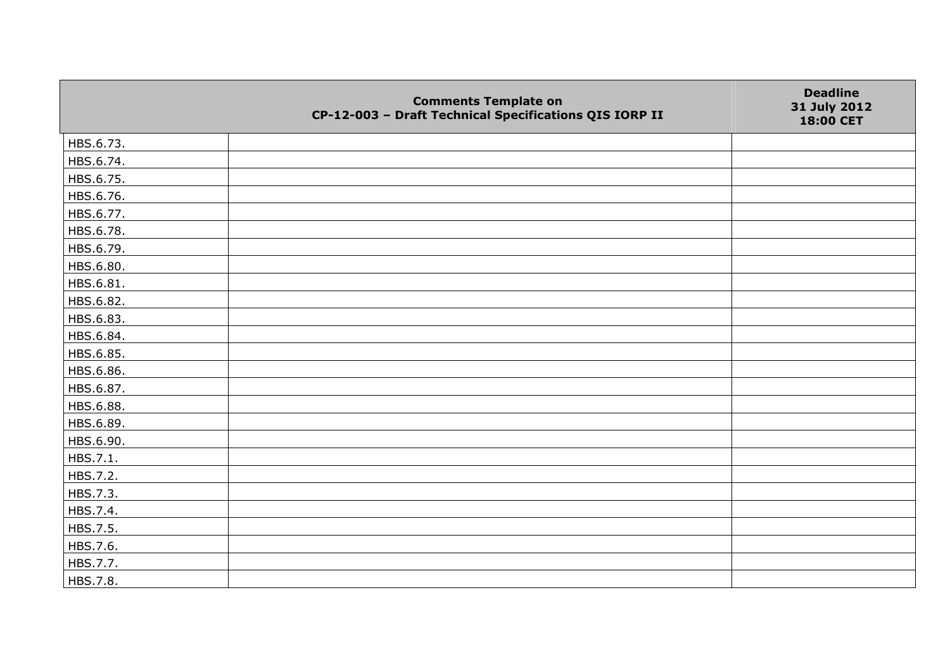|           | <b>Comments Template on</b><br>CP-12-003 - Draft Technical Specifications QIS IORP II | <b>Deadline</b><br>31 July 2012<br>18:00 CET |
|-----------|---------------------------------------------------------------------------------------|----------------------------------------------|
| HBS.6.73. |                                                                                       |                                              |
| HBS.6.74. |                                                                                       |                                              |
| HBS.6.75. |                                                                                       |                                              |
| HBS.6.76. |                                                                                       |                                              |
| HBS.6.77. |                                                                                       |                                              |
| HBS.6.78. |                                                                                       |                                              |
| HBS.6.79. |                                                                                       |                                              |
| HBS.6.80. |                                                                                       |                                              |
| HBS.6.81. |                                                                                       |                                              |
| HBS.6.82. |                                                                                       |                                              |
| HBS.6.83. |                                                                                       |                                              |
| HBS.6.84. |                                                                                       |                                              |
| HBS.6.85. |                                                                                       |                                              |
| HBS.6.86. |                                                                                       |                                              |
| HBS.6.87. |                                                                                       |                                              |
| HBS.6.88. |                                                                                       |                                              |
| HBS.6.89. |                                                                                       |                                              |
| HBS.6.90. |                                                                                       |                                              |
| HBS.7.1.  |                                                                                       |                                              |
| HBS.7.2.  |                                                                                       |                                              |
| HBS.7.3.  |                                                                                       |                                              |
| HBS.7.4.  |                                                                                       |                                              |
| HBS.7.5.  |                                                                                       |                                              |
| HBS.7.6.  |                                                                                       |                                              |
| HBS.7.7.  |                                                                                       |                                              |
| HBS.7.8.  |                                                                                       |                                              |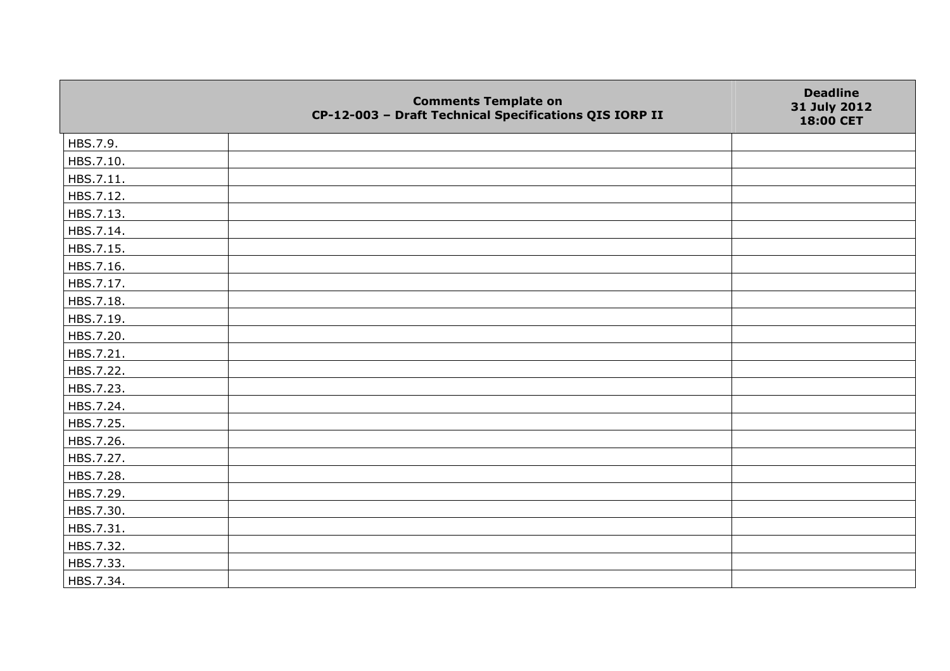|           | <b>Comments Template on</b><br>CP-12-003 - Draft Technical Specifications QIS IORP II | <b>Deadline</b><br>31 July 2012<br>18:00 CET |
|-----------|---------------------------------------------------------------------------------------|----------------------------------------------|
| HBS.7.9.  |                                                                                       |                                              |
| HBS.7.10. |                                                                                       |                                              |
| HBS.7.11. |                                                                                       |                                              |
| HBS.7.12. |                                                                                       |                                              |
| HBS.7.13. |                                                                                       |                                              |
| HBS.7.14. |                                                                                       |                                              |
| HBS.7.15. |                                                                                       |                                              |
| HBS.7.16. |                                                                                       |                                              |
| HBS.7.17. |                                                                                       |                                              |
| HBS.7.18. |                                                                                       |                                              |
| HBS.7.19. |                                                                                       |                                              |
| HBS.7.20. |                                                                                       |                                              |
| HBS.7.21. |                                                                                       |                                              |
| HBS.7.22. |                                                                                       |                                              |
| HBS.7.23. |                                                                                       |                                              |
| HBS.7.24. |                                                                                       |                                              |
| HBS.7.25. |                                                                                       |                                              |
| HBS.7.26. |                                                                                       |                                              |
| HBS.7.27. |                                                                                       |                                              |
| HBS.7.28. |                                                                                       |                                              |
| HBS.7.29. |                                                                                       |                                              |
| HBS.7.30. |                                                                                       |                                              |
| HBS.7.31. |                                                                                       |                                              |
| HBS.7.32. |                                                                                       |                                              |
| HBS.7.33. |                                                                                       |                                              |
| HBS.7.34. |                                                                                       |                                              |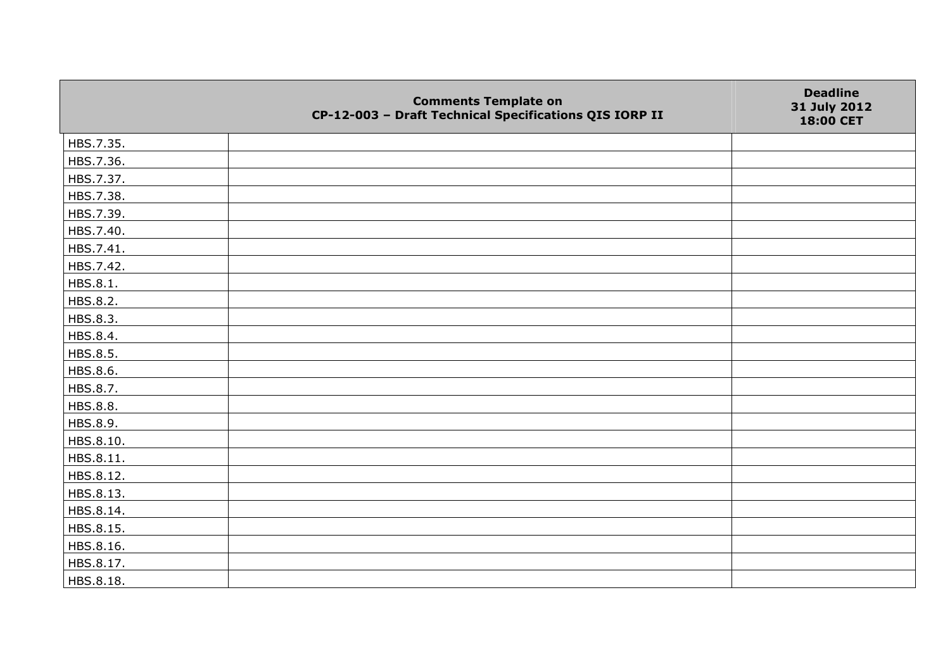|           | <b>Comments Template on</b><br>CP-12-003 - Draft Technical Specifications QIS IORP II | <b>Deadline</b><br>31 July 2012<br>18:00 CET |
|-----------|---------------------------------------------------------------------------------------|----------------------------------------------|
| HBS.7.35. |                                                                                       |                                              |
| HBS.7.36. |                                                                                       |                                              |
| HBS.7.37. |                                                                                       |                                              |
| HBS.7.38. |                                                                                       |                                              |
| HBS.7.39. |                                                                                       |                                              |
| HBS.7.40. |                                                                                       |                                              |
| HBS.7.41. |                                                                                       |                                              |
| HBS.7.42. |                                                                                       |                                              |
| HBS.8.1.  |                                                                                       |                                              |
| HBS.8.2.  |                                                                                       |                                              |
| HBS.8.3.  |                                                                                       |                                              |
| HBS.8.4.  |                                                                                       |                                              |
| HBS.8.5.  |                                                                                       |                                              |
| HBS.8.6.  |                                                                                       |                                              |
| HBS.8.7.  |                                                                                       |                                              |
| HBS.8.8.  |                                                                                       |                                              |
| HBS.8.9.  |                                                                                       |                                              |
| HBS.8.10. |                                                                                       |                                              |
| HBS.8.11. |                                                                                       |                                              |
| HBS.8.12. |                                                                                       |                                              |
| HBS.8.13. |                                                                                       |                                              |
| HBS.8.14. |                                                                                       |                                              |
| HBS.8.15. |                                                                                       |                                              |
| HBS.8.16. |                                                                                       |                                              |
| HBS.8.17. |                                                                                       |                                              |
| HBS.8.18. |                                                                                       |                                              |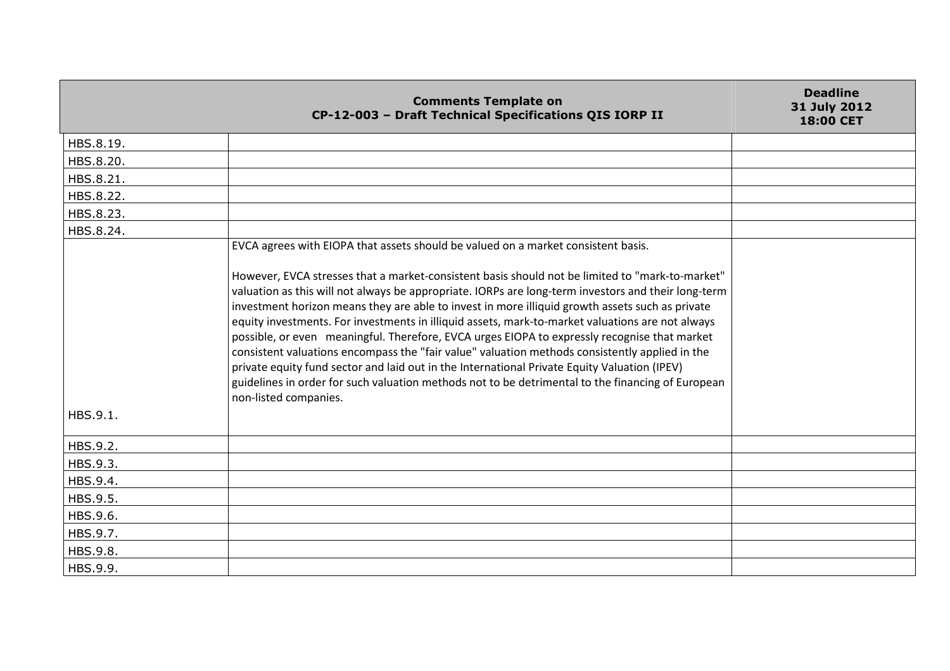|           | <b>Comments Template on</b><br>CP-12-003 - Draft Technical Specifications QIS IORP II                                                                                                                                                                                                                                                                                                                                                                                                                                                                                                                                                                                                                                                                                                                                                         | <b>Deadline</b><br>31 July 2012<br><b>18:00 CET</b> |
|-----------|-----------------------------------------------------------------------------------------------------------------------------------------------------------------------------------------------------------------------------------------------------------------------------------------------------------------------------------------------------------------------------------------------------------------------------------------------------------------------------------------------------------------------------------------------------------------------------------------------------------------------------------------------------------------------------------------------------------------------------------------------------------------------------------------------------------------------------------------------|-----------------------------------------------------|
| HBS.8.19. |                                                                                                                                                                                                                                                                                                                                                                                                                                                                                                                                                                                                                                                                                                                                                                                                                                               |                                                     |
| HBS.8.20. |                                                                                                                                                                                                                                                                                                                                                                                                                                                                                                                                                                                                                                                                                                                                                                                                                                               |                                                     |
| HBS.8.21. |                                                                                                                                                                                                                                                                                                                                                                                                                                                                                                                                                                                                                                                                                                                                                                                                                                               |                                                     |
| HBS.8.22. |                                                                                                                                                                                                                                                                                                                                                                                                                                                                                                                                                                                                                                                                                                                                                                                                                                               |                                                     |
| HBS.8.23. |                                                                                                                                                                                                                                                                                                                                                                                                                                                                                                                                                                                                                                                                                                                                                                                                                                               |                                                     |
| HBS.8.24. |                                                                                                                                                                                                                                                                                                                                                                                                                                                                                                                                                                                                                                                                                                                                                                                                                                               |                                                     |
|           | EVCA agrees with EIOPA that assets should be valued on a market consistent basis.                                                                                                                                                                                                                                                                                                                                                                                                                                                                                                                                                                                                                                                                                                                                                             |                                                     |
| HBS.9.1.  | However, EVCA stresses that a market-consistent basis should not be limited to "mark-to-market"<br>valuation as this will not always be appropriate. IORPs are long-term investors and their long-term<br>investment horizon means they are able to invest in more illiquid growth assets such as private<br>equity investments. For investments in illiquid assets, mark-to-market valuations are not always<br>possible, or even meaningful. Therefore, EVCA urges EIOPA to expressly recognise that market<br>consistent valuations encompass the "fair value" valuation methods consistently applied in the<br>private equity fund sector and laid out in the International Private Equity Valuation (IPEV)<br>guidelines in order for such valuation methods not to be detrimental to the financing of European<br>non-listed companies. |                                                     |
| HBS.9.2.  |                                                                                                                                                                                                                                                                                                                                                                                                                                                                                                                                                                                                                                                                                                                                                                                                                                               |                                                     |
| HBS.9.3.  |                                                                                                                                                                                                                                                                                                                                                                                                                                                                                                                                                                                                                                                                                                                                                                                                                                               |                                                     |
| HBS.9.4.  |                                                                                                                                                                                                                                                                                                                                                                                                                                                                                                                                                                                                                                                                                                                                                                                                                                               |                                                     |
| HBS.9.5.  |                                                                                                                                                                                                                                                                                                                                                                                                                                                                                                                                                                                                                                                                                                                                                                                                                                               |                                                     |
| HBS.9.6.  |                                                                                                                                                                                                                                                                                                                                                                                                                                                                                                                                                                                                                                                                                                                                                                                                                                               |                                                     |
| HBS.9.7.  |                                                                                                                                                                                                                                                                                                                                                                                                                                                                                                                                                                                                                                                                                                                                                                                                                                               |                                                     |
| HBS.9.8.  |                                                                                                                                                                                                                                                                                                                                                                                                                                                                                                                                                                                                                                                                                                                                                                                                                                               |                                                     |
| HBS.9.9.  |                                                                                                                                                                                                                                                                                                                                                                                                                                                                                                                                                                                                                                                                                                                                                                                                                                               |                                                     |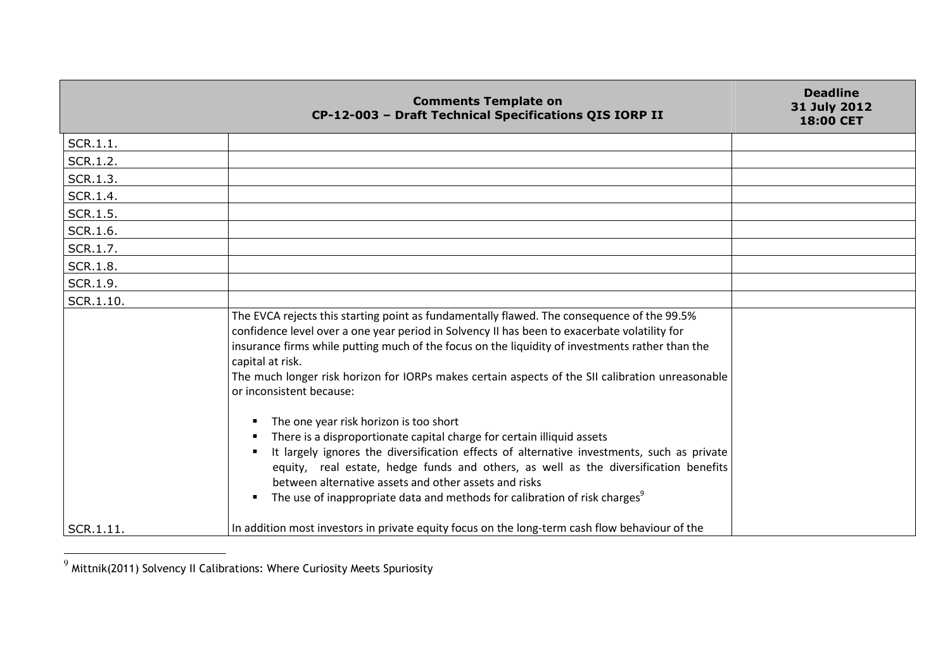|               | <b>Comments Template on</b><br>CP-12-003 - Draft Technical Specifications QIS IORP II                                                                                                                                                                                                                                                                                                                                                                          | <b>Deadline</b><br>31 July 2012<br>18:00 CET |
|---------------|----------------------------------------------------------------------------------------------------------------------------------------------------------------------------------------------------------------------------------------------------------------------------------------------------------------------------------------------------------------------------------------------------------------------------------------------------------------|----------------------------------------------|
| SCR.1.1.      |                                                                                                                                                                                                                                                                                                                                                                                                                                                                |                                              |
| SCR.1.2.      |                                                                                                                                                                                                                                                                                                                                                                                                                                                                |                                              |
| SCR.1.3.      |                                                                                                                                                                                                                                                                                                                                                                                                                                                                |                                              |
| SCR.1.4.      |                                                                                                                                                                                                                                                                                                                                                                                                                                                                |                                              |
| SCR.1.5.      |                                                                                                                                                                                                                                                                                                                                                                                                                                                                |                                              |
| SCR.1.6.      |                                                                                                                                                                                                                                                                                                                                                                                                                                                                |                                              |
| SCR.1.7.      |                                                                                                                                                                                                                                                                                                                                                                                                                                                                |                                              |
| SCR.1.8.      |                                                                                                                                                                                                                                                                                                                                                                                                                                                                |                                              |
| SCR.1.9.      |                                                                                                                                                                                                                                                                                                                                                                                                                                                                |                                              |
| SCR.1.10.     |                                                                                                                                                                                                                                                                                                                                                                                                                                                                |                                              |
|               | The EVCA rejects this starting point as fundamentally flawed. The consequence of the 99.5%<br>confidence level over a one year period in Solvency II has been to exacerbate volatility for<br>insurance firms while putting much of the focus on the liquidity of investments rather than the<br>capital at risk.<br>The much longer risk horizon for IORPs makes certain aspects of the SII calibration unreasonable<br>or inconsistent because:              |                                              |
|               | The one year risk horizon is too short<br>There is a disproportionate capital charge for certain illiquid assets<br>It largely ignores the diversification effects of alternative investments, such as private<br>equity, real estate, hedge funds and others, as well as the diversification benefits<br>between alternative assets and other assets and risks<br>The use of inappropriate data and methods for calibration of risk charges <sup>9</sup><br>٠ |                                              |
| $ $ SCR.1.11. | In addition most investors in private equity focus on the long-term cash flow behaviour of the                                                                                                                                                                                                                                                                                                                                                                 |                                              |

 $^9$  Mittnik(2011) Solvency II Calibrations: Where Curiosity Meets Spuriosity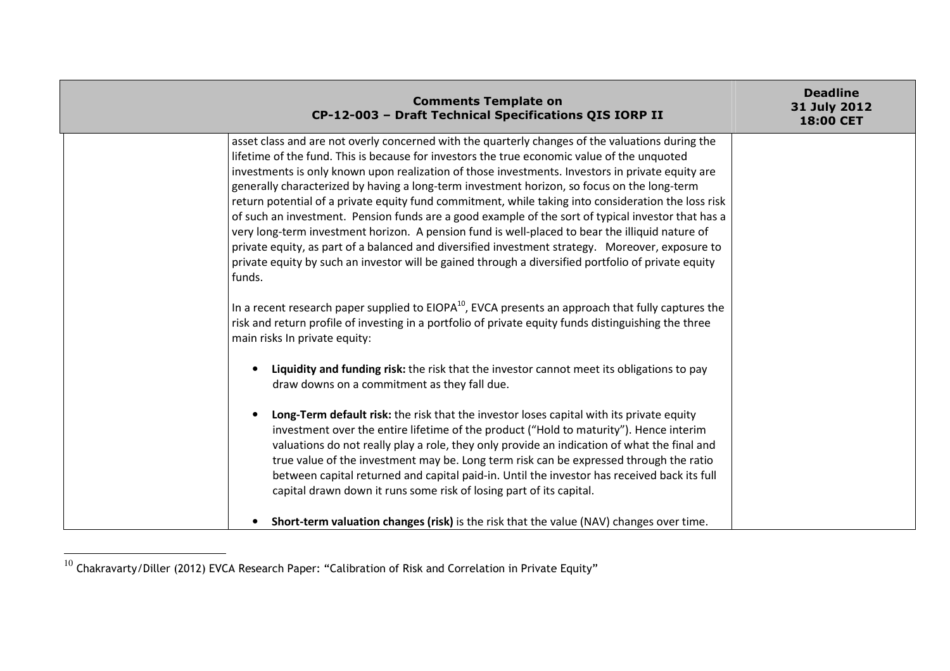| <b>Comments Template on</b><br>CP-12-003 - Draft Technical Specifications QIS IORP II                                                                                                                                                                                                                                                                                                                                                                                                                                                                                                                                                                                                                                                                                                                                                                                                                                                   | <b>Deadline</b><br>31 July 2012<br>18:00 CET |
|-----------------------------------------------------------------------------------------------------------------------------------------------------------------------------------------------------------------------------------------------------------------------------------------------------------------------------------------------------------------------------------------------------------------------------------------------------------------------------------------------------------------------------------------------------------------------------------------------------------------------------------------------------------------------------------------------------------------------------------------------------------------------------------------------------------------------------------------------------------------------------------------------------------------------------------------|----------------------------------------------|
| asset class and are not overly concerned with the quarterly changes of the valuations during the<br>lifetime of the fund. This is because for investors the true economic value of the unquoted<br>investments is only known upon realization of those investments. Investors in private equity are<br>generally characterized by having a long-term investment horizon, so focus on the long-term<br>return potential of a private equity fund commitment, while taking into consideration the loss risk<br>of such an investment. Pension funds are a good example of the sort of typical investor that has a<br>very long-term investment horizon. A pension fund is well-placed to bear the illiquid nature of<br>private equity, as part of a balanced and diversified investment strategy. Moreover, exposure to<br>private equity by such an investor will be gained through a diversified portfolio of private equity<br>funds. |                                              |
| In a recent research paper supplied to $EIOPA^{10}$ , EVCA presents an approach that fully captures the<br>risk and return profile of investing in a portfolio of private equity funds distinguishing the three<br>main risks In private equity:                                                                                                                                                                                                                                                                                                                                                                                                                                                                                                                                                                                                                                                                                        |                                              |
| Liquidity and funding risk: the risk that the investor cannot meet its obligations to pay<br>draw downs on a commitment as they fall due.                                                                                                                                                                                                                                                                                                                                                                                                                                                                                                                                                                                                                                                                                                                                                                                               |                                              |
| Long-Term default risk: the risk that the investor loses capital with its private equity<br>investment over the entire lifetime of the product ("Hold to maturity"). Hence interim<br>valuations do not really play a role, they only provide an indication of what the final and<br>true value of the investment may be. Long term risk can be expressed through the ratio<br>between capital returned and capital paid-in. Until the investor has received back its full<br>capital drawn down it runs some risk of losing part of its capital.                                                                                                                                                                                                                                                                                                                                                                                       |                                              |
| Short-term valuation changes (risk) is the risk that the value (NAV) changes over time.                                                                                                                                                                                                                                                                                                                                                                                                                                                                                                                                                                                                                                                                                                                                                                                                                                                 |                                              |

 $^{10}$  Chakravarty/Diller (2012) EVCA Research Paper: "Calibration of Risk and Correlation in Private Equity"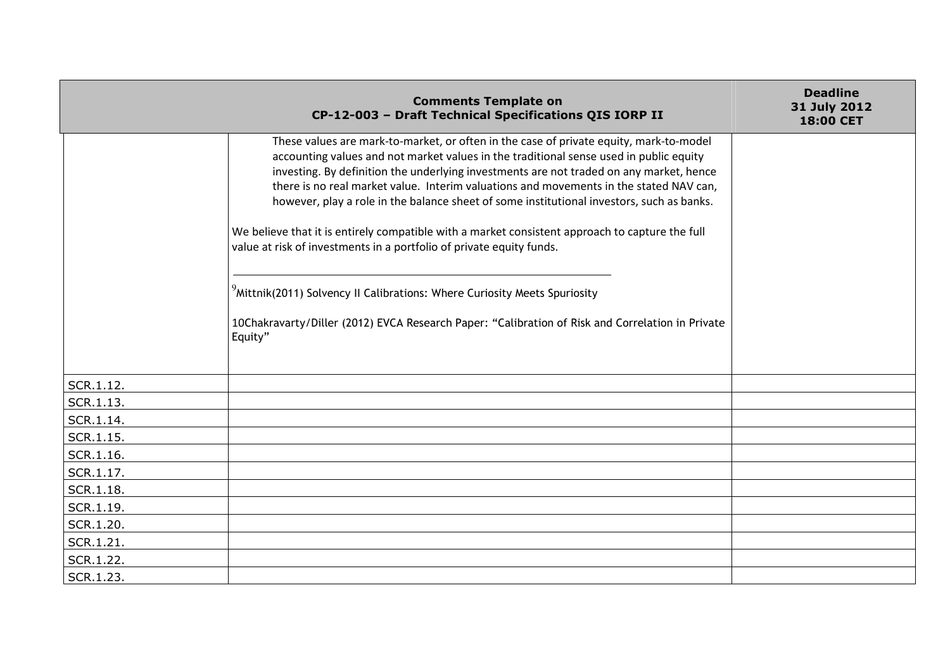|                        | <b>Comments Template on</b><br>CP-12-003 - Draft Technical Specifications QIS IORP II                                                                                                                                                                                                                                                                                                                                                                                                                                                                                                                                                                                                                                                                                                                                                                 | <b>Deadline</b><br>31 July 2012<br>18:00 CET |
|------------------------|-------------------------------------------------------------------------------------------------------------------------------------------------------------------------------------------------------------------------------------------------------------------------------------------------------------------------------------------------------------------------------------------------------------------------------------------------------------------------------------------------------------------------------------------------------------------------------------------------------------------------------------------------------------------------------------------------------------------------------------------------------------------------------------------------------------------------------------------------------|----------------------------------------------|
|                        | These values are mark-to-market, or often in the case of private equity, mark-to-model<br>accounting values and not market values in the traditional sense used in public equity<br>investing. By definition the underlying investments are not traded on any market, hence<br>there is no real market value. Interim valuations and movements in the stated NAV can,<br>however, play a role in the balance sheet of some institutional investors, such as banks.<br>We believe that it is entirely compatible with a market consistent approach to capture the full<br>value at risk of investments in a portfolio of private equity funds.<br><sup>9</sup> Mittnik(2011) Solvency II Calibrations: Where Curiosity Meets Spuriosity<br>10Chakravarty/Diller (2012) EVCA Research Paper: "Calibration of Risk and Correlation in Private<br>Equity" |                                              |
|                        |                                                                                                                                                                                                                                                                                                                                                                                                                                                                                                                                                                                                                                                                                                                                                                                                                                                       |                                              |
| SCR.1.12.              |                                                                                                                                                                                                                                                                                                                                                                                                                                                                                                                                                                                                                                                                                                                                                                                                                                                       |                                              |
| SCR.1.13.              |                                                                                                                                                                                                                                                                                                                                                                                                                                                                                                                                                                                                                                                                                                                                                                                                                                                       |                                              |
| SCR.1.14.              |                                                                                                                                                                                                                                                                                                                                                                                                                                                                                                                                                                                                                                                                                                                                                                                                                                                       |                                              |
| SCR.1.15.              |                                                                                                                                                                                                                                                                                                                                                                                                                                                                                                                                                                                                                                                                                                                                                                                                                                                       |                                              |
| SCR.1.16.              |                                                                                                                                                                                                                                                                                                                                                                                                                                                                                                                                                                                                                                                                                                                                                                                                                                                       |                                              |
| SCR.1.17.              |                                                                                                                                                                                                                                                                                                                                                                                                                                                                                                                                                                                                                                                                                                                                                                                                                                                       |                                              |
| SCR.1.18.              |                                                                                                                                                                                                                                                                                                                                                                                                                                                                                                                                                                                                                                                                                                                                                                                                                                                       |                                              |
| SCR.1.19.<br>SCR.1.20. |                                                                                                                                                                                                                                                                                                                                                                                                                                                                                                                                                                                                                                                                                                                                                                                                                                                       |                                              |
| SCR.1.21.              |                                                                                                                                                                                                                                                                                                                                                                                                                                                                                                                                                                                                                                                                                                                                                                                                                                                       |                                              |
|                        |                                                                                                                                                                                                                                                                                                                                                                                                                                                                                                                                                                                                                                                                                                                                                                                                                                                       |                                              |
| SCR.1.22.              |                                                                                                                                                                                                                                                                                                                                                                                                                                                                                                                                                                                                                                                                                                                                                                                                                                                       |                                              |
| SCR.1.23.              |                                                                                                                                                                                                                                                                                                                                                                                                                                                                                                                                                                                                                                                                                                                                                                                                                                                       |                                              |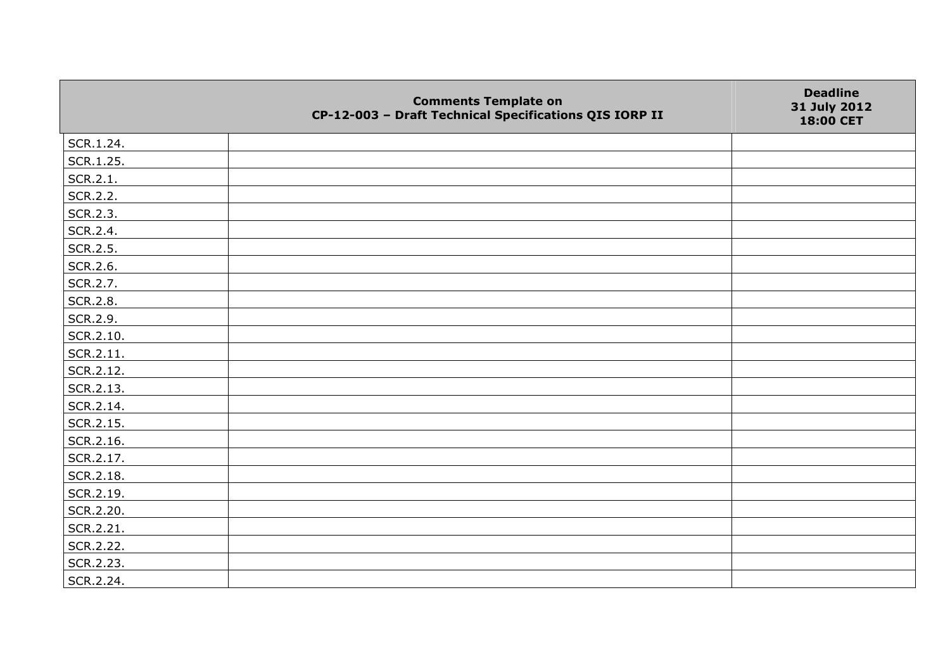|           | <b>Comments Template on</b><br>CP-12-003 - Draft Technical Specifications QIS IORP II | <b>Deadline</b><br>31 July 2012<br>18:00 CET |
|-----------|---------------------------------------------------------------------------------------|----------------------------------------------|
| SCR.1.24. |                                                                                       |                                              |
| SCR.1.25. |                                                                                       |                                              |
| SCR.2.1.  |                                                                                       |                                              |
| SCR.2.2.  |                                                                                       |                                              |
| SCR.2.3.  |                                                                                       |                                              |
| SCR.2.4.  |                                                                                       |                                              |
| SCR.2.5.  |                                                                                       |                                              |
| SCR.2.6.  |                                                                                       |                                              |
| SCR.2.7.  |                                                                                       |                                              |
| SCR.2.8.  |                                                                                       |                                              |
| SCR.2.9.  |                                                                                       |                                              |
| SCR.2.10. |                                                                                       |                                              |
| SCR.2.11. |                                                                                       |                                              |
| SCR.2.12. |                                                                                       |                                              |
| SCR.2.13. |                                                                                       |                                              |
| SCR.2.14. |                                                                                       |                                              |
| SCR.2.15. |                                                                                       |                                              |
| SCR.2.16. |                                                                                       |                                              |
| SCR.2.17. |                                                                                       |                                              |
| SCR.2.18. |                                                                                       |                                              |
| SCR.2.19. |                                                                                       |                                              |
| SCR.2.20. |                                                                                       |                                              |
| SCR.2.21. |                                                                                       |                                              |
| SCR.2.22. |                                                                                       |                                              |
| SCR.2.23. |                                                                                       |                                              |
| SCR.2.24. |                                                                                       |                                              |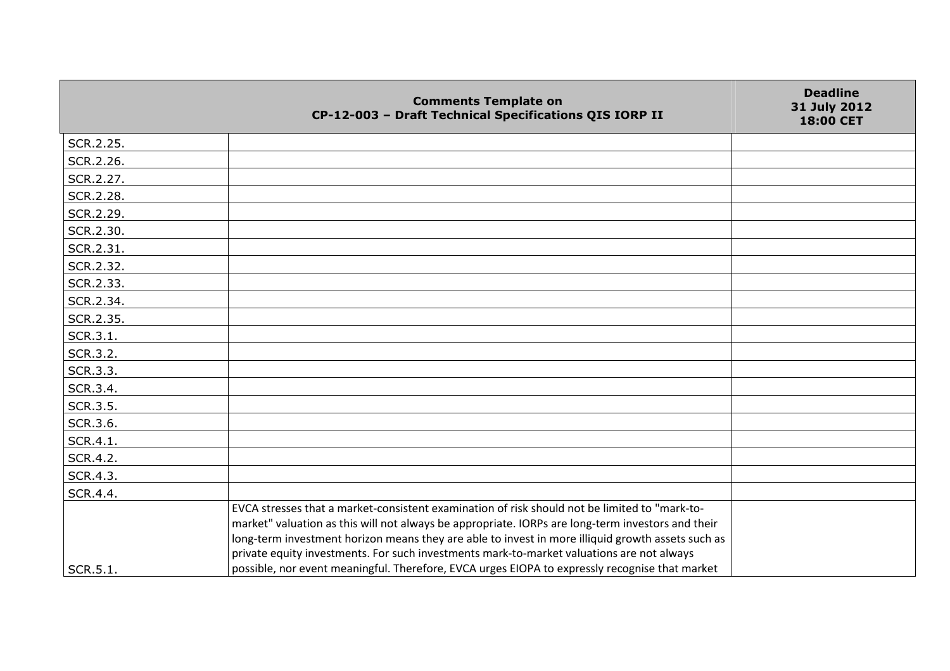|           | <b>Comments Template on</b><br>CP-12-003 - Draft Technical Specifications QIS IORP II                                                                                                                                                                                                                                                                                                                                                                                                                  | <b>Deadline</b><br>31 July 2012<br>18:00 CET |
|-----------|--------------------------------------------------------------------------------------------------------------------------------------------------------------------------------------------------------------------------------------------------------------------------------------------------------------------------------------------------------------------------------------------------------------------------------------------------------------------------------------------------------|----------------------------------------------|
| SCR.2.25. |                                                                                                                                                                                                                                                                                                                                                                                                                                                                                                        |                                              |
| SCR.2.26. |                                                                                                                                                                                                                                                                                                                                                                                                                                                                                                        |                                              |
| SCR.2.27. |                                                                                                                                                                                                                                                                                                                                                                                                                                                                                                        |                                              |
| SCR.2.28. |                                                                                                                                                                                                                                                                                                                                                                                                                                                                                                        |                                              |
| SCR.2.29. |                                                                                                                                                                                                                                                                                                                                                                                                                                                                                                        |                                              |
| SCR.2.30. |                                                                                                                                                                                                                                                                                                                                                                                                                                                                                                        |                                              |
| SCR.2.31. |                                                                                                                                                                                                                                                                                                                                                                                                                                                                                                        |                                              |
| SCR.2.32. |                                                                                                                                                                                                                                                                                                                                                                                                                                                                                                        |                                              |
| SCR.2.33. |                                                                                                                                                                                                                                                                                                                                                                                                                                                                                                        |                                              |
| SCR.2.34. |                                                                                                                                                                                                                                                                                                                                                                                                                                                                                                        |                                              |
| SCR.2.35. |                                                                                                                                                                                                                                                                                                                                                                                                                                                                                                        |                                              |
| SCR.3.1.  |                                                                                                                                                                                                                                                                                                                                                                                                                                                                                                        |                                              |
| SCR.3.2.  |                                                                                                                                                                                                                                                                                                                                                                                                                                                                                                        |                                              |
| SCR.3.3.  |                                                                                                                                                                                                                                                                                                                                                                                                                                                                                                        |                                              |
| SCR.3.4.  |                                                                                                                                                                                                                                                                                                                                                                                                                                                                                                        |                                              |
| SCR.3.5.  |                                                                                                                                                                                                                                                                                                                                                                                                                                                                                                        |                                              |
| SCR.3.6.  |                                                                                                                                                                                                                                                                                                                                                                                                                                                                                                        |                                              |
| SCR.4.1.  |                                                                                                                                                                                                                                                                                                                                                                                                                                                                                                        |                                              |
| SCR.4.2.  |                                                                                                                                                                                                                                                                                                                                                                                                                                                                                                        |                                              |
| SCR.4.3.  |                                                                                                                                                                                                                                                                                                                                                                                                                                                                                                        |                                              |
| SCR.4.4.  |                                                                                                                                                                                                                                                                                                                                                                                                                                                                                                        |                                              |
| SCR.5.1.  | EVCA stresses that a market-consistent examination of risk should not be limited to "mark-to-<br>market" valuation as this will not always be appropriate. IORPs are long-term investors and their<br>long-term investment horizon means they are able to invest in more illiquid growth assets such as<br>private equity investments. For such investments mark-to-market valuations are not always<br>possible, nor event meaningful. Therefore, EVCA urges EIOPA to expressly recognise that market |                                              |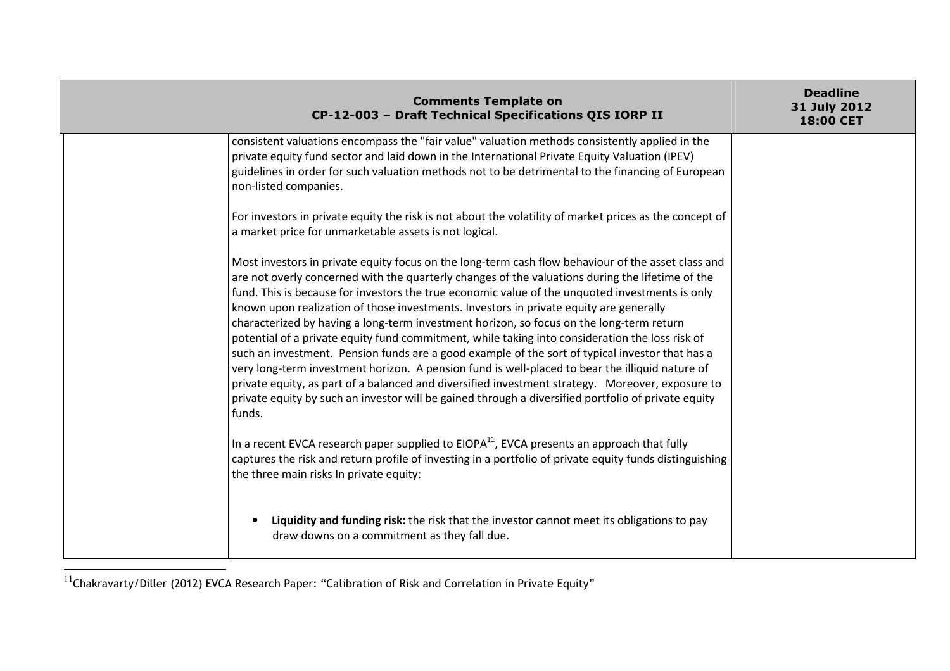| <b>Comments Template on</b><br>CP-12-003 - Draft Technical Specifications QIS IORP II                                                                                                                                                                                                                                                                                                                                                                                                                                                                                                                                                                                                                                                                                                                                                                                                                                                                                                                                         | <b>Deadline</b><br>31 July 2012<br><b>18:00 CET</b> |
|-------------------------------------------------------------------------------------------------------------------------------------------------------------------------------------------------------------------------------------------------------------------------------------------------------------------------------------------------------------------------------------------------------------------------------------------------------------------------------------------------------------------------------------------------------------------------------------------------------------------------------------------------------------------------------------------------------------------------------------------------------------------------------------------------------------------------------------------------------------------------------------------------------------------------------------------------------------------------------------------------------------------------------|-----------------------------------------------------|
| consistent valuations encompass the "fair value" valuation methods consistently applied in the<br>private equity fund sector and laid down in the International Private Equity Valuation (IPEV)<br>guidelines in order for such valuation methods not to be detrimental to the financing of European<br>non-listed companies.                                                                                                                                                                                                                                                                                                                                                                                                                                                                                                                                                                                                                                                                                                 |                                                     |
| For investors in private equity the risk is not about the volatility of market prices as the concept of<br>a market price for unmarketable assets is not logical.                                                                                                                                                                                                                                                                                                                                                                                                                                                                                                                                                                                                                                                                                                                                                                                                                                                             |                                                     |
| Most investors in private equity focus on the long-term cash flow behaviour of the asset class and<br>are not overly concerned with the quarterly changes of the valuations during the lifetime of the<br>fund. This is because for investors the true economic value of the unquoted investments is only<br>known upon realization of those investments. Investors in private equity are generally<br>characterized by having a long-term investment horizon, so focus on the long-term return<br>potential of a private equity fund commitment, while taking into consideration the loss risk of<br>such an investment. Pension funds are a good example of the sort of typical investor that has a<br>very long-term investment horizon. A pension fund is well-placed to bear the illiquid nature of<br>private equity, as part of a balanced and diversified investment strategy. Moreover, exposure to<br>private equity by such an investor will be gained through a diversified portfolio of private equity<br>funds. |                                                     |
| In a recent EVCA research paper supplied to $EIOPA11$ , EVCA presents an approach that fully<br>captures the risk and return profile of investing in a portfolio of private equity funds distinguishing<br>the three main risks In private equity:                                                                                                                                                                                                                                                                                                                                                                                                                                                                                                                                                                                                                                                                                                                                                                            |                                                     |
| Liquidity and funding risk: the risk that the investor cannot meet its obligations to pay<br>draw downs on a commitment as they fall due.                                                                                                                                                                                                                                                                                                                                                                                                                                                                                                                                                                                                                                                                                                                                                                                                                                                                                     |                                                     |

<sup>11&</sup>lt;sub>Chakravarty/Diller (2012) EVCA Research Paper: "Calibration of Risk and Correlation in Private Equity"</sub>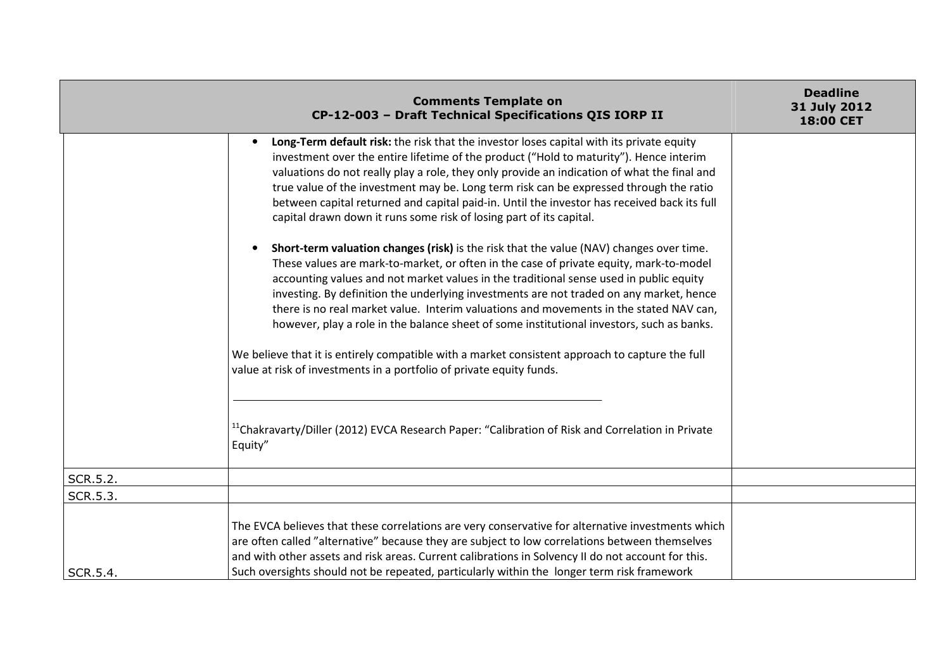|          | <b>Comments Template on</b><br>CP-12-003 - Draft Technical Specifications QIS IORP II                                                                                                                                                                                                                                                                                                                                                                                                                                                                         | <b>Deadline</b><br>31 July 2012<br>18:00 CET |
|----------|---------------------------------------------------------------------------------------------------------------------------------------------------------------------------------------------------------------------------------------------------------------------------------------------------------------------------------------------------------------------------------------------------------------------------------------------------------------------------------------------------------------------------------------------------------------|----------------------------------------------|
|          | Long-Term default risk: the risk that the investor loses capital with its private equity<br>investment over the entire lifetime of the product ("Hold to maturity"). Hence interim<br>valuations do not really play a role, they only provide an indication of what the final and<br>true value of the investment may be. Long term risk can be expressed through the ratio<br>between capital returned and capital paid-in. Until the investor has received back its full<br>capital drawn down it runs some risk of losing part of its capital.             |                                              |
|          | Short-term valuation changes (risk) is the risk that the value (NAV) changes over time.<br>These values are mark-to-market, or often in the case of private equity, mark-to-model<br>accounting values and not market values in the traditional sense used in public equity<br>investing. By definition the underlying investments are not traded on any market, hence<br>there is no real market value. Interim valuations and movements in the stated NAV can,<br>however, play a role in the balance sheet of some institutional investors, such as banks. |                                              |
|          | We believe that it is entirely compatible with a market consistent approach to capture the full<br>value at risk of investments in a portfolio of private equity funds.                                                                                                                                                                                                                                                                                                                                                                                       |                                              |
|          | <sup>11</sup> Chakravarty/Diller (2012) EVCA Research Paper: "Calibration of Risk and Correlation in Private<br>Equity"                                                                                                                                                                                                                                                                                                                                                                                                                                       |                                              |
| SCR.5.2. |                                                                                                                                                                                                                                                                                                                                                                                                                                                                                                                                                               |                                              |
| SCR.5.3. |                                                                                                                                                                                                                                                                                                                                                                                                                                                                                                                                                               |                                              |
| SCR.5.4. | The EVCA believes that these correlations are very conservative for alternative investments which<br>are often called "alternative" because they are subject to low correlations between themselves<br>and with other assets and risk areas. Current calibrations in Solvency II do not account for this.<br>Such oversights should not be repeated, particularly within the longer term risk framework                                                                                                                                                       |                                              |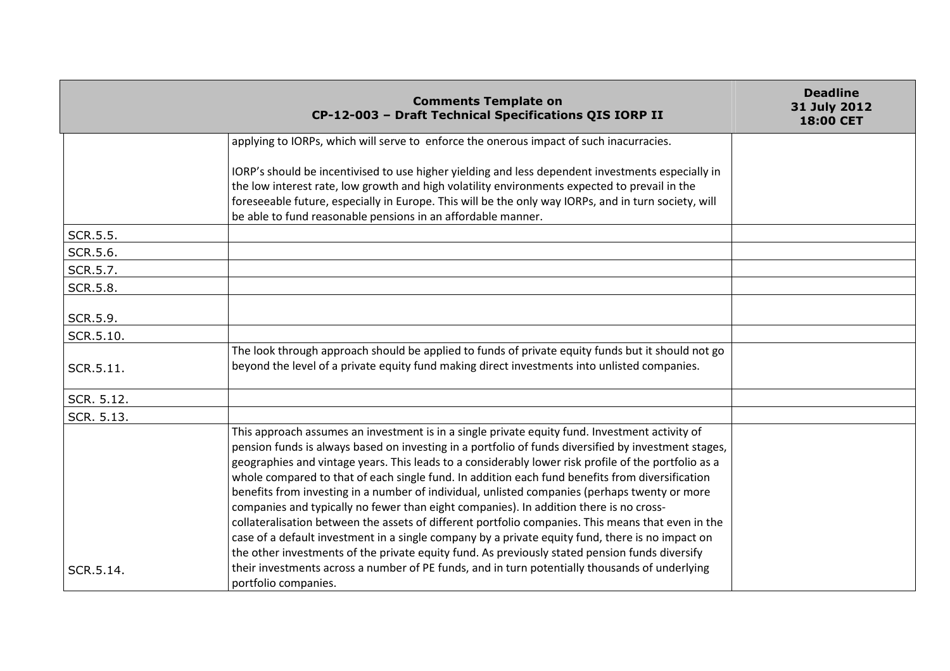|            | <b>Comments Template on</b><br>CP-12-003 - Draft Technical Specifications QIS IORP II                                                                                                                                                                                                                                                                                                                                                                                                                                                                                                                                                                                                                                                                                                                                                                                                                                    | <b>Deadline</b><br>31 July 2012<br>18:00 CET |
|------------|--------------------------------------------------------------------------------------------------------------------------------------------------------------------------------------------------------------------------------------------------------------------------------------------------------------------------------------------------------------------------------------------------------------------------------------------------------------------------------------------------------------------------------------------------------------------------------------------------------------------------------------------------------------------------------------------------------------------------------------------------------------------------------------------------------------------------------------------------------------------------------------------------------------------------|----------------------------------------------|
|            | applying to IORPs, which will serve to enforce the onerous impact of such inacurracies.                                                                                                                                                                                                                                                                                                                                                                                                                                                                                                                                                                                                                                                                                                                                                                                                                                  |                                              |
|            | IORP's should be incentivised to use higher yielding and less dependent investments especially in<br>the low interest rate, low growth and high volatility environments expected to prevail in the<br>foreseeable future, especially in Europe. This will be the only way IORPs, and in turn society, will<br>be able to fund reasonable pensions in an affordable manner.                                                                                                                                                                                                                                                                                                                                                                                                                                                                                                                                               |                                              |
| SCR.5.5.   |                                                                                                                                                                                                                                                                                                                                                                                                                                                                                                                                                                                                                                                                                                                                                                                                                                                                                                                          |                                              |
| SCR.5.6.   |                                                                                                                                                                                                                                                                                                                                                                                                                                                                                                                                                                                                                                                                                                                                                                                                                                                                                                                          |                                              |
| SCR.5.7.   |                                                                                                                                                                                                                                                                                                                                                                                                                                                                                                                                                                                                                                                                                                                                                                                                                                                                                                                          |                                              |
| SCR.5.8.   |                                                                                                                                                                                                                                                                                                                                                                                                                                                                                                                                                                                                                                                                                                                                                                                                                                                                                                                          |                                              |
| SCR.5.9.   |                                                                                                                                                                                                                                                                                                                                                                                                                                                                                                                                                                                                                                                                                                                                                                                                                                                                                                                          |                                              |
| SCR.5.10.  |                                                                                                                                                                                                                                                                                                                                                                                                                                                                                                                                                                                                                                                                                                                                                                                                                                                                                                                          |                                              |
| SCR.5.11.  | The look through approach should be applied to funds of private equity funds but it should not go<br>beyond the level of a private equity fund making direct investments into unlisted companies.                                                                                                                                                                                                                                                                                                                                                                                                                                                                                                                                                                                                                                                                                                                        |                                              |
| SCR. 5.12. |                                                                                                                                                                                                                                                                                                                                                                                                                                                                                                                                                                                                                                                                                                                                                                                                                                                                                                                          |                                              |
| SCR. 5.13. |                                                                                                                                                                                                                                                                                                                                                                                                                                                                                                                                                                                                                                                                                                                                                                                                                                                                                                                          |                                              |
|            | This approach assumes an investment is in a single private equity fund. Investment activity of<br>pension funds is always based on investing in a portfolio of funds diversified by investment stages,<br>geographies and vintage years. This leads to a considerably lower risk profile of the portfolio as a<br>whole compared to that of each single fund. In addition each fund benefits from diversification<br>benefits from investing in a number of individual, unlisted companies (perhaps twenty or more<br>companies and typically no fewer than eight companies). In addition there is no cross-<br>collateralisation between the assets of different portfolio companies. This means that even in the<br>case of a default investment in a single company by a private equity fund, there is no impact on<br>the other investments of the private equity fund. As previously stated pension funds diversify |                                              |
| SCR.5.14.  | their investments across a number of PE funds, and in turn potentially thousands of underlying<br>portfolio companies.                                                                                                                                                                                                                                                                                                                                                                                                                                                                                                                                                                                                                                                                                                                                                                                                   |                                              |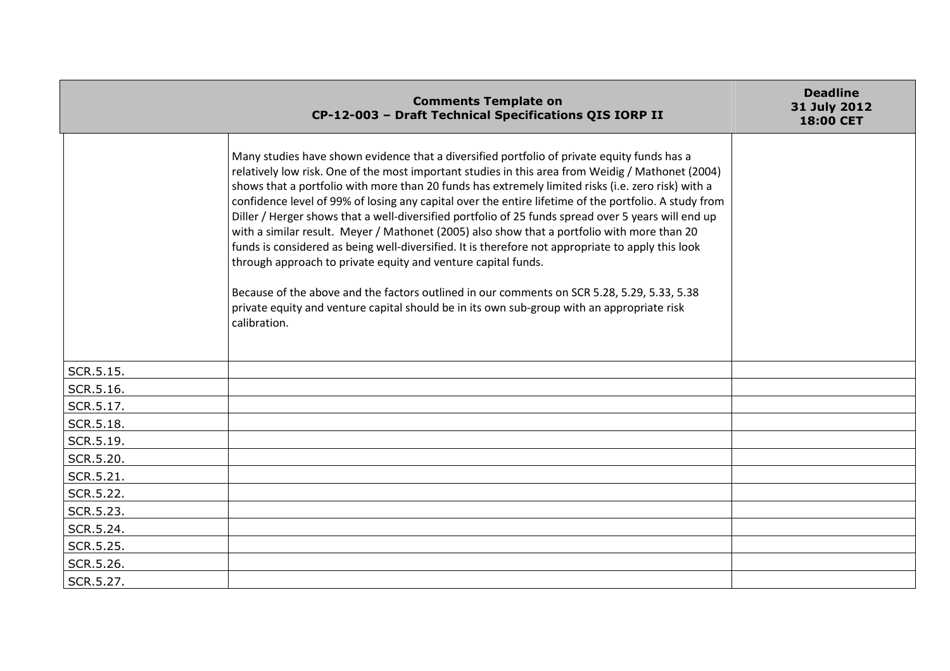|           | <b>Comments Template on</b><br>CP-12-003 - Draft Technical Specifications QIS IORP II                                                                                                                                                                                                                                                                                                                                                                                                                                                                                                                                                                                                                                                                                                                                                                                                                                                                                                                    | <b>Deadline</b><br>31 July 2012<br>18:00 CET |
|-----------|----------------------------------------------------------------------------------------------------------------------------------------------------------------------------------------------------------------------------------------------------------------------------------------------------------------------------------------------------------------------------------------------------------------------------------------------------------------------------------------------------------------------------------------------------------------------------------------------------------------------------------------------------------------------------------------------------------------------------------------------------------------------------------------------------------------------------------------------------------------------------------------------------------------------------------------------------------------------------------------------------------|----------------------------------------------|
|           | Many studies have shown evidence that a diversified portfolio of private equity funds has a<br>relatively low risk. One of the most important studies in this area from Weidig / Mathonet (2004)<br>shows that a portfolio with more than 20 funds has extremely limited risks (i.e. zero risk) with a<br>confidence level of 99% of losing any capital over the entire lifetime of the portfolio. A study from<br>Diller / Herger shows that a well-diversified portfolio of 25 funds spread over 5 years will end up<br>with a similar result. Meyer / Mathonet (2005) also show that a portfolio with more than 20<br>funds is considered as being well-diversified. It is therefore not appropriate to apply this look<br>through approach to private equity and venture capital funds.<br>Because of the above and the factors outlined in our comments on SCR 5.28, 5.29, 5.33, 5.38<br>private equity and venture capital should be in its own sub-group with an appropriate risk<br>calibration. |                                              |
| SCR.5.15. |                                                                                                                                                                                                                                                                                                                                                                                                                                                                                                                                                                                                                                                                                                                                                                                                                                                                                                                                                                                                          |                                              |
| SCR.5.16. |                                                                                                                                                                                                                                                                                                                                                                                                                                                                                                                                                                                                                                                                                                                                                                                                                                                                                                                                                                                                          |                                              |
| SCR.5.17. |                                                                                                                                                                                                                                                                                                                                                                                                                                                                                                                                                                                                                                                                                                                                                                                                                                                                                                                                                                                                          |                                              |
| SCR.5.18. |                                                                                                                                                                                                                                                                                                                                                                                                                                                                                                                                                                                                                                                                                                                                                                                                                                                                                                                                                                                                          |                                              |
| SCR.5.19. |                                                                                                                                                                                                                                                                                                                                                                                                                                                                                                                                                                                                                                                                                                                                                                                                                                                                                                                                                                                                          |                                              |
| SCR.5.20. |                                                                                                                                                                                                                                                                                                                                                                                                                                                                                                                                                                                                                                                                                                                                                                                                                                                                                                                                                                                                          |                                              |
| SCR.5.21. |                                                                                                                                                                                                                                                                                                                                                                                                                                                                                                                                                                                                                                                                                                                                                                                                                                                                                                                                                                                                          |                                              |
| SCR.5.22. |                                                                                                                                                                                                                                                                                                                                                                                                                                                                                                                                                                                                                                                                                                                                                                                                                                                                                                                                                                                                          |                                              |
| SCR.5.23. |                                                                                                                                                                                                                                                                                                                                                                                                                                                                                                                                                                                                                                                                                                                                                                                                                                                                                                                                                                                                          |                                              |
| SCR.5.24. |                                                                                                                                                                                                                                                                                                                                                                                                                                                                                                                                                                                                                                                                                                                                                                                                                                                                                                                                                                                                          |                                              |
| SCR.5.25. |                                                                                                                                                                                                                                                                                                                                                                                                                                                                                                                                                                                                                                                                                                                                                                                                                                                                                                                                                                                                          |                                              |
| SCR.5.26. |                                                                                                                                                                                                                                                                                                                                                                                                                                                                                                                                                                                                                                                                                                                                                                                                                                                                                                                                                                                                          |                                              |
| SCR.5.27. |                                                                                                                                                                                                                                                                                                                                                                                                                                                                                                                                                                                                                                                                                                                                                                                                                                                                                                                                                                                                          |                                              |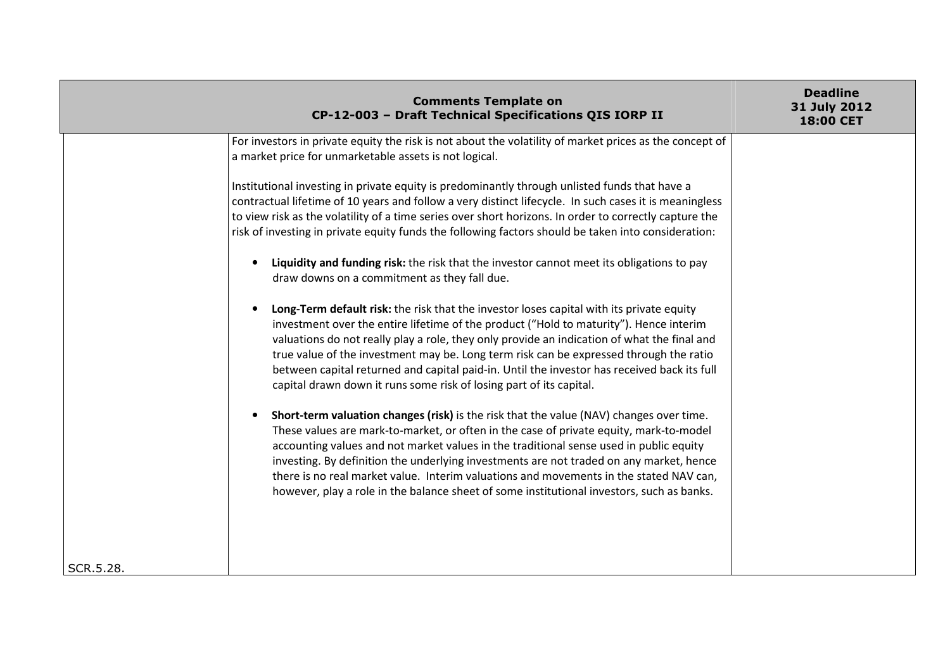|           | <b>Comments Template on</b><br>CP-12-003 - Draft Technical Specifications QIS IORP II                                                                                                                                                                                                                                                                                                                                                                                                                                                                                                                                                                                                                                                                                                                                                                                                                                                                                                                                                                                                                                                                                                                                    | <b>Deadline</b><br>31 July 2012<br><b>18:00 CET</b> |
|-----------|--------------------------------------------------------------------------------------------------------------------------------------------------------------------------------------------------------------------------------------------------------------------------------------------------------------------------------------------------------------------------------------------------------------------------------------------------------------------------------------------------------------------------------------------------------------------------------------------------------------------------------------------------------------------------------------------------------------------------------------------------------------------------------------------------------------------------------------------------------------------------------------------------------------------------------------------------------------------------------------------------------------------------------------------------------------------------------------------------------------------------------------------------------------------------------------------------------------------------|-----------------------------------------------------|
|           | For investors in private equity the risk is not about the volatility of market prices as the concept of<br>a market price for unmarketable assets is not logical.<br>Institutional investing in private equity is predominantly through unlisted funds that have a<br>contractual lifetime of 10 years and follow a very distinct lifecycle. In such cases it is meaningless<br>to view risk as the volatility of a time series over short horizons. In order to correctly capture the<br>risk of investing in private equity funds the following factors should be taken into consideration:<br>Liquidity and funding risk: the risk that the investor cannot meet its obligations to pay<br>draw downs on a commitment as they fall due.<br>Long-Term default risk: the risk that the investor loses capital with its private equity<br>investment over the entire lifetime of the product ("Hold to maturity"). Hence interim<br>valuations do not really play a role, they only provide an indication of what the final and<br>true value of the investment may be. Long term risk can be expressed through the ratio<br>between capital returned and capital paid-in. Until the investor has received back its full |                                                     |
| SCR.5.28. | capital drawn down it runs some risk of losing part of its capital.<br>Short-term valuation changes (risk) is the risk that the value (NAV) changes over time.<br>These values are mark-to-market, or often in the case of private equity, mark-to-model<br>accounting values and not market values in the traditional sense used in public equity<br>investing. By definition the underlying investments are not traded on any market, hence<br>there is no real market value. Interim valuations and movements in the stated NAV can,<br>however, play a role in the balance sheet of some institutional investors, such as banks.                                                                                                                                                                                                                                                                                                                                                                                                                                                                                                                                                                                     |                                                     |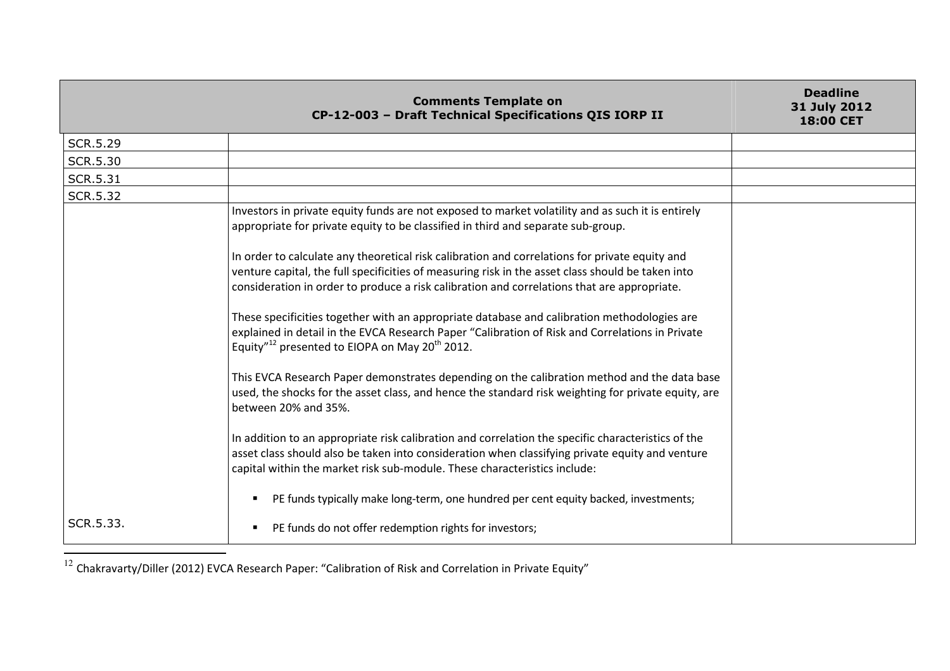|                 | <b>Comments Template on</b><br>CP-12-003 - Draft Technical Specifications QIS IORP II                                                                                                                                                                                                                                                                                                                                                                                                                                                                                          | <b>Deadline</b><br>31 July 2012<br>18:00 CET |
|-----------------|--------------------------------------------------------------------------------------------------------------------------------------------------------------------------------------------------------------------------------------------------------------------------------------------------------------------------------------------------------------------------------------------------------------------------------------------------------------------------------------------------------------------------------------------------------------------------------|----------------------------------------------|
| <b>SCR.5.29</b> |                                                                                                                                                                                                                                                                                                                                                                                                                                                                                                                                                                                |                                              |
| <b>SCR.5.30</b> |                                                                                                                                                                                                                                                                                                                                                                                                                                                                                                                                                                                |                                              |
| <b>SCR.5.31</b> |                                                                                                                                                                                                                                                                                                                                                                                                                                                                                                                                                                                |                                              |
| <b>SCR.5.32</b> |                                                                                                                                                                                                                                                                                                                                                                                                                                                                                                                                                                                |                                              |
|                 | Investors in private equity funds are not exposed to market volatility and as such it is entirely<br>appropriate for private equity to be classified in third and separate sub-group.                                                                                                                                                                                                                                                                                                                                                                                          |                                              |
|                 | In order to calculate any theoretical risk calibration and correlations for private equity and<br>venture capital, the full specificities of measuring risk in the asset class should be taken into<br>consideration in order to produce a risk calibration and correlations that are appropriate.<br>These specificities together with an appropriate database and calibration methodologies are<br>explained in detail in the EVCA Research Paper "Calibration of Risk and Correlations in Private<br>Equity" <sup>12</sup> presented to EIOPA on May 20 <sup>th</sup> 2012. |                                              |
|                 | This EVCA Research Paper demonstrates depending on the calibration method and the data base<br>used, the shocks for the asset class, and hence the standard risk weighting for private equity, are<br>between 20% and 35%.                                                                                                                                                                                                                                                                                                                                                     |                                              |
|                 | In addition to an appropriate risk calibration and correlation the specific characteristics of the<br>asset class should also be taken into consideration when classifying private equity and venture<br>capital within the market risk sub-module. These characteristics include:<br>PE funds typically make long-term, one hundred per cent equity backed, investments;                                                                                                                                                                                                      |                                              |
| SCR.5.33.       | PE funds do not offer redemption rights for investors;                                                                                                                                                                                                                                                                                                                                                                                                                                                                                                                         |                                              |

 $^{12}$  Chakravarty/Diller (2012) EVCA Research Paper: "Calibration of Risk and Correlation in Private Equity"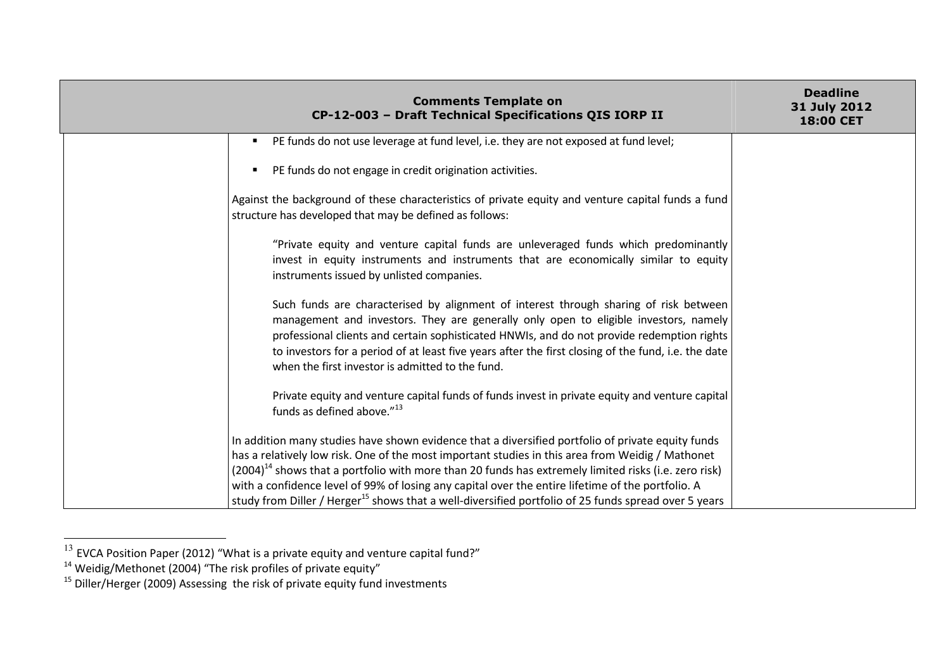| <b>Comments Template on</b><br>CP-12-003 - Draft Technical Specifications QIS IORP II                                                                                                                                                                                                                                                                                                                                                                                                                                                       | <b>Deadline</b><br>31 July 2012<br>18:00 CET |
|---------------------------------------------------------------------------------------------------------------------------------------------------------------------------------------------------------------------------------------------------------------------------------------------------------------------------------------------------------------------------------------------------------------------------------------------------------------------------------------------------------------------------------------------|----------------------------------------------|
| PE funds do not use leverage at fund level, i.e. they are not exposed at fund level;                                                                                                                                                                                                                                                                                                                                                                                                                                                        |                                              |
| PE funds do not engage in credit origination activities.                                                                                                                                                                                                                                                                                                                                                                                                                                                                                    |                                              |
| Against the background of these characteristics of private equity and venture capital funds a fund<br>structure has developed that may be defined as follows:                                                                                                                                                                                                                                                                                                                                                                               |                                              |
| "Private equity and venture capital funds are unleveraged funds which predominantly<br>invest in equity instruments and instruments that are economically similar to equity<br>instruments issued by unlisted companies.                                                                                                                                                                                                                                                                                                                    |                                              |
| Such funds are characterised by alignment of interest through sharing of risk between<br>management and investors. They are generally only open to eligible investors, namely<br>professional clients and certain sophisticated HNWIs, and do not provide redemption rights<br>to investors for a period of at least five years after the first closing of the fund, i.e. the date<br>when the first investor is admitted to the fund.                                                                                                      |                                              |
| Private equity and venture capital funds of funds invest in private equity and venture capital<br>funds as defined above." <sup>13</sup>                                                                                                                                                                                                                                                                                                                                                                                                    |                                              |
| In addition many studies have shown evidence that a diversified portfolio of private equity funds<br>has a relatively low risk. One of the most important studies in this area from Weidig / Mathonet<br>$(2004)^{14}$ shows that a portfolio with more than 20 funds has extremely limited risks (i.e. zero risk)<br>with a confidence level of 99% of losing any capital over the entire lifetime of the portfolio. A<br>study from Diller / Herger <sup>15</sup> shows that a well-diversified portfolio of 25 funds spread over 5 years |                                              |

<sup>&</sup>lt;sup>13</sup> EVCA Position Paper (2012) "What is a private equity and venture capital fund?"<br><sup>14</sup> Weidig/Methonet (2004) "The risk profiles of private equity"<br><sup>15</sup> Diller/Herger (2009) Assessing the risk of private equity fund in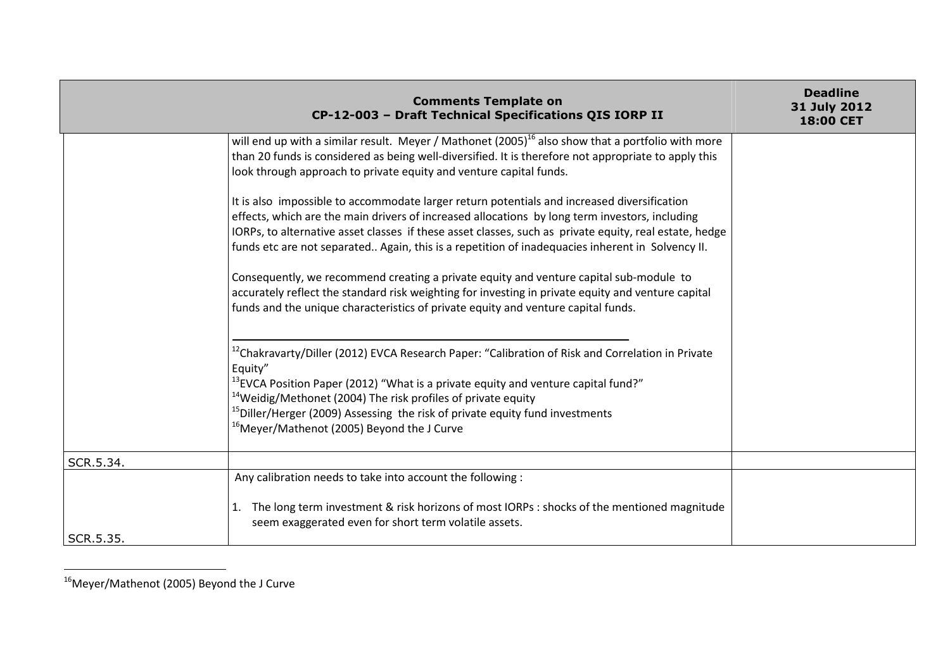|           | <b>Comments Template on</b><br>CP-12-003 - Draft Technical Specifications QIS IORP II                                                                                                                                                                                                                                                                                                                                                                      | <b>Deadline</b><br>31 July 2012<br>18:00 CET |
|-----------|------------------------------------------------------------------------------------------------------------------------------------------------------------------------------------------------------------------------------------------------------------------------------------------------------------------------------------------------------------------------------------------------------------------------------------------------------------|----------------------------------------------|
|           | will end up with a similar result. Meyer / Mathonet $(2005)^{16}$ also show that a portfolio with more<br>than 20 funds is considered as being well-diversified. It is therefore not appropriate to apply this<br>look through approach to private equity and venture capital funds.                                                                                                                                                                       |                                              |
|           | It is also impossible to accommodate larger return potentials and increased diversification<br>effects, which are the main drivers of increased allocations by long term investors, including<br>IORPs, to alternative asset classes if these asset classes, such as private equity, real estate, hedge<br>funds etc are not separated Again, this is a repetition of inadequacies inherent in Solvency II.                                                |                                              |
|           | Consequently, we recommend creating a private equity and venture capital sub-module to<br>accurately reflect the standard risk weighting for investing in private equity and venture capital<br>funds and the unique characteristics of private equity and venture capital funds.                                                                                                                                                                          |                                              |
|           | <sup>12</sup> Chakravarty/Diller (2012) EVCA Research Paper: "Calibration of Risk and Correlation in Private<br>Equity"<br><sup>13</sup> EVCA Position Paper (2012) "What is a private equity and venture capital fund?"<br><sup>14</sup> Weidig/Methonet (2004) The risk profiles of private equity<br><sup>15</sup> Diller/Herger (2009) Assessing the risk of private equity fund investments<br><sup>16</sup> Meyer/Mathenot (2005) Beyond the J Curve |                                              |
| SCR.5.34. |                                                                                                                                                                                                                                                                                                                                                                                                                                                            |                                              |
| SCR.5.35. | Any calibration needs to take into account the following :<br>The long term investment & risk horizons of most IORPs : shocks of the mentioned magnitude<br>1.<br>seem exaggerated even for short term volatile assets.                                                                                                                                                                                                                                    |                                              |

<sup>16</sup>Meyer/Mathenot (2005) Beyond the J Curve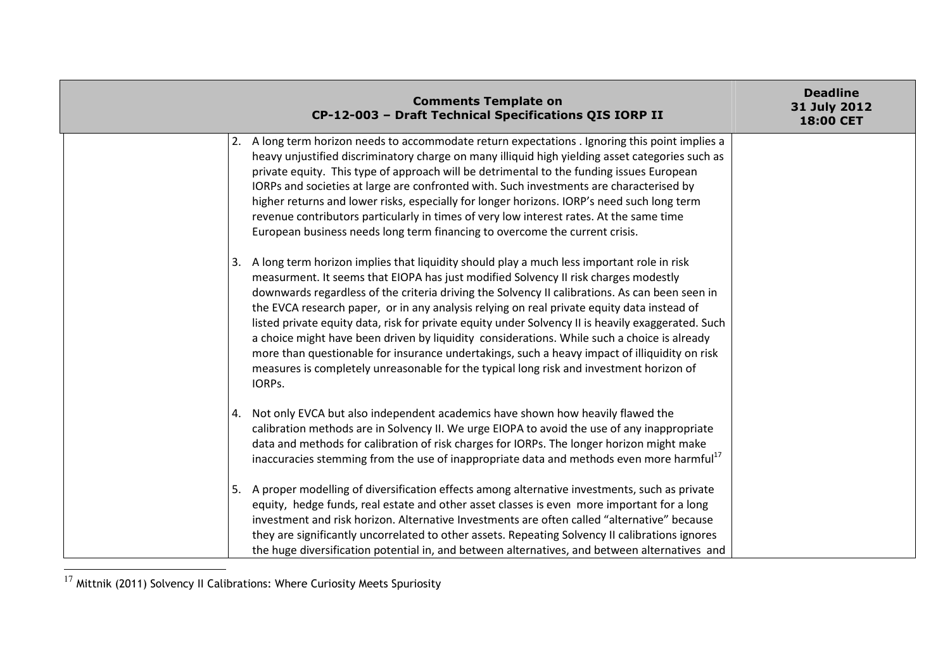|    | <b>Comments Template on</b><br>CP-12-003 - Draft Technical Specifications QIS IORP II                                                                                                                                                                                                                                                                                                                                                                                                                                                                                                                                                                                                                                                                                                       | <b>Deadline</b><br>31 July 2012<br>18:00 CET |
|----|---------------------------------------------------------------------------------------------------------------------------------------------------------------------------------------------------------------------------------------------------------------------------------------------------------------------------------------------------------------------------------------------------------------------------------------------------------------------------------------------------------------------------------------------------------------------------------------------------------------------------------------------------------------------------------------------------------------------------------------------------------------------------------------------|----------------------------------------------|
|    | 2. A long term horizon needs to accommodate return expectations . Ignoring this point implies a<br>heavy unjustified discriminatory charge on many illiquid high yielding asset categories such as<br>private equity. This type of approach will be detrimental to the funding issues European<br>IORPs and societies at large are confronted with. Such investments are characterised by<br>higher returns and lower risks, especially for longer horizons. IORP's need such long term<br>revenue contributors particularly in times of very low interest rates. At the same time<br>European business needs long term financing to overcome the current crisis.                                                                                                                           |                                              |
| 3. | A long term horizon implies that liquidity should play a much less important role in risk<br>measurment. It seems that EIOPA has just modified Solvency II risk charges modestly<br>downwards regardless of the criteria driving the Solvency II calibrations. As can been seen in<br>the EVCA research paper, or in any analysis relying on real private equity data instead of<br>listed private equity data, risk for private equity under Solvency II is heavily exaggerated. Such<br>a choice might have been driven by liquidity considerations. While such a choice is already<br>more than questionable for insurance undertakings, such a heavy impact of illiquidity on risk<br>measures is completely unreasonable for the typical long risk and investment horizon of<br>IORPS. |                                              |
| 4. | Not only EVCA but also independent academics have shown how heavily flawed the<br>calibration methods are in Solvency II. We urge EIOPA to avoid the use of any inappropriate<br>data and methods for calibration of risk charges for IORPs. The longer horizon might make<br>inaccuracies stemming from the use of inappropriate data and methods even more harmful <sup>17</sup>                                                                                                                                                                                                                                                                                                                                                                                                          |                                              |
| 5. | A proper modelling of diversification effects among alternative investments, such as private<br>equity, hedge funds, real estate and other asset classes is even more important for a long<br>investment and risk horizon. Alternative Investments are often called "alternative" because<br>they are significantly uncorrelated to other assets. Repeating Solvency II calibrations ignores<br>the huge diversification potential in, and between alternatives, and between alternatives and                                                                                                                                                                                                                                                                                               |                                              |

 $^{17}$  Mittnik (2011) Solvency II Calibrations: Where Curiosity Meets Spuriosity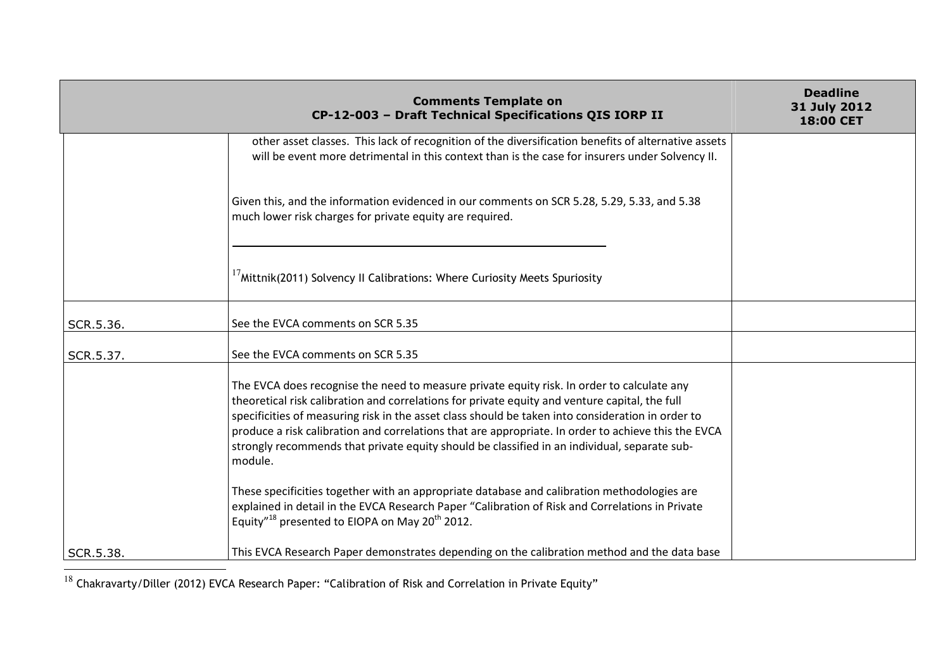|           | <b>Comments Template on</b><br>CP-12-003 - Draft Technical Specifications QIS IORP II                                                                                                                                                                                                                                                                                                                                                                                                                               | <b>Deadline</b><br>31 July 2012<br>18:00 CET |
|-----------|---------------------------------------------------------------------------------------------------------------------------------------------------------------------------------------------------------------------------------------------------------------------------------------------------------------------------------------------------------------------------------------------------------------------------------------------------------------------------------------------------------------------|----------------------------------------------|
|           | other asset classes. This lack of recognition of the diversification benefits of alternative assets<br>will be event more detrimental in this context than is the case for insurers under Solvency II.                                                                                                                                                                                                                                                                                                              |                                              |
|           | Given this, and the information evidenced in our comments on SCR 5.28, 5.29, 5.33, and 5.38<br>much lower risk charges for private equity are required.                                                                                                                                                                                                                                                                                                                                                             |                                              |
|           | $17$ Mittnik(2011) Solvency II Calibrations: Where Curiosity Meets Spuriosity                                                                                                                                                                                                                                                                                                                                                                                                                                       |                                              |
| SCR.5.36. | See the EVCA comments on SCR 5.35                                                                                                                                                                                                                                                                                                                                                                                                                                                                                   |                                              |
| SCR.5.37. | See the EVCA comments on SCR 5.35                                                                                                                                                                                                                                                                                                                                                                                                                                                                                   |                                              |
|           | The EVCA does recognise the need to measure private equity risk. In order to calculate any<br>theoretical risk calibration and correlations for private equity and venture capital, the full<br>specificities of measuring risk in the asset class should be taken into consideration in order to<br>produce a risk calibration and correlations that are appropriate. In order to achieve this the EVCA<br>strongly recommends that private equity should be classified in an individual, separate sub-<br>module. |                                              |
|           | These specificities together with an appropriate database and calibration methodologies are<br>explained in detail in the EVCA Research Paper "Calibration of Risk and Correlations in Private<br>Equity" <sup>18</sup> presented to EIOPA on May 20 <sup>th</sup> 2012.                                                                                                                                                                                                                                            |                                              |
| SCR.5.38. | This EVCA Research Paper demonstrates depending on the calibration method and the data base                                                                                                                                                                                                                                                                                                                                                                                                                         |                                              |

 $^{18}$  Chakravarty/Diller (2012) EVCA Research Paper: "Calibration of Risk and Correlation in Private Equity"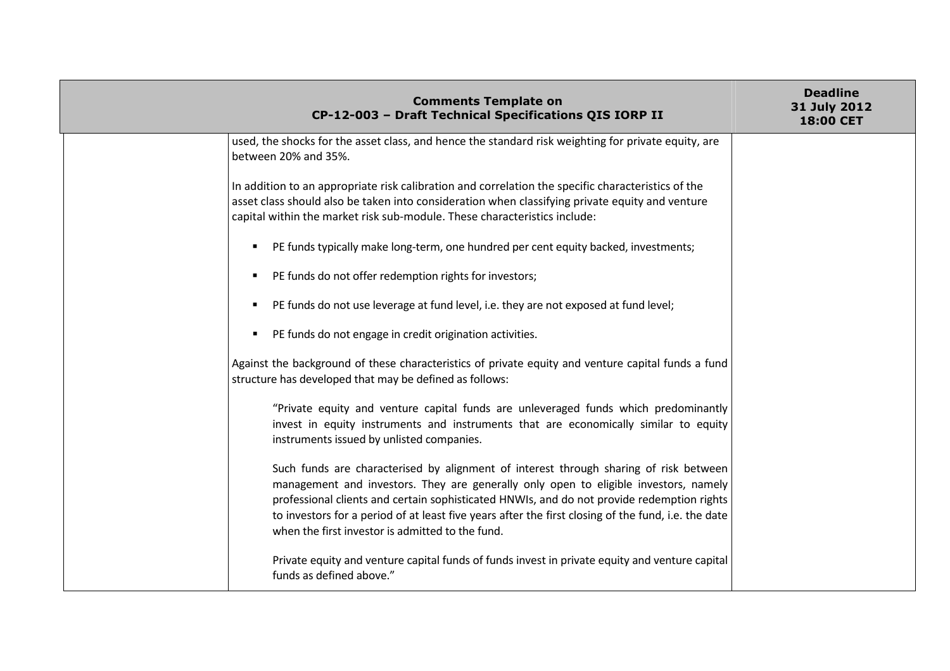| <b>Comments Template on</b><br>CP-12-003 - Draft Technical Specifications QIS IORP II                                                                                                                                                                                                                                                                                                                                                  | <b>Deadline</b><br>31 July 2012<br>18:00 CET |
|----------------------------------------------------------------------------------------------------------------------------------------------------------------------------------------------------------------------------------------------------------------------------------------------------------------------------------------------------------------------------------------------------------------------------------------|----------------------------------------------|
| used, the shocks for the asset class, and hence the standard risk weighting for private equity, are<br>between 20% and 35%.                                                                                                                                                                                                                                                                                                            |                                              |
| In addition to an appropriate risk calibration and correlation the specific characteristics of the<br>asset class should also be taken into consideration when classifying private equity and venture<br>capital within the market risk sub-module. These characteristics include:                                                                                                                                                     |                                              |
| PE funds typically make long-term, one hundred per cent equity backed, investments;<br>п.                                                                                                                                                                                                                                                                                                                                              |                                              |
| PE funds do not offer redemption rights for investors;<br>п.                                                                                                                                                                                                                                                                                                                                                                           |                                              |
| PE funds do not use leverage at fund level, i.e. they are not exposed at fund level;<br>$\blacksquare$                                                                                                                                                                                                                                                                                                                                 |                                              |
| PE funds do not engage in credit origination activities.<br>$\blacksquare$                                                                                                                                                                                                                                                                                                                                                             |                                              |
| Against the background of these characteristics of private equity and venture capital funds a fund<br>structure has developed that may be defined as follows:                                                                                                                                                                                                                                                                          |                                              |
| "Private equity and venture capital funds are unleveraged funds which predominantly<br>invest in equity instruments and instruments that are economically similar to equity<br>instruments issued by unlisted companies.                                                                                                                                                                                                               |                                              |
| Such funds are characterised by alignment of interest through sharing of risk between<br>management and investors. They are generally only open to eligible investors, namely<br>professional clients and certain sophisticated HNWIs, and do not provide redemption rights<br>to investors for a period of at least five years after the first closing of the fund, i.e. the date<br>when the first investor is admitted to the fund. |                                              |
| Private equity and venture capital funds of funds invest in private equity and venture capital<br>funds as defined above."                                                                                                                                                                                                                                                                                                             |                                              |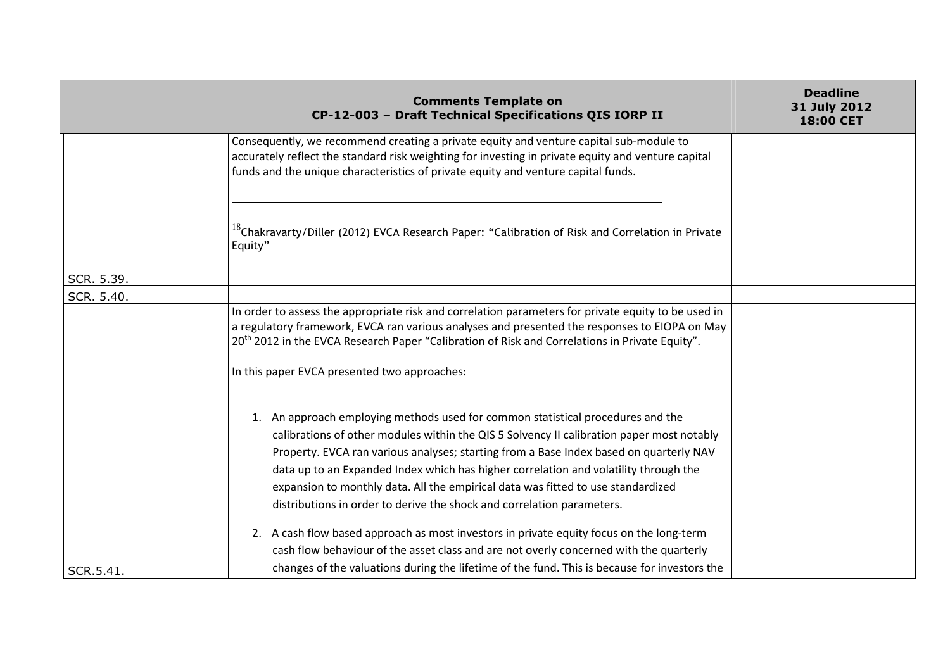|            | <b>Comments Template on</b><br>CP-12-003 - Draft Technical Specifications QIS IORP II                                                                                                                                                                                                                                                                                                                                                                                                                                        | <b>Deadline</b><br>31 July 2012<br><b>18:00 CET</b> |
|------------|------------------------------------------------------------------------------------------------------------------------------------------------------------------------------------------------------------------------------------------------------------------------------------------------------------------------------------------------------------------------------------------------------------------------------------------------------------------------------------------------------------------------------|-----------------------------------------------------|
|            | Consequently, we recommend creating a private equity and venture capital sub-module to<br>accurately reflect the standard risk weighting for investing in private equity and venture capital<br>funds and the unique characteristics of private equity and venture capital funds.                                                                                                                                                                                                                                            |                                                     |
|            | <sup>18</sup> Chakravarty/Diller (2012) EVCA Research Paper: "Calibration of Risk and Correlation in Private<br>Equity"                                                                                                                                                                                                                                                                                                                                                                                                      |                                                     |
| SCR. 5.39. |                                                                                                                                                                                                                                                                                                                                                                                                                                                                                                                              |                                                     |
| SCR. 5.40. |                                                                                                                                                                                                                                                                                                                                                                                                                                                                                                                              |                                                     |
|            | In order to assess the appropriate risk and correlation parameters for private equity to be used in<br>a regulatory framework, EVCA ran various analyses and presented the responses to EIOPA on May<br>20 <sup>th</sup> 2012 in the EVCA Research Paper "Calibration of Risk and Correlations in Private Equity".                                                                                                                                                                                                           |                                                     |
|            | In this paper EVCA presented two approaches:                                                                                                                                                                                                                                                                                                                                                                                                                                                                                 |                                                     |
|            | 1. An approach employing methods used for common statistical procedures and the<br>calibrations of other modules within the QIS 5 Solvency II calibration paper most notably<br>Property. EVCA ran various analyses; starting from a Base Index based on quarterly NAV<br>data up to an Expanded Index which has higher correlation and volatility through the<br>expansion to monthly data. All the empirical data was fitted to use standardized<br>distributions in order to derive the shock and correlation parameters. |                                                     |
|            | 2. A cash flow based approach as most investors in private equity focus on the long-term                                                                                                                                                                                                                                                                                                                                                                                                                                     |                                                     |
|            | cash flow behaviour of the asset class and are not overly concerned with the quarterly                                                                                                                                                                                                                                                                                                                                                                                                                                       |                                                     |
| SCR.5.41.  | changes of the valuations during the lifetime of the fund. This is because for investors the                                                                                                                                                                                                                                                                                                                                                                                                                                 |                                                     |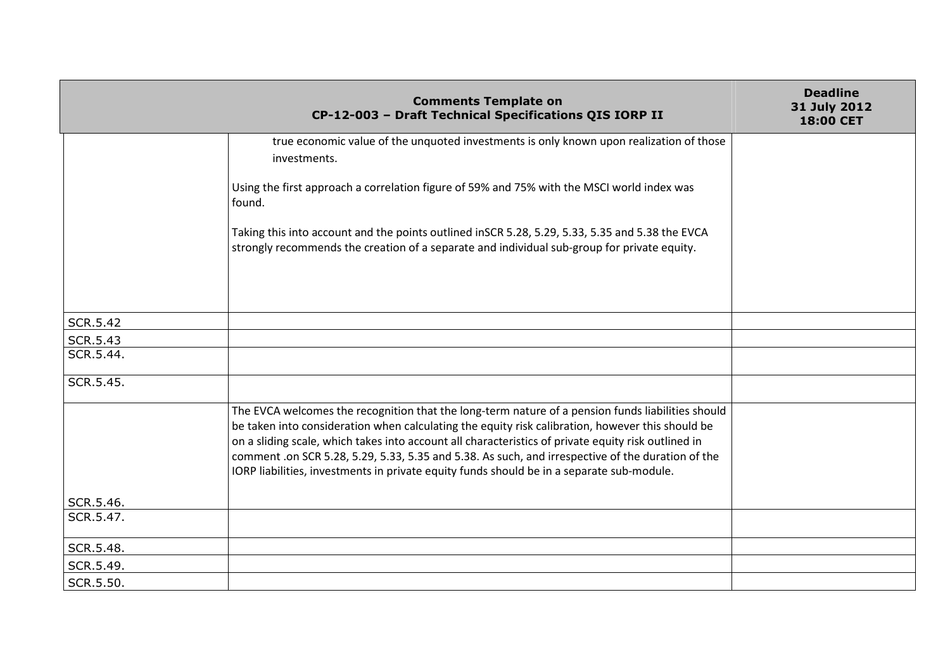|                 | <b>Comments Template on</b><br>CP-12-003 - Draft Technical Specifications QIS IORP II                                                                                                                                                                                                                                                                                                                                                                                                                          | <b>Deadline</b><br>31 July 2012<br><b>18:00 CET</b> |
|-----------------|----------------------------------------------------------------------------------------------------------------------------------------------------------------------------------------------------------------------------------------------------------------------------------------------------------------------------------------------------------------------------------------------------------------------------------------------------------------------------------------------------------------|-----------------------------------------------------|
|                 | true economic value of the unquoted investments is only known upon realization of those                                                                                                                                                                                                                                                                                                                                                                                                                        |                                                     |
|                 | investments.                                                                                                                                                                                                                                                                                                                                                                                                                                                                                                   |                                                     |
|                 | Using the first approach a correlation figure of 59% and 75% with the MSCI world index was<br>found.                                                                                                                                                                                                                                                                                                                                                                                                           |                                                     |
|                 | Taking this into account and the points outlined inSCR 5.28, 5.29, 5.33, 5.35 and 5.38 the EVCA<br>strongly recommends the creation of a separate and individual sub-group for private equity.                                                                                                                                                                                                                                                                                                                 |                                                     |
|                 |                                                                                                                                                                                                                                                                                                                                                                                                                                                                                                                |                                                     |
| <b>SCR.5.42</b> |                                                                                                                                                                                                                                                                                                                                                                                                                                                                                                                |                                                     |
| <b>SCR.5.43</b> |                                                                                                                                                                                                                                                                                                                                                                                                                                                                                                                |                                                     |
| SCR.5.44.       |                                                                                                                                                                                                                                                                                                                                                                                                                                                                                                                |                                                     |
| SCR.5.45.       |                                                                                                                                                                                                                                                                                                                                                                                                                                                                                                                |                                                     |
|                 | The EVCA welcomes the recognition that the long-term nature of a pension funds liabilities should<br>be taken into consideration when calculating the equity risk calibration, however this should be<br>on a sliding scale, which takes into account all characteristics of private equity risk outlined in<br>comment .on SCR 5.28, 5.29, 5.33, 5.35 and 5.38. As such, and irrespective of the duration of the<br>IORP liabilities, investments in private equity funds should be in a separate sub-module. |                                                     |
| SCR.5.46.       |                                                                                                                                                                                                                                                                                                                                                                                                                                                                                                                |                                                     |
| SCR.5.47.       |                                                                                                                                                                                                                                                                                                                                                                                                                                                                                                                |                                                     |
| SCR.5.48.       |                                                                                                                                                                                                                                                                                                                                                                                                                                                                                                                |                                                     |
| SCR.5.49.       |                                                                                                                                                                                                                                                                                                                                                                                                                                                                                                                |                                                     |
| SCR.5.50.       |                                                                                                                                                                                                                                                                                                                                                                                                                                                                                                                |                                                     |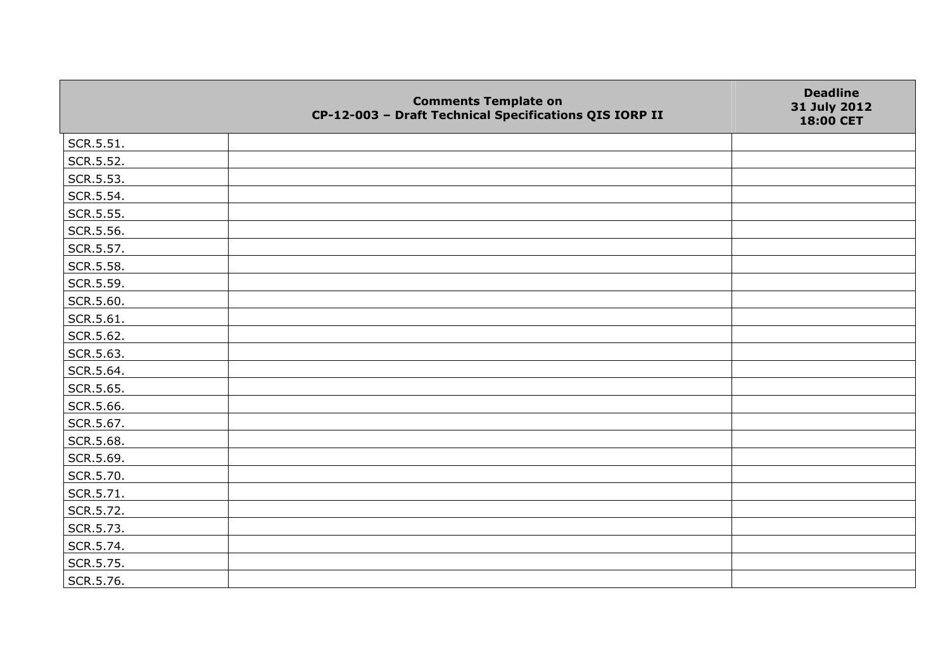|           | <b>Comments Template on</b><br>CP-12-003 - Draft Technical Specifications QIS IORP II | <b>Deadline</b><br>31 July 2012<br>18:00 CET |
|-----------|---------------------------------------------------------------------------------------|----------------------------------------------|
| SCR.5.51. |                                                                                       |                                              |
| SCR.5.52. |                                                                                       |                                              |
| SCR.5.53. |                                                                                       |                                              |
| SCR.5.54. |                                                                                       |                                              |
| SCR.5.55. |                                                                                       |                                              |
| SCR.5.56. |                                                                                       |                                              |
| SCR.5.57. |                                                                                       |                                              |
| SCR.5.58. |                                                                                       |                                              |
| SCR.5.59. |                                                                                       |                                              |
| SCR.5.60. |                                                                                       |                                              |
| SCR.5.61. |                                                                                       |                                              |
| SCR.5.62. |                                                                                       |                                              |
| SCR.5.63. |                                                                                       |                                              |
| SCR.5.64. |                                                                                       |                                              |
| SCR.5.65. |                                                                                       |                                              |
| SCR.5.66. |                                                                                       |                                              |
| SCR.5.67. |                                                                                       |                                              |
| SCR.5.68. |                                                                                       |                                              |
| SCR.5.69. |                                                                                       |                                              |
| SCR.5.70. |                                                                                       |                                              |
| SCR.5.71. |                                                                                       |                                              |
| SCR.5.72. |                                                                                       |                                              |
| SCR.5.73. |                                                                                       |                                              |
| SCR.5.74. |                                                                                       |                                              |
| SCR.5.75. |                                                                                       |                                              |
| SCR.5.76. |                                                                                       |                                              |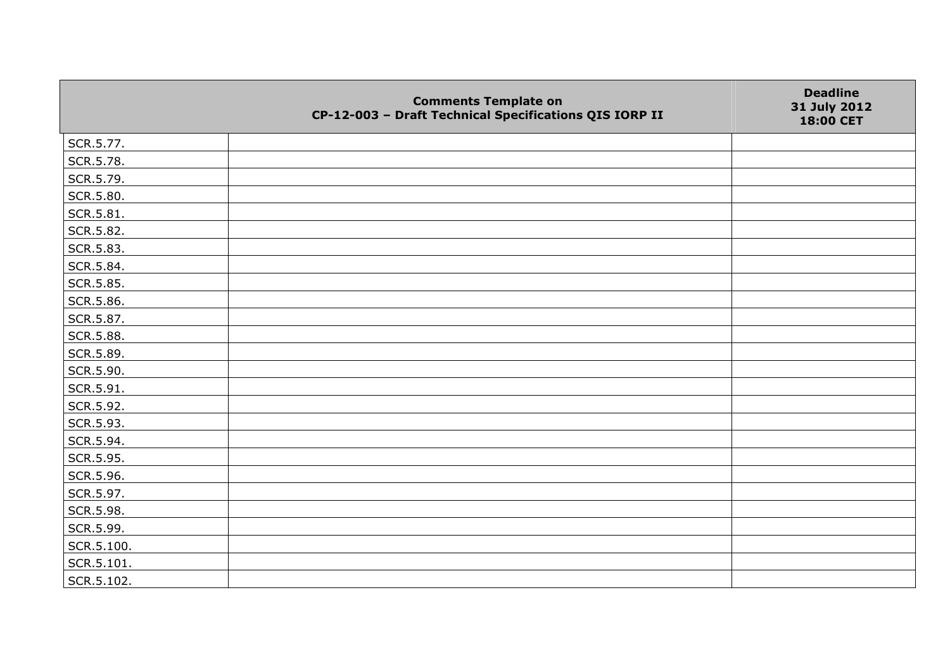|            | <b>Comments Template on</b><br>CP-12-003 - Draft Technical Specifications QIS IORP II | <b>Deadline</b><br>31 July 2012<br>18:00 CET |
|------------|---------------------------------------------------------------------------------------|----------------------------------------------|
| SCR.5.77.  |                                                                                       |                                              |
| SCR.5.78.  |                                                                                       |                                              |
| SCR.5.79.  |                                                                                       |                                              |
| SCR.5.80.  |                                                                                       |                                              |
| SCR.5.81.  |                                                                                       |                                              |
| SCR.5.82.  |                                                                                       |                                              |
| SCR.5.83.  |                                                                                       |                                              |
| SCR.5.84.  |                                                                                       |                                              |
| SCR.5.85.  |                                                                                       |                                              |
| SCR.5.86.  |                                                                                       |                                              |
| SCR.5.87.  |                                                                                       |                                              |
| SCR.5.88.  |                                                                                       |                                              |
| SCR.5.89.  |                                                                                       |                                              |
| SCR.5.90.  |                                                                                       |                                              |
| SCR.5.91.  |                                                                                       |                                              |
| SCR.5.92.  |                                                                                       |                                              |
| SCR.5.93.  |                                                                                       |                                              |
| SCR.5.94.  |                                                                                       |                                              |
| SCR.5.95.  |                                                                                       |                                              |
| SCR.5.96.  |                                                                                       |                                              |
| SCR.5.97.  |                                                                                       |                                              |
| SCR.5.98.  |                                                                                       |                                              |
| SCR.5.99.  |                                                                                       |                                              |
| SCR.5.100. |                                                                                       |                                              |
| SCR.5.101. |                                                                                       |                                              |
| SCR.5.102. |                                                                                       |                                              |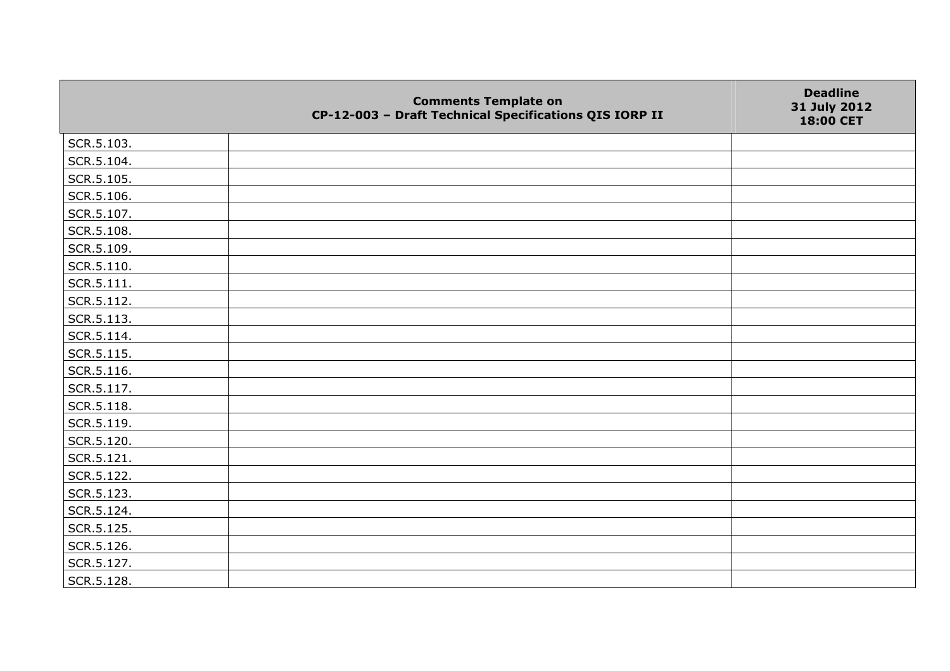|                    | <b>Comments Template on</b><br>CP-12-003 - Draft Technical Specifications QIS IORP II | <b>Deadline</b><br>31 July 2012<br>18:00 CET |
|--------------------|---------------------------------------------------------------------------------------|----------------------------------------------|
| SCR.5.103.         |                                                                                       |                                              |
| SCR.5.104.         |                                                                                       |                                              |
| SCR.5.105.         |                                                                                       |                                              |
| SCR.5.106.         |                                                                                       |                                              |
| SCR.5.107.         |                                                                                       |                                              |
| SCR.5.108.         |                                                                                       |                                              |
| SCR.5.109.         |                                                                                       |                                              |
| SCR.5.110.         |                                                                                       |                                              |
| $\vert$ SCR.5.111. |                                                                                       |                                              |
| SCR.5.112.         |                                                                                       |                                              |
| SCR.5.113.         |                                                                                       |                                              |
| SCR.5.114.         |                                                                                       |                                              |
| SCR.5.115.         |                                                                                       |                                              |
| SCR.5.116.         |                                                                                       |                                              |
| SCR.5.117.         |                                                                                       |                                              |
| SCR.5.118.         |                                                                                       |                                              |
| SCR.5.119.         |                                                                                       |                                              |
| SCR.5.120.         |                                                                                       |                                              |
| SCR.5.121.         |                                                                                       |                                              |
| SCR.5.122.         |                                                                                       |                                              |
| SCR.5.123.         |                                                                                       |                                              |
| SCR.5.124.         |                                                                                       |                                              |
| SCR.5.125.         |                                                                                       |                                              |
| SCR.5.126.         |                                                                                       |                                              |
| SCR.5.127.         |                                                                                       |                                              |
| SCR.5.128.         |                                                                                       |                                              |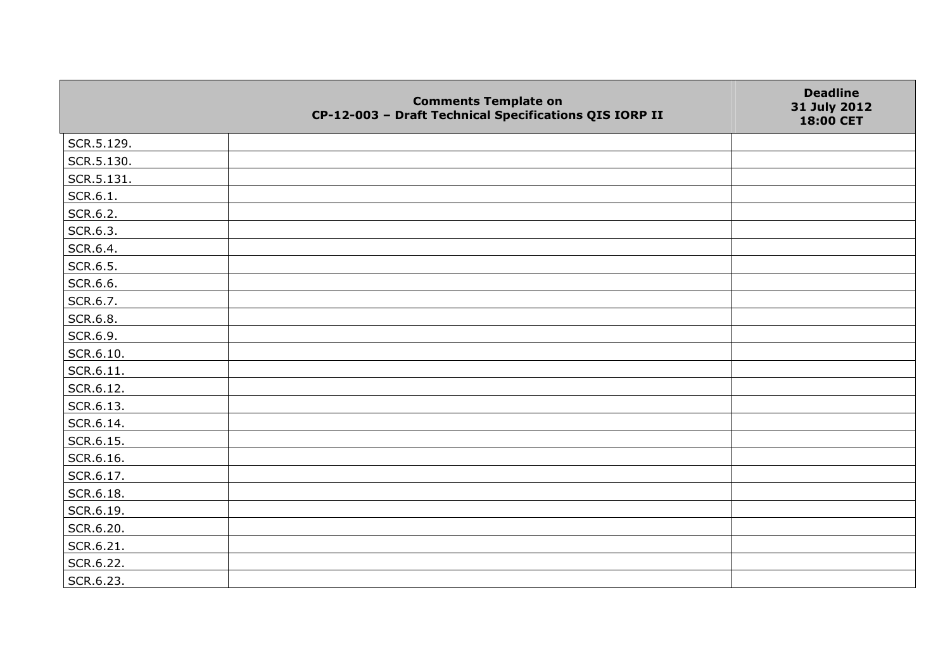|            | <b>Comments Template on</b><br>CP-12-003 - Draft Technical Specifications QIS IORP II | <b>Deadline</b><br>31 July 2012<br>18:00 CET |
|------------|---------------------------------------------------------------------------------------|----------------------------------------------|
| SCR.5.129. |                                                                                       |                                              |
| SCR.5.130. |                                                                                       |                                              |
| SCR.5.131. |                                                                                       |                                              |
| SCR.6.1.   |                                                                                       |                                              |
| SCR.6.2.   |                                                                                       |                                              |
| SCR.6.3.   |                                                                                       |                                              |
| SCR.6.4.   |                                                                                       |                                              |
| SCR.6.5.   |                                                                                       |                                              |
| SCR.6.6.   |                                                                                       |                                              |
| SCR.6.7.   |                                                                                       |                                              |
| SCR.6.8.   |                                                                                       |                                              |
| SCR.6.9.   |                                                                                       |                                              |
| SCR.6.10.  |                                                                                       |                                              |
| SCR.6.11.  |                                                                                       |                                              |
| SCR.6.12.  |                                                                                       |                                              |
| SCR.6.13.  |                                                                                       |                                              |
| SCR.6.14.  |                                                                                       |                                              |
| SCR.6.15.  |                                                                                       |                                              |
| SCR.6.16.  |                                                                                       |                                              |
| SCR.6.17.  |                                                                                       |                                              |
| SCR.6.18.  |                                                                                       |                                              |
| SCR.6.19.  |                                                                                       |                                              |
| SCR.6.20.  |                                                                                       |                                              |
| SCR.6.21.  |                                                                                       |                                              |
| SCR.6.22.  |                                                                                       |                                              |
| SCR.6.23.  |                                                                                       |                                              |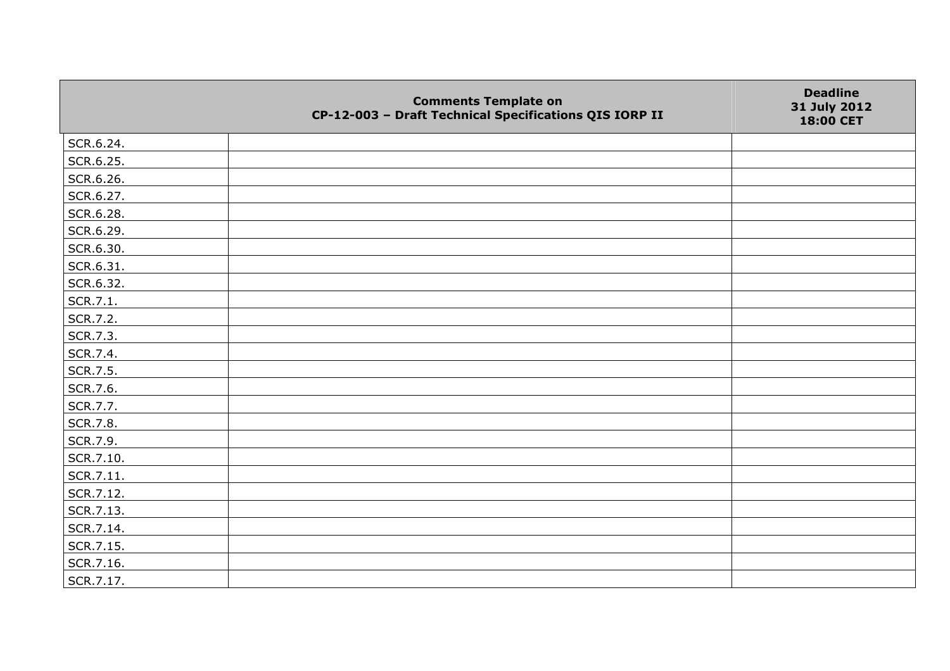|           | <b>Comments Template on</b><br>CP-12-003 - Draft Technical Specifications QIS IORP II | <b>Deadline</b><br>31 July 2012<br>18:00 CET |
|-----------|---------------------------------------------------------------------------------------|----------------------------------------------|
| SCR.6.24. |                                                                                       |                                              |
| SCR.6.25. |                                                                                       |                                              |
| SCR.6.26. |                                                                                       |                                              |
| SCR.6.27. |                                                                                       |                                              |
| SCR.6.28. |                                                                                       |                                              |
| SCR.6.29. |                                                                                       |                                              |
| SCR.6.30. |                                                                                       |                                              |
| SCR.6.31. |                                                                                       |                                              |
| SCR.6.32. |                                                                                       |                                              |
| SCR.7.1.  |                                                                                       |                                              |
| SCR.7.2.  |                                                                                       |                                              |
| SCR.7.3.  |                                                                                       |                                              |
| SCR.7.4.  |                                                                                       |                                              |
| SCR.7.5.  |                                                                                       |                                              |
| SCR.7.6.  |                                                                                       |                                              |
| SCR.7.7.  |                                                                                       |                                              |
| SCR.7.8.  |                                                                                       |                                              |
| SCR.7.9.  |                                                                                       |                                              |
| SCR.7.10. |                                                                                       |                                              |
| SCR.7.11. |                                                                                       |                                              |
| SCR.7.12. |                                                                                       |                                              |
| SCR.7.13. |                                                                                       |                                              |
| SCR.7.14. |                                                                                       |                                              |
| SCR.7.15. |                                                                                       |                                              |
| SCR.7.16. |                                                                                       |                                              |
| SCR.7.17. |                                                                                       |                                              |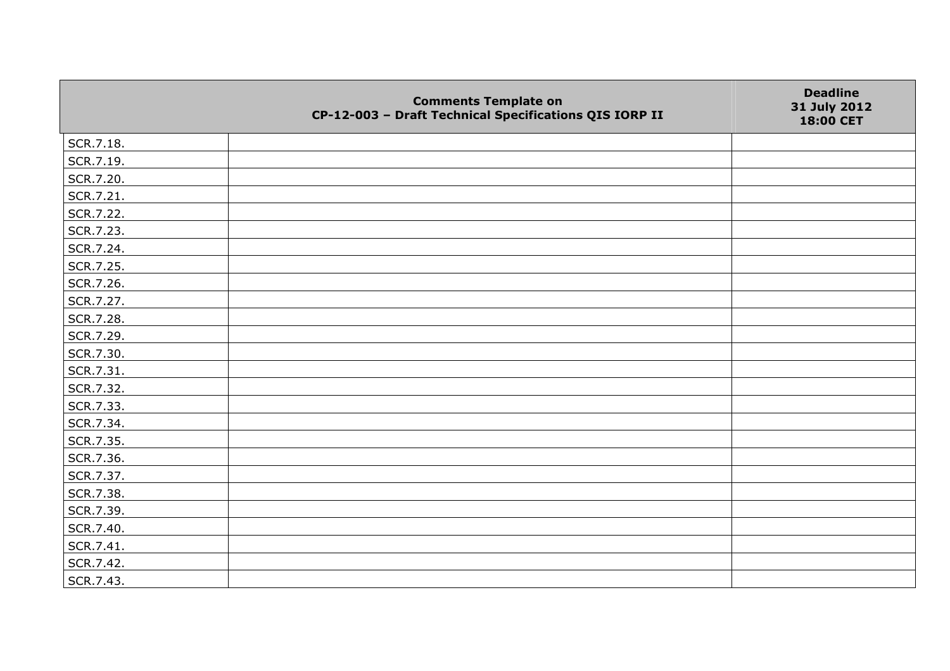|           | <b>Comments Template on</b><br>CP-12-003 - Draft Technical Specifications QIS IORP II | <b>Deadline</b><br>31 July 2012<br>18:00 CET |
|-----------|---------------------------------------------------------------------------------------|----------------------------------------------|
| SCR.7.18. |                                                                                       |                                              |
| SCR.7.19. |                                                                                       |                                              |
| SCR.7.20. |                                                                                       |                                              |
| SCR.7.21. |                                                                                       |                                              |
| SCR.7.22. |                                                                                       |                                              |
| SCR.7.23. |                                                                                       |                                              |
| SCR.7.24. |                                                                                       |                                              |
| SCR.7.25. |                                                                                       |                                              |
| SCR.7.26. |                                                                                       |                                              |
| SCR.7.27. |                                                                                       |                                              |
| SCR.7.28. |                                                                                       |                                              |
| SCR.7.29. |                                                                                       |                                              |
| SCR.7.30. |                                                                                       |                                              |
| SCR.7.31. |                                                                                       |                                              |
| SCR.7.32. |                                                                                       |                                              |
| SCR.7.33. |                                                                                       |                                              |
| SCR.7.34. |                                                                                       |                                              |
| SCR.7.35. |                                                                                       |                                              |
| SCR.7.36. |                                                                                       |                                              |
| SCR.7.37. |                                                                                       |                                              |
| SCR.7.38. |                                                                                       |                                              |
| SCR.7.39. |                                                                                       |                                              |
| SCR.7.40. |                                                                                       |                                              |
| SCR.7.41. |                                                                                       |                                              |
| SCR.7.42. |                                                                                       |                                              |
| SCR.7.43. |                                                                                       |                                              |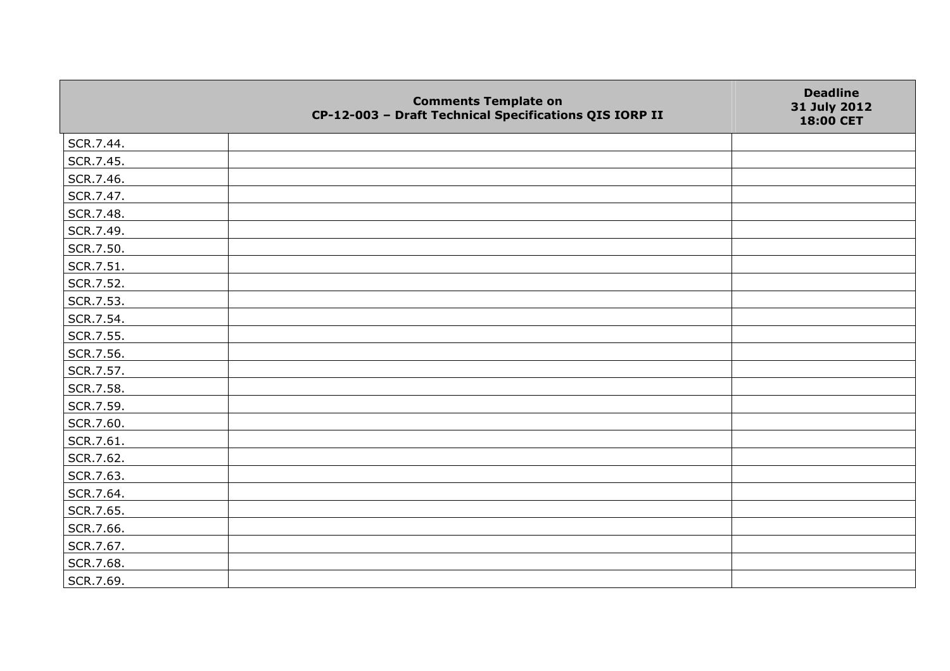|           | <b>Comments Template on</b><br>CP-12-003 - Draft Technical Specifications QIS IORP II | <b>Deadline</b><br>31 July 2012<br>18:00 CET |
|-----------|---------------------------------------------------------------------------------------|----------------------------------------------|
| SCR.7.44. |                                                                                       |                                              |
| SCR.7.45. |                                                                                       |                                              |
| SCR.7.46. |                                                                                       |                                              |
| SCR.7.47. |                                                                                       |                                              |
| SCR.7.48. |                                                                                       |                                              |
| SCR.7.49. |                                                                                       |                                              |
| SCR.7.50. |                                                                                       |                                              |
| SCR.7.51. |                                                                                       |                                              |
| SCR.7.52. |                                                                                       |                                              |
| SCR.7.53. |                                                                                       |                                              |
| SCR.7.54. |                                                                                       |                                              |
| SCR.7.55. |                                                                                       |                                              |
| SCR.7.56. |                                                                                       |                                              |
| SCR.7.57. |                                                                                       |                                              |
| SCR.7.58. |                                                                                       |                                              |
| SCR.7.59. |                                                                                       |                                              |
| SCR.7.60. |                                                                                       |                                              |
| SCR.7.61. |                                                                                       |                                              |
| SCR.7.62. |                                                                                       |                                              |
| SCR.7.63. |                                                                                       |                                              |
| SCR.7.64. |                                                                                       |                                              |
| SCR.7.65. |                                                                                       |                                              |
| SCR.7.66. |                                                                                       |                                              |
| SCR.7.67. |                                                                                       |                                              |
| SCR.7.68. |                                                                                       |                                              |
| SCR.7.69. |                                                                                       |                                              |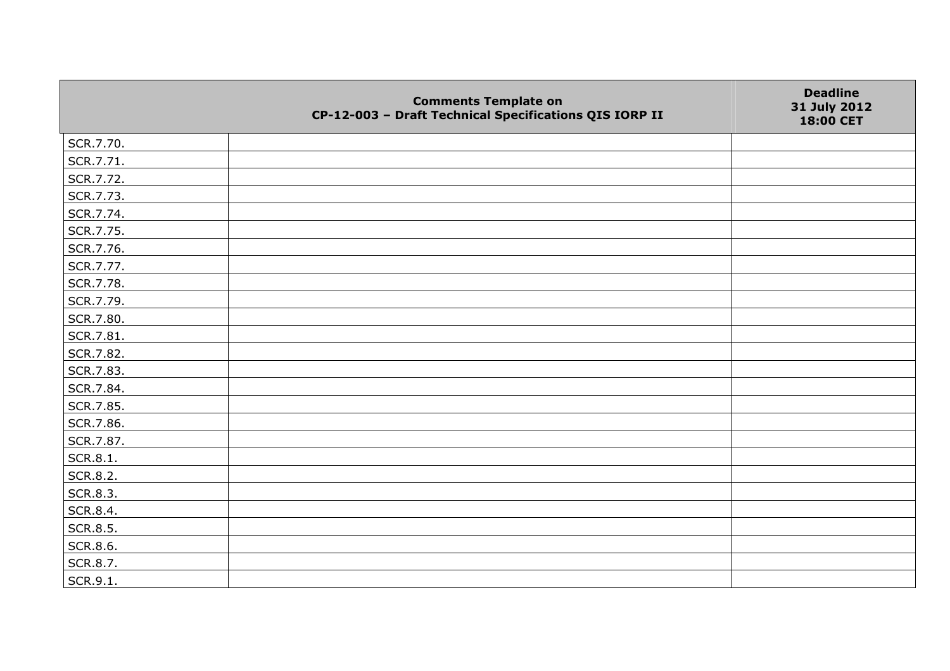|           | <b>Comments Template on</b><br>CP-12-003 - Draft Technical Specifications QIS IORP II | <b>Deadline</b><br>31 July 2012<br>18:00 CET |
|-----------|---------------------------------------------------------------------------------------|----------------------------------------------|
| SCR.7.70. |                                                                                       |                                              |
| SCR.7.71. |                                                                                       |                                              |
| SCR.7.72. |                                                                                       |                                              |
| SCR.7.73. |                                                                                       |                                              |
| SCR.7.74. |                                                                                       |                                              |
| SCR.7.75. |                                                                                       |                                              |
| SCR.7.76. |                                                                                       |                                              |
| SCR.7.77. |                                                                                       |                                              |
| SCR.7.78. |                                                                                       |                                              |
| SCR.7.79. |                                                                                       |                                              |
| SCR.7.80. |                                                                                       |                                              |
| SCR.7.81. |                                                                                       |                                              |
| SCR.7.82. |                                                                                       |                                              |
| SCR.7.83. |                                                                                       |                                              |
| SCR.7.84. |                                                                                       |                                              |
| SCR.7.85. |                                                                                       |                                              |
| SCR.7.86. |                                                                                       |                                              |
| SCR.7.87. |                                                                                       |                                              |
| SCR.8.1.  |                                                                                       |                                              |
| SCR.8.2.  |                                                                                       |                                              |
| SCR.8.3.  |                                                                                       |                                              |
| SCR.8.4.  |                                                                                       |                                              |
| SCR.8.5.  |                                                                                       |                                              |
| SCR.8.6.  |                                                                                       |                                              |
| SCR.8.7.  |                                                                                       |                                              |
| SCR.9.1.  |                                                                                       |                                              |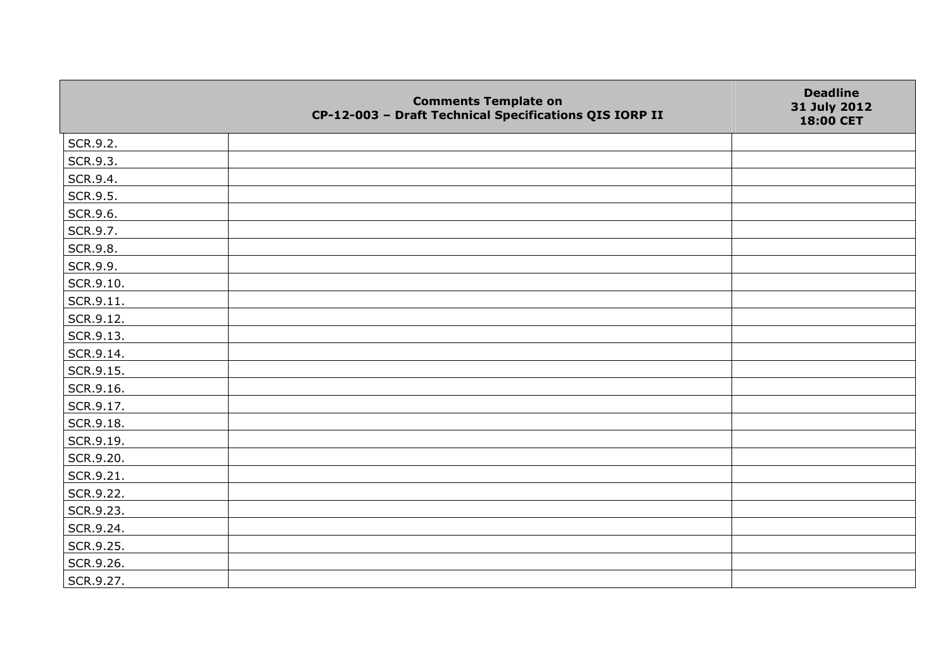|           | <b>Comments Template on</b><br>CP-12-003 - Draft Technical Specifications QIS IORP II | <b>Deadline</b><br>31 July 2012<br>18:00 CET |
|-----------|---------------------------------------------------------------------------------------|----------------------------------------------|
| SCR.9.2.  |                                                                                       |                                              |
| SCR.9.3.  |                                                                                       |                                              |
| SCR.9.4.  |                                                                                       |                                              |
| SCR.9.5.  |                                                                                       |                                              |
| SCR.9.6.  |                                                                                       |                                              |
| SCR.9.7.  |                                                                                       |                                              |
| SCR.9.8.  |                                                                                       |                                              |
| SCR.9.9.  |                                                                                       |                                              |
| SCR.9.10. |                                                                                       |                                              |
| SCR.9.11. |                                                                                       |                                              |
| SCR.9.12. |                                                                                       |                                              |
| SCR.9.13. |                                                                                       |                                              |
| SCR.9.14. |                                                                                       |                                              |
| SCR.9.15. |                                                                                       |                                              |
| SCR.9.16. |                                                                                       |                                              |
| SCR.9.17. |                                                                                       |                                              |
| SCR.9.18. |                                                                                       |                                              |
| SCR.9.19. |                                                                                       |                                              |
| SCR.9.20. |                                                                                       |                                              |
| SCR.9.21. |                                                                                       |                                              |
| SCR.9.22. |                                                                                       |                                              |
| SCR.9.23. |                                                                                       |                                              |
| SCR.9.24. |                                                                                       |                                              |
| SCR.9.25. |                                                                                       |                                              |
| SCR.9.26. |                                                                                       |                                              |
| SCR.9.27. |                                                                                       |                                              |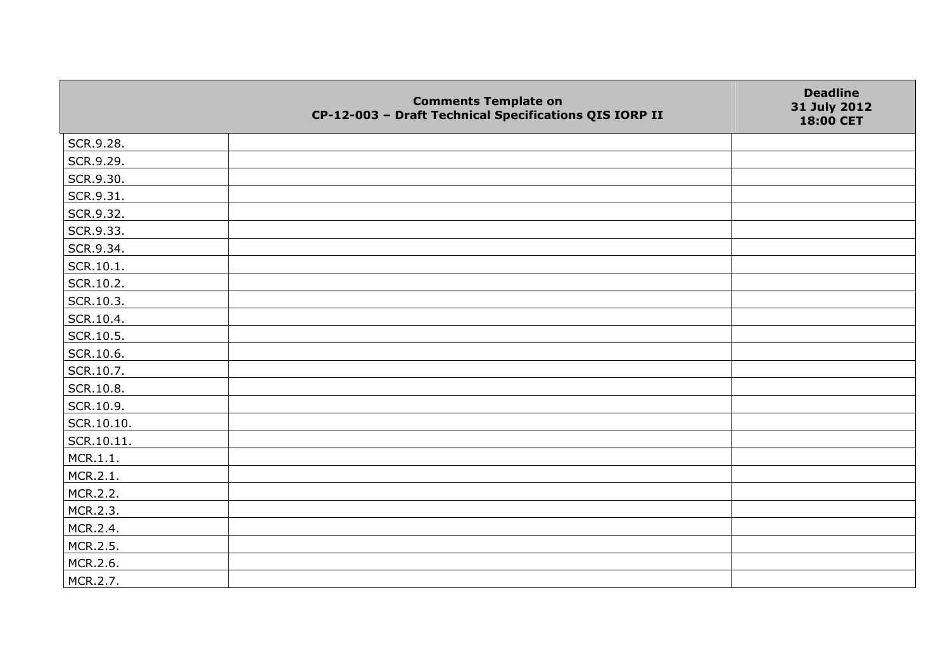|            | <b>Comments Template on</b><br>CP-12-003 - Draft Technical Specifications QIS IORP II | <b>Deadline</b><br>31 July 2012<br>18:00 CET |
|------------|---------------------------------------------------------------------------------------|----------------------------------------------|
| SCR.9.28.  |                                                                                       |                                              |
| SCR.9.29.  |                                                                                       |                                              |
| SCR.9.30.  |                                                                                       |                                              |
| SCR.9.31.  |                                                                                       |                                              |
| SCR.9.32.  |                                                                                       |                                              |
| SCR.9.33.  |                                                                                       |                                              |
| SCR.9.34.  |                                                                                       |                                              |
| SCR.10.1.  |                                                                                       |                                              |
| SCR.10.2.  |                                                                                       |                                              |
| SCR.10.3.  |                                                                                       |                                              |
| SCR.10.4.  |                                                                                       |                                              |
| SCR.10.5.  |                                                                                       |                                              |
| SCR.10.6.  |                                                                                       |                                              |
| SCR.10.7.  |                                                                                       |                                              |
| SCR.10.8.  |                                                                                       |                                              |
| SCR.10.9.  |                                                                                       |                                              |
| SCR.10.10. |                                                                                       |                                              |
| SCR.10.11. |                                                                                       |                                              |
| MCR.1.1.   |                                                                                       |                                              |
| MCR.2.1.   |                                                                                       |                                              |
| MCR.2.2.   |                                                                                       |                                              |
| MCR.2.3.   |                                                                                       |                                              |
| MCR.2.4.   |                                                                                       |                                              |
| MCR.2.5.   |                                                                                       |                                              |
| MCR.2.6.   |                                                                                       |                                              |
| MCR.2.7.   |                                                                                       |                                              |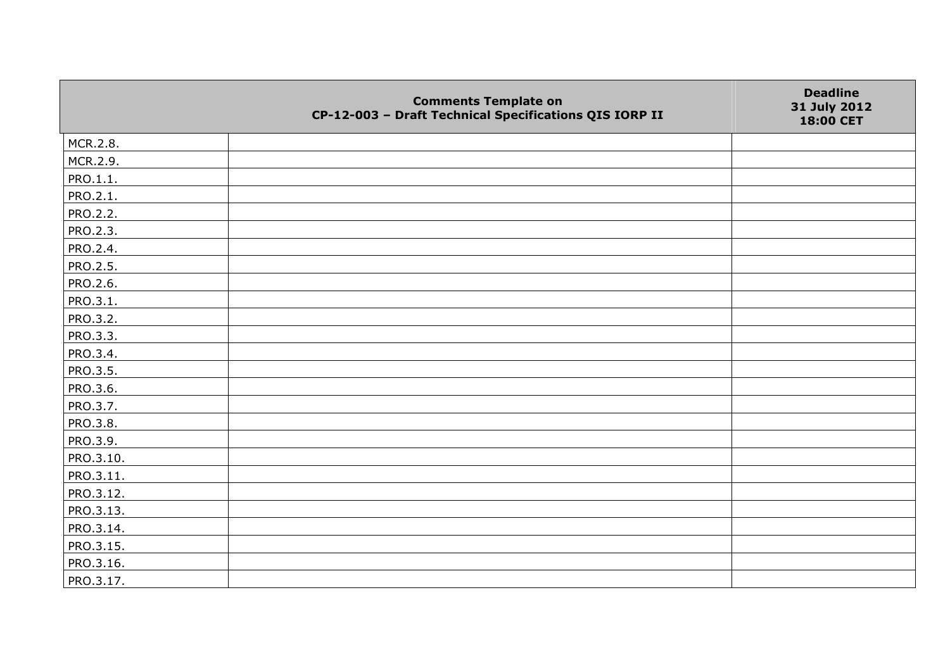|           | <b>Comments Template on</b><br>CP-12-003 - Draft Technical Specifications QIS IORP II | <b>Deadline</b><br>31 July 2012<br>18:00 CET |
|-----------|---------------------------------------------------------------------------------------|----------------------------------------------|
| MCR.2.8.  |                                                                                       |                                              |
| MCR.2.9.  |                                                                                       |                                              |
| PRO.1.1.  |                                                                                       |                                              |
| PRO.2.1.  |                                                                                       |                                              |
| PRO.2.2.  |                                                                                       |                                              |
| PRO.2.3.  |                                                                                       |                                              |
| PRO.2.4.  |                                                                                       |                                              |
| PRO.2.5.  |                                                                                       |                                              |
| PRO.2.6.  |                                                                                       |                                              |
| PRO.3.1.  |                                                                                       |                                              |
| PRO.3.2.  |                                                                                       |                                              |
| PRO.3.3.  |                                                                                       |                                              |
| PRO.3.4.  |                                                                                       |                                              |
| PRO.3.5.  |                                                                                       |                                              |
| PRO.3.6.  |                                                                                       |                                              |
| PRO.3.7.  |                                                                                       |                                              |
| PRO.3.8.  |                                                                                       |                                              |
| PRO.3.9.  |                                                                                       |                                              |
| PRO.3.10. |                                                                                       |                                              |
| PRO.3.11. |                                                                                       |                                              |
| PRO.3.12. |                                                                                       |                                              |
| PRO.3.13. |                                                                                       |                                              |
| PRO.3.14. |                                                                                       |                                              |
| PRO.3.15. |                                                                                       |                                              |
| PRO.3.16. |                                                                                       |                                              |
| PRO.3.17. |                                                                                       |                                              |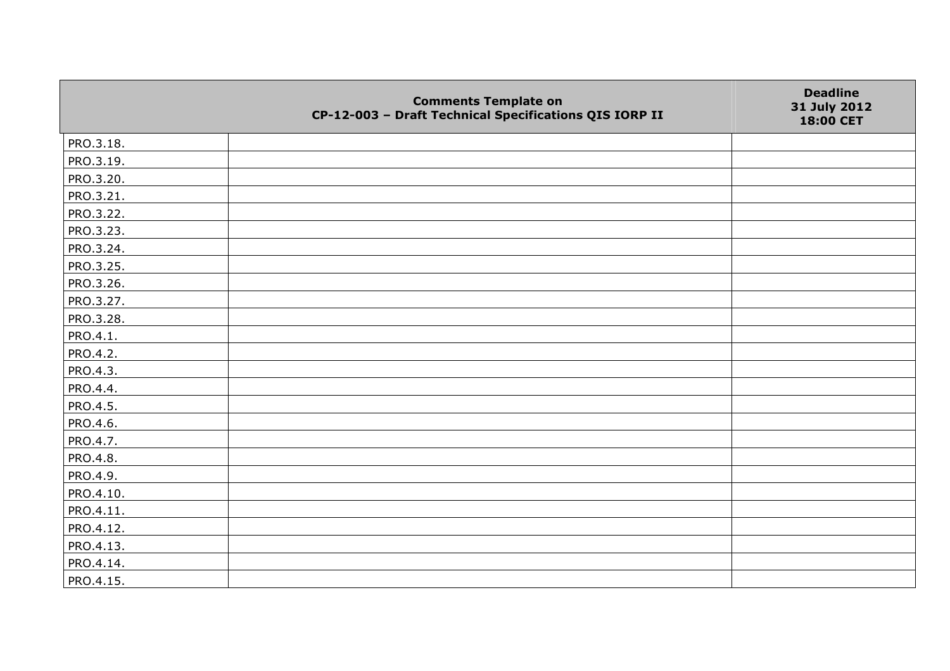|                 | <b>Comments Template on</b><br>CP-12-003 - Draft Technical Specifications QIS IORP II | <b>Deadline</b><br>31 July 2012<br>18:00 CET |
|-----------------|---------------------------------------------------------------------------------------|----------------------------------------------|
| PRO.3.18.       |                                                                                       |                                              |
| PRO.3.19.       |                                                                                       |                                              |
| PRO.3.20.       |                                                                                       |                                              |
| PRO.3.21.       |                                                                                       |                                              |
| PRO.3.22.       |                                                                                       |                                              |
| PRO.3.23.       |                                                                                       |                                              |
| PRO.3.24.       |                                                                                       |                                              |
| PRO.3.25.       |                                                                                       |                                              |
| PRO.3.26.       |                                                                                       |                                              |
| PRO.3.27.       |                                                                                       |                                              |
| PRO.3.28.       |                                                                                       |                                              |
| PRO.4.1.        |                                                                                       |                                              |
| PRO.4.2.        |                                                                                       |                                              |
| PRO.4.3.        |                                                                                       |                                              |
| PRO.4.4.        |                                                                                       |                                              |
| PRO.4.5.        |                                                                                       |                                              |
| PRO.4.6.        |                                                                                       |                                              |
| PRO.4.7.        |                                                                                       |                                              |
| <b>PRO.4.8.</b> |                                                                                       |                                              |
| PRO.4.9.        |                                                                                       |                                              |
| PRO.4.10.       |                                                                                       |                                              |
| PRO.4.11.       |                                                                                       |                                              |
| PRO.4.12.       |                                                                                       |                                              |
| PRO.4.13.       |                                                                                       |                                              |
| PRO.4.14.       |                                                                                       |                                              |
| PRO.4.15.       |                                                                                       |                                              |